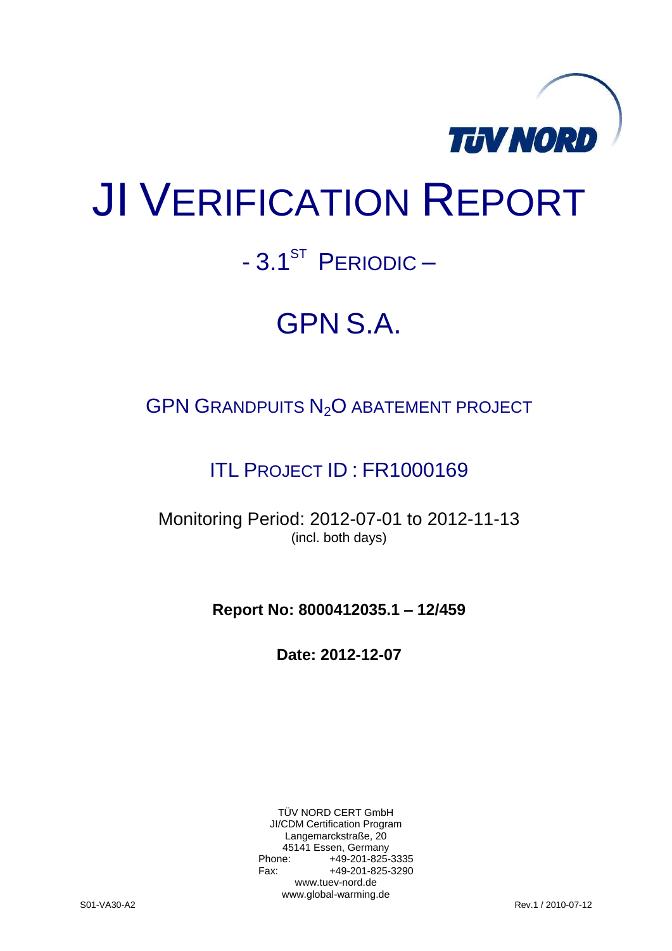

# JI VERIFICATION REPORT

# $-3.1<sup>ST</sup>$  PERIODIC –

# GPN S.A.

# GPN GRANDPUITS N<sub>2</sub>O ABATEMENT PROJECT

# ITL PROJECT ID : FR1000169

Monitoring Period: 2012-07-01 to 2012-11-13 (incl. both days)

**Report No: 8000412035.1 – 12/459**

**Date: 2012-12-07**

TÜV NORD CERT GmbH JI/CDM Certification Program Langemarckstraße, 20 45141 Essen, Germany<br>+49-201-825-49 +49-201-825-3335 Fax: +49-201-825-3290 www.tuev-nord.de www.global-warming.de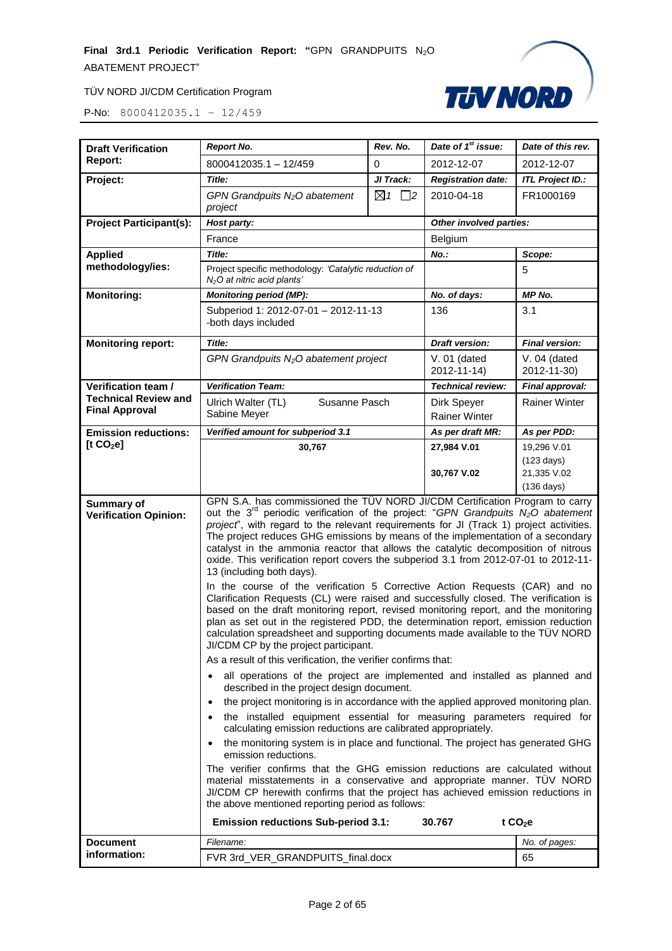

| <b>Draft Verification</b>                            | <b>Report No.</b>                                                                                                                                                                                                                                                                                                                                                                                                                                                                                                                                                                                                                                                                                                                                                                                                              | Rev. No.                  | Date of 1 <sup>st</sup> issue:      | Date of this rev.                                                          |  |
|------------------------------------------------------|--------------------------------------------------------------------------------------------------------------------------------------------------------------------------------------------------------------------------------------------------------------------------------------------------------------------------------------------------------------------------------------------------------------------------------------------------------------------------------------------------------------------------------------------------------------------------------------------------------------------------------------------------------------------------------------------------------------------------------------------------------------------------------------------------------------------------------|---------------------------|-------------------------------------|----------------------------------------------------------------------------|--|
| <b>Report:</b>                                       | 8000412035.1 - 12/459                                                                                                                                                                                                                                                                                                                                                                                                                                                                                                                                                                                                                                                                                                                                                                                                          | $\Omega$                  | 2012-12-07                          | 2012-12-07                                                                 |  |
| Project:                                             | Title:                                                                                                                                                                                                                                                                                                                                                                                                                                                                                                                                                                                                                                                                                                                                                                                                                         | JI Track:                 | <b>Registration date:</b>           | <b>ITL Project ID.:</b>                                                    |  |
|                                                      | GPN Grandpuits N <sub>2</sub> O abatement<br>project                                                                                                                                                                                                                                                                                                                                                                                                                                                                                                                                                                                                                                                                                                                                                                           | $\boxtimes$ 1<br>$\Box$ 2 | 2010-04-18                          | FR1000169                                                                  |  |
| <b>Project Participant(s):</b>                       | Host party:                                                                                                                                                                                                                                                                                                                                                                                                                                                                                                                                                                                                                                                                                                                                                                                                                    |                           |                                     | Other involved parties:                                                    |  |
|                                                      | France                                                                                                                                                                                                                                                                                                                                                                                                                                                                                                                                                                                                                                                                                                                                                                                                                         |                           | Belgium                             |                                                                            |  |
| <b>Applied</b>                                       | Title:                                                                                                                                                                                                                                                                                                                                                                                                                                                                                                                                                                                                                                                                                                                                                                                                                         |                           | No.:                                | Scope:                                                                     |  |
| methodology/ies:                                     | Project specific methodology: 'Catalytic reduction of<br>N <sub>2</sub> O at nitric acid plants'                                                                                                                                                                                                                                                                                                                                                                                                                                                                                                                                                                                                                                                                                                                               |                           |                                     | 5                                                                          |  |
| <b>Monitoring:</b>                                   | <b>Monitoring period (MP):</b>                                                                                                                                                                                                                                                                                                                                                                                                                                                                                                                                                                                                                                                                                                                                                                                                 |                           | No. of days:                        | MP No.                                                                     |  |
|                                                      | Subperiod 1: 2012-07-01 - 2012-11-13<br>-both days included                                                                                                                                                                                                                                                                                                                                                                                                                                                                                                                                                                                                                                                                                                                                                                    |                           | 136                                 | 3.1                                                                        |  |
| <b>Monitoring report:</b>                            | Title:                                                                                                                                                                                                                                                                                                                                                                                                                                                                                                                                                                                                                                                                                                                                                                                                                         |                           | <b>Draft version:</b>               | <b>Final version:</b>                                                      |  |
|                                                      | GPN Grandpuits $N2O$ abatement project                                                                                                                                                                                                                                                                                                                                                                                                                                                                                                                                                                                                                                                                                                                                                                                         |                           | $V. 01$ (dated<br>2012-11-14)       | $V.04$ (dated<br>2012-11-30)                                               |  |
| Verification team /                                  | <b>Verification Team:</b>                                                                                                                                                                                                                                                                                                                                                                                                                                                                                                                                                                                                                                                                                                                                                                                                      |                           | Technical review:                   | Final approval:                                                            |  |
| <b>Technical Review and</b><br><b>Final Approval</b> | Ulrich Walter (TL)<br>Susanne Pasch<br>Sabine Meyer                                                                                                                                                                                                                                                                                                                                                                                                                                                                                                                                                                                                                                                                                                                                                                            |                           | Dirk Speyer<br><b>Rainer Winter</b> | <b>Rainer Winter</b>                                                       |  |
| <b>Emission reductions:</b>                          | Verified amount for subperiod 3.1                                                                                                                                                                                                                                                                                                                                                                                                                                                                                                                                                                                                                                                                                                                                                                                              |                           | As per draft MR:                    | As per PDD:                                                                |  |
| [t $CO2$ e]                                          | 30,767                                                                                                                                                                                                                                                                                                                                                                                                                                                                                                                                                                                                                                                                                                                                                                                                                         |                           | 27,984 V.01<br>30,767 V.02          | 19,296 V.01<br>$(123 \text{ days})$<br>21,335 V.02<br>$(136 \text{ days})$ |  |
| Summary of<br><b>Verification Opinion:</b>           | GPN S.A. has commissioned the TÜV NORD JI/CDM Certification Program to carry<br>out the $3^{rd}$ periodic verification of the project: "GPN Grandpuits $N_2O$ abatement<br>project", with regard to the relevant requirements for JI (Track 1) project activities.<br>The project reduces GHG emissions by means of the implementation of a secondary<br>catalyst in the ammonia reactor that allows the catalytic decomposition of nitrous<br>oxide. This verification report covers the subperiod 3.1 from 2012-07-01 to 2012-11-<br>13 (including both days).<br>In the course of the verification 5 Corrective Action Requests (CAR) and no<br>Clarification Requests (CL) were raised and successfully closed. The verification is<br>based on the draft monitoring report, revised monitoring report, and the monitoring |                           |                                     |                                                                            |  |
|                                                      | plan as set out in the registered PDD, the determination report, emission reduction<br>calculation spreadsheet and supporting documents made available to the TÜV NORD<br>JI/CDM CP by the project participant.                                                                                                                                                                                                                                                                                                                                                                                                                                                                                                                                                                                                                |                           |                                     |                                                                            |  |
|                                                      | As a result of this verification, the verifier confirms that:<br>all operations of the project are implemented and installed as planned and                                                                                                                                                                                                                                                                                                                                                                                                                                                                                                                                                                                                                                                                                    |                           |                                     |                                                                            |  |
|                                                      | described in the project design document.                                                                                                                                                                                                                                                                                                                                                                                                                                                                                                                                                                                                                                                                                                                                                                                      |                           |                                     |                                                                            |  |
|                                                      | the project monitoring is in accordance with the applied approved monitoring plan.<br>the installed equipment essential for measuring parameters required for<br>calculating emission reductions are calibrated appropriately.<br>the monitoring system is in place and functional. The project has generated GHG<br>emission reductions.                                                                                                                                                                                                                                                                                                                                                                                                                                                                                      |                           |                                     |                                                                            |  |
|                                                      |                                                                                                                                                                                                                                                                                                                                                                                                                                                                                                                                                                                                                                                                                                                                                                                                                                |                           |                                     |                                                                            |  |
|                                                      | The verifier confirms that the GHG emission reductions are calculated without<br>material misstatements in a conservative and appropriate manner. TÜV NORD<br>JI/CDM CP herewith confirms that the project has achieved emission reductions in<br>the above mentioned reporting period as follows:                                                                                                                                                                                                                                                                                                                                                                                                                                                                                                                             |                           |                                     |                                                                            |  |
|                                                      | <b>Emission reductions Sub-period 3.1:</b><br>t $CO2e$<br>30.767                                                                                                                                                                                                                                                                                                                                                                                                                                                                                                                                                                                                                                                                                                                                                               |                           |                                     |                                                                            |  |
| <b>Document</b>                                      | Filename:                                                                                                                                                                                                                                                                                                                                                                                                                                                                                                                                                                                                                                                                                                                                                                                                                      |                           |                                     | No. of pages:                                                              |  |
| information:                                         | FVR 3rd_VER_GRANDPUITS_final.docx                                                                                                                                                                                                                                                                                                                                                                                                                                                                                                                                                                                                                                                                                                                                                                                              |                           |                                     | 65                                                                         |  |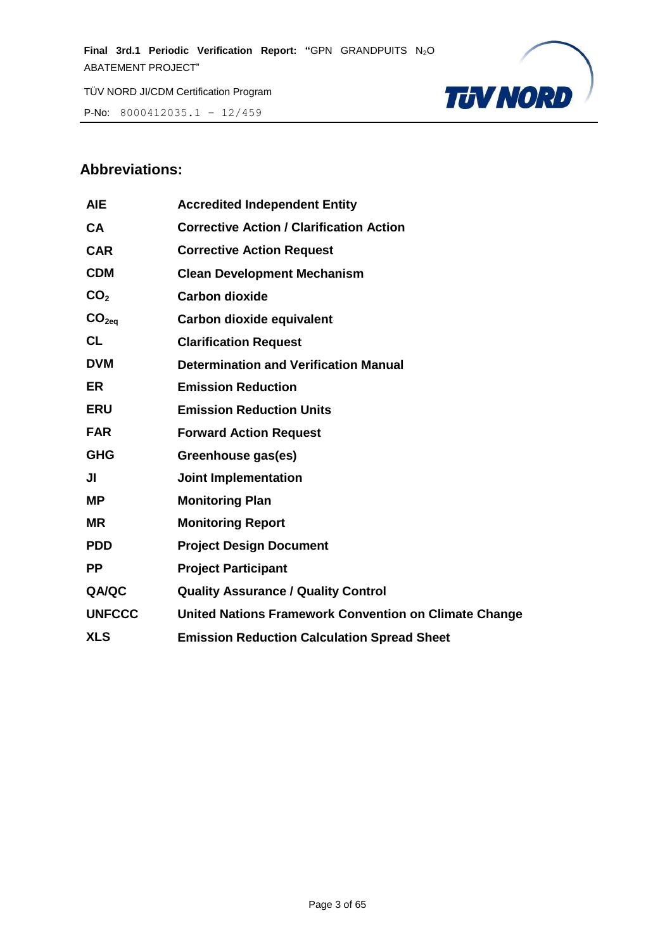P-No: 8000412035.1 – 12/459



# **Abbreviations:**

| <b>AIE</b>        | <b>Accredited Independent Entity</b>                  |
|-------------------|-------------------------------------------------------|
| <b>CA</b>         | <b>Corrective Action / Clarification Action</b>       |
| <b>CAR</b>        | <b>Corrective Action Request</b>                      |
| <b>CDM</b>        | <b>Clean Development Mechanism</b>                    |
| CO <sub>2</sub>   | <b>Carbon dioxide</b>                                 |
| CO <sub>2eq</sub> | <b>Carbon dioxide equivalent</b>                      |
| <b>CL</b>         | <b>Clarification Request</b>                          |
| <b>DVM</b>        | <b>Determination and Verification Manual</b>          |
| <b>ER</b>         | <b>Emission Reduction</b>                             |
| <b>ERU</b>        | <b>Emission Reduction Units</b>                       |
| <b>FAR</b>        | <b>Forward Action Request</b>                         |
| <b>GHG</b>        | Greenhouse gas(es)                                    |
| JI                | <b>Joint Implementation</b>                           |
| ΜP                | <b>Monitoring Plan</b>                                |
| <b>MR</b>         | <b>Monitoring Report</b>                              |
| <b>PDD</b>        | <b>Project Design Document</b>                        |
| <b>PP</b>         | <b>Project Participant</b>                            |
| QA/QC             | <b>Quality Assurance / Quality Control</b>            |
| <b>UNFCCC</b>     | United Nations Framework Convention on Climate Change |
| <b>XLS</b>        | <b>Emission Reduction Calculation Spread Sheet</b>    |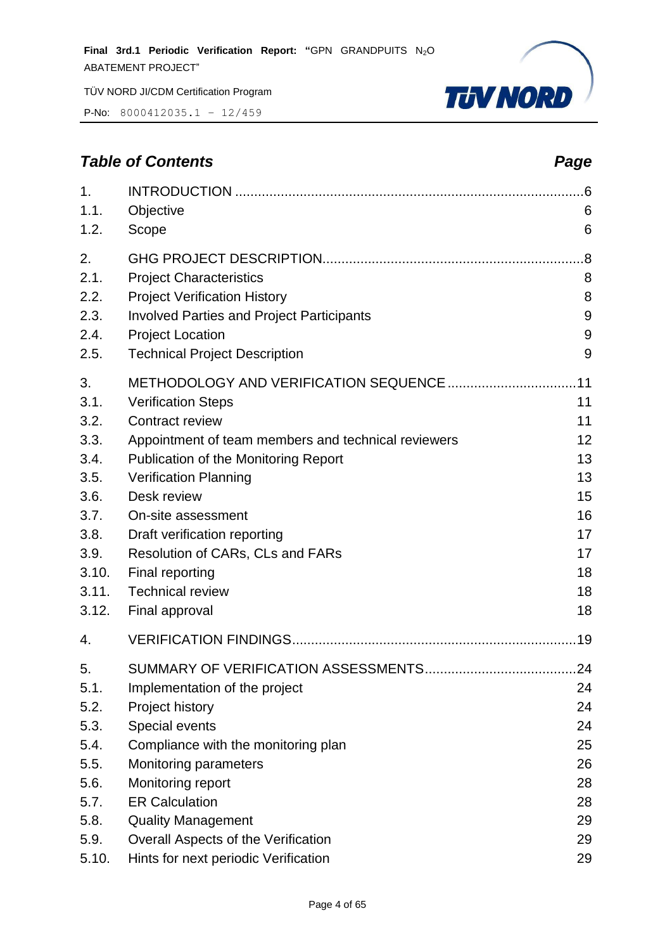P-No: 8000412035.1 – 12/459



# *Table of Contents Page*

| 1.<br>1.1.<br>1.2.                         | Objective<br>Scope                                                                                                                                                                           | .6<br>6<br>6                |
|--------------------------------------------|----------------------------------------------------------------------------------------------------------------------------------------------------------------------------------------------|-----------------------------|
| 2.<br>2.1.<br>2.2.<br>2.3.<br>2.4.<br>2.5. | <b>Project Characteristics</b><br><b>Project Verification History</b><br><b>Involved Parties and Project Participants</b><br><b>Project Location</b><br><b>Technical Project Description</b> | .8<br>8<br>8<br>9<br>9<br>9 |
| 3.<br>3.1.<br>3.2.                         | <b>Verification Steps</b><br>Contract review                                                                                                                                                 | 11<br>11                    |
| 3.3.<br>3.4.                               | Appointment of team members and technical reviewers<br>Publication of the Monitoring Report                                                                                                  | 12<br>13                    |
| 3.5.<br>3.6.                               | <b>Verification Planning</b><br>Desk review                                                                                                                                                  | 13<br>15                    |
| 3.7.<br>3.8.                               | On-site assessment<br>Draft verification reporting                                                                                                                                           | 16<br>17                    |
| 3.9.<br>3.10.<br>3.11.                     | Resolution of CARs, CLs and FARs<br>Final reporting<br><b>Technical review</b>                                                                                                               | 17<br>18<br>18              |
| 3.12.<br>4.                                | Final approval                                                                                                                                                                               | 18                          |
| 5.                                         |                                                                                                                                                                                              | .24                         |
| 5.1.                                       | Implementation of the project                                                                                                                                                                | 24                          |
| 5.2.                                       | Project history                                                                                                                                                                              | 24                          |
| 5.3.                                       | Special events                                                                                                                                                                               | 24                          |
| 5.4.                                       | Compliance with the monitoring plan                                                                                                                                                          | 25                          |
| 5.5.                                       | <b>Monitoring parameters</b>                                                                                                                                                                 | 26                          |
| 5.6.                                       | Monitoring report                                                                                                                                                                            | 28                          |
| 5.7.                                       | <b>ER Calculation</b>                                                                                                                                                                        | 28                          |
| 5.8.                                       | <b>Quality Management</b>                                                                                                                                                                    | 29                          |
| 5.9.                                       | Overall Aspects of the Verification                                                                                                                                                          | 29                          |
| 5.10.                                      | Hints for next periodic Verification                                                                                                                                                         | 29                          |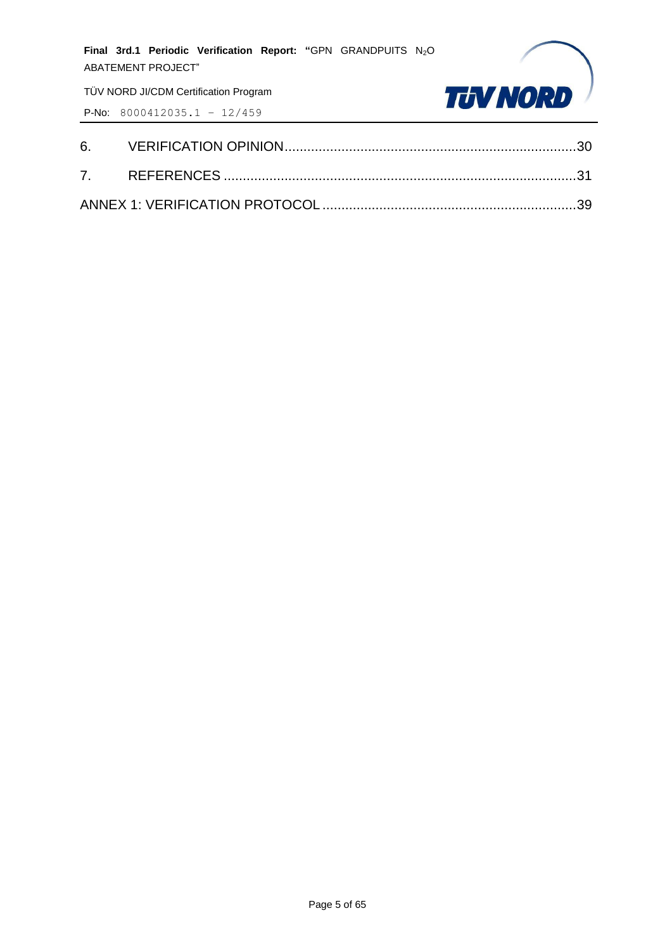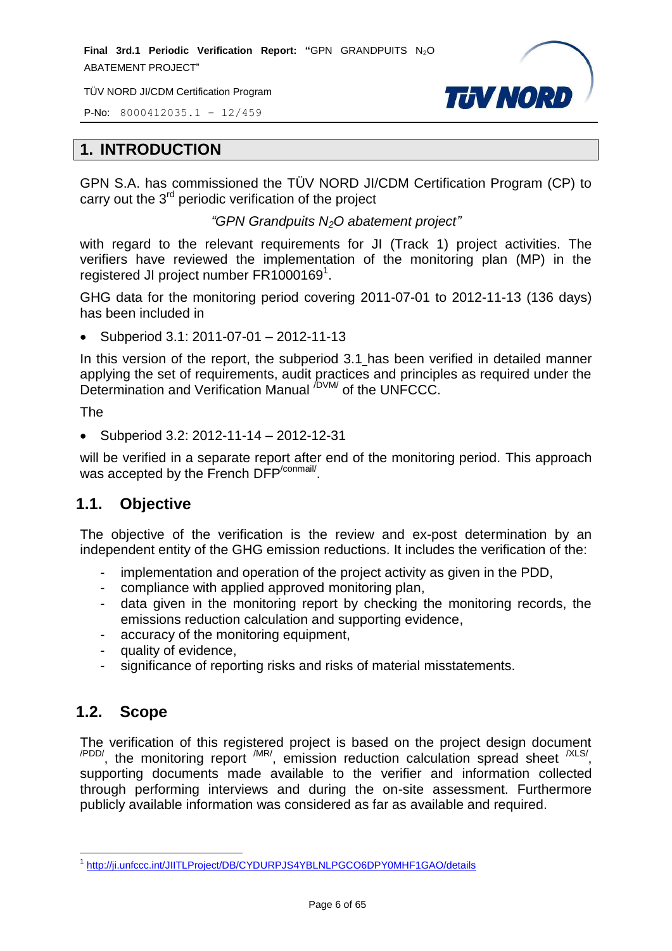**Final 3rd.1 Periodic Verification Report: "GPN GRANDPUITS N<sub>2</sub>O** ABATEMENT PROJECT"

TÜV NORD JI/CDM Certification Program



P-No: 8000412035.1 – 12/459

#### <span id="page-5-0"></span>**1. INTRODUCTION**

GPN S.A. has commissioned the TÜV NORD JI/CDM Certification Program (CP) to carry out the 3<sup>rd</sup> periodic verification of the project

*"GPN Grandpuits N2O abatement project"*

with regard to the relevant requirements for JI (Track 1) project activities. The verifiers have reviewed the implementation of the monitoring plan (MP) in the registered JI project number FR1000169<sup>1</sup>.

GHG data for the monitoring period covering 2011-07-01 to 2012-11-13 (136 days) has been included in

Subperiod 3.1: 2011-07-01 – 2012-11-13

In this version of the report, the subperiod 3.1 has been verified in detailed manner applying the set of requirements, audit practices and principles as required under the Determination and Verification Manual <sup>/DVM/</sup> of the UNFCCC.

The

Subperiod 3.2: 2012-11-14 – 2012-12-31

will be verified in a separate report after end of the monitoring period. This approach was accepted by the French DFP<sup>/conmail/</sup>.

# <span id="page-5-1"></span>**1.1. Objective**

The objective of the verification is the review and ex-post determination by an independent entity of the GHG emission reductions. It includes the verification of the:

- implementation and operation of the project activity as given in the PDD,
- compliance with applied approved monitoring plan,
- data given in the monitoring report by checking the monitoring records, the emissions reduction calculation and supporting evidence,
- accuracy of the monitoring equipment,
- quality of evidence,
- significance of reporting risks and risks of material misstatements.

# <span id="page-5-2"></span>**1.2. Scope**

The verification of this registered project is based on the project design document  $\alpha$ <sup>PDD/</sup>, the monitoring report  $\alpha$ <sup>MR/</sup>, emission reduction calculation spread sheet  $\alpha$ <sup>XLS/</sup>, supporting documents made available to the verifier and information collected through performing interviews and during the on-site assessment. Furthermore publicly available information was considered as far as available and required.

 1 <http://ji.unfccc.int/JIITLProject/DB/CYDURPJS4YBLNLPGCO6DPY0MHF1GAO/details>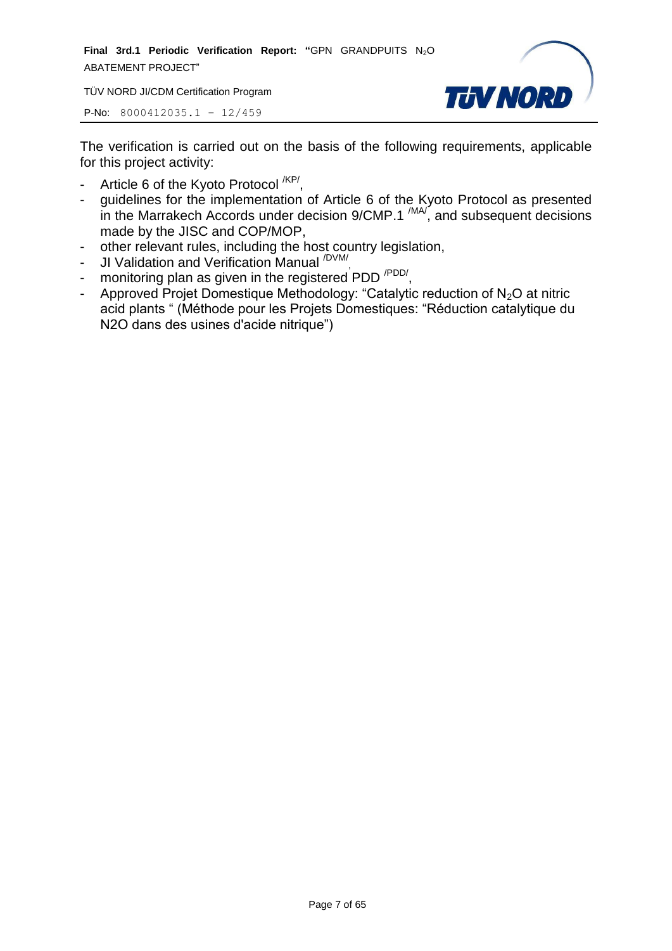**Final 3rd.1 Periodic Verification Report: "GPN GRANDPUITS N<sub>2</sub>O** ABATEMENT PROJECT"

TÜV NORD JI/CDM Certification Program



P-No: 8000412035.1 – 12/459

The verification is carried out on the basis of the following requirements, applicable for this project activity:

- Article 6 of the Kyoto Protocol <sup>/KP/</sup>,
- guidelines for the implementation of Article 6 of the Kyoto Protocol as presented in the Marrakech Accords under decision  $9/CMP.1$   $^{(MA)}$ , and subsequent decisions made by the JISC and COP/MOP,
- other relevant rules, including the host country legislation,
- JI Validation and Verification Manual <sup>/DVM/</sup>,
- monitoring plan as given in the registered PDD<sup>/PDD/</sup>,
- Approved Projet Domestique Methodology: "Catalytic reduction of  $N_2O$  at nitric acid plants " (Méthode pour les Projets Domestiques: "Réduction catalytique du N2O dans des usines d'acide nitrique")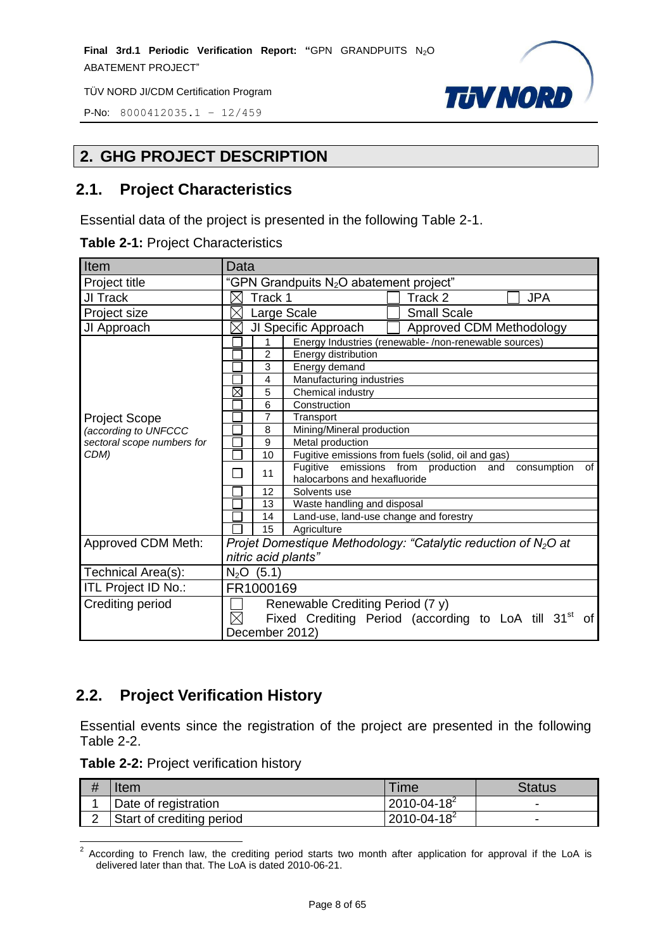P-No: 8000412035.1 – 12/459

# <span id="page-7-0"></span>**2. GHG PROJECT DESCRIPTION**

#### <span id="page-7-1"></span>**2.1. Project Characteristics**

Essential data of the project is presented in the following Table 2-1.

|  |  |  | <b>Table 2-1: Project Characteristics</b> |
|--|--|--|-------------------------------------------|
|--|--|--|-------------------------------------------|

| Item                       | Data                                                                                |  |  |
|----------------------------|-------------------------------------------------------------------------------------|--|--|
| Project title              | "GPN Grandpuits N <sub>2</sub> O abatement project"                                 |  |  |
| JI Track                   | Track 1<br><b>JPA</b><br>Track 2<br>⋉                                               |  |  |
| Project size               | <b>Small Scale</b><br>$\times$<br>Large Scale                                       |  |  |
| JI Approach                | JI Specific Approach<br>⋉<br>Approved CDM Methodology                               |  |  |
|                            | Energy Industries (renewable-/non-renewable sources)<br>1                           |  |  |
|                            | $\overline{2}$<br>Energy distribution                                               |  |  |
|                            | 3<br>Energy demand                                                                  |  |  |
|                            | Manufacturing industries<br>$\overline{4}$                                          |  |  |
|                            | $\boxtimes$<br>5<br>Chemical industry                                               |  |  |
|                            | 6<br>Construction                                                                   |  |  |
| <b>Project Scope</b>       | $\overline{7}$<br>Transport                                                         |  |  |
| (according to UNFCCC       | 8<br>Mining/Mineral production                                                      |  |  |
| sectoral scope numbers for | $\boldsymbol{9}$<br>Metal production                                                |  |  |
| CDM)                       | Fugitive emissions from fuels (solid, oil and gas)<br>10                            |  |  |
|                            | Fugitive emissions from production and<br>consumption<br>of<br>11                   |  |  |
|                            | halocarbons and hexafluoride                                                        |  |  |
|                            | 12<br>Solvents use                                                                  |  |  |
|                            | Waste handling and disposal<br>13                                                   |  |  |
|                            | Land-use, land-use change and forestry<br>14                                        |  |  |
|                            | 15<br>Agriculture                                                                   |  |  |
| Approved CDM Meth:         | Projet Domestique Methodology: "Catalytic reduction of $N_2O$ at                    |  |  |
|                            | nitric acid plants"                                                                 |  |  |
| Technical Area(s):         | $N_2O$ (5.1)                                                                        |  |  |
| ITL Project ID No.:        | FR1000169                                                                           |  |  |
| <b>Crediting period</b>    | Renewable Crediting Period (7 y)                                                    |  |  |
|                            | $\boxtimes$<br>Fixed Crediting Period (according to LoA till 31 <sup>st</sup><br>0f |  |  |
|                            | December 2012)                                                                      |  |  |

**TUV NORD** 

# <span id="page-7-2"></span>**2.2. Project Verification History**

Essential events since the registration of the project are presented in the following Table 2-2.

**Table 2-2:** Project verification history

| Item                      | Time                 | Status |
|---------------------------|----------------------|--------|
| Date of registration      | $2010 - 04 - 18^{2}$ | -      |
| Start of crediting period | $2010 - 04 - 18^2$   | -      |

**EXECORDIM**<br><sup>2</sup> According to French law, the crediting period starts two month after application for approval if the LoA is delivered later than that. The LoA is dated 2010-06-21.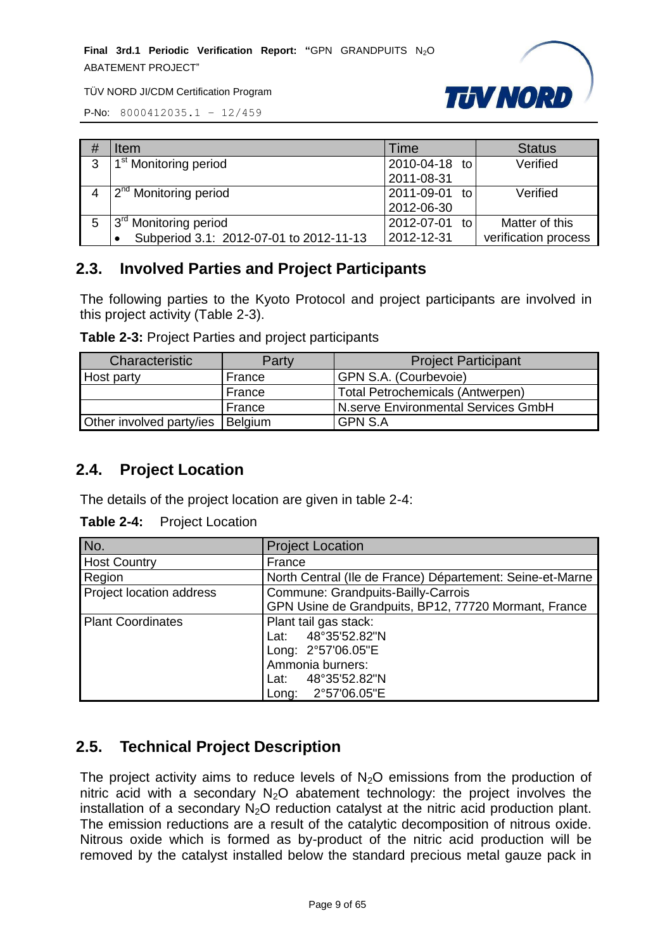**Final 3rd.1 Periodic Verification Report: "**GPN GRANDPUITS N2O ABATEMENT PROJECT"



TÜV NORD JI/CDM Certification Program

P-No: 8000412035.1 – 12/459

| # | <b>Item</b>                             | Time             | <b>Status</b>        |
|---|-----------------------------------------|------------------|----------------------|
| 3 | 1 <sup>st</sup> Monitoring period       | 2010-04-18 to    | Verified             |
|   |                                         | 2011-08-31       |                      |
|   | 2 <sup>nd</sup> Monitoring period       | 2011-09-01 to    | Verified             |
|   |                                         | 2012-06-30       |                      |
|   | 3 <sup>rd</sup> Monitoring period       | 2012-07-01<br>to | Matter of this       |
|   | Subperiod 3.1: 2012-07-01 to 2012-11-13 | 2012-12-31       | verification process |

#### <span id="page-8-0"></span>**2.3. Involved Parties and Project Participants**

The following parties to the Kyoto Protocol and project participants are involved in this project activity (Table 2-3).

| Table 2-3: Project Parties and project participants |  |  |  |
|-----------------------------------------------------|--|--|--|
|-----------------------------------------------------|--|--|--|

| Characteristic           | Party          | <b>Project Participant</b>              |
|--------------------------|----------------|-----------------------------------------|
| Host party               | France         | GPN S.A. (Courbevoie)                   |
|                          | France         | <b>Total Petrochemicals (Antwerpen)</b> |
|                          | France         | N.serve Environmental Services GmbH     |
| Other involved party/ies | <b>Belgium</b> | <b>GPN S.A</b>                          |

#### <span id="page-8-1"></span>**2.4. Project Location**

The details of the project location are given in table 2-4:

**Table 2-4:** Project Location

| No.                      | <b>Project Location</b>                                   |  |  |
|--------------------------|-----------------------------------------------------------|--|--|
| <b>Host Country</b>      | France                                                    |  |  |
| Region                   | North Central (Ile de France) Département: Seine-et-Marne |  |  |
| Project location address | Commune: Grandpuits-Bailly-Carrois                        |  |  |
|                          | GPN Usine de Grandpuits, BP12, 77720 Mormant, France      |  |  |
| <b>Plant Coordinates</b> | Plant tail gas stack:                                     |  |  |
|                          | Lat: 48°35'52.82"N                                        |  |  |
|                          | Long: 2°57'06.05"E                                        |  |  |
|                          | Ammonia burners:                                          |  |  |
|                          | Lat: 48°35'52.82"N                                        |  |  |
|                          | Long: 2°57'06.05"E                                        |  |  |

# <span id="page-8-2"></span>**2.5. Technical Project Description**

The project activity aims to reduce levels of  $N_2O$  emissions from the production of nitric acid with a secondary  $N_2O$  abatement technology: the project involves the installation of a secondary  $N_2O$  reduction catalyst at the nitric acid production plant. The emission reductions are a result of the catalytic decomposition of nitrous oxide. Nitrous oxide which is formed as by-product of the nitric acid production will be removed by the catalyst installed below the standard precious metal gauze pack in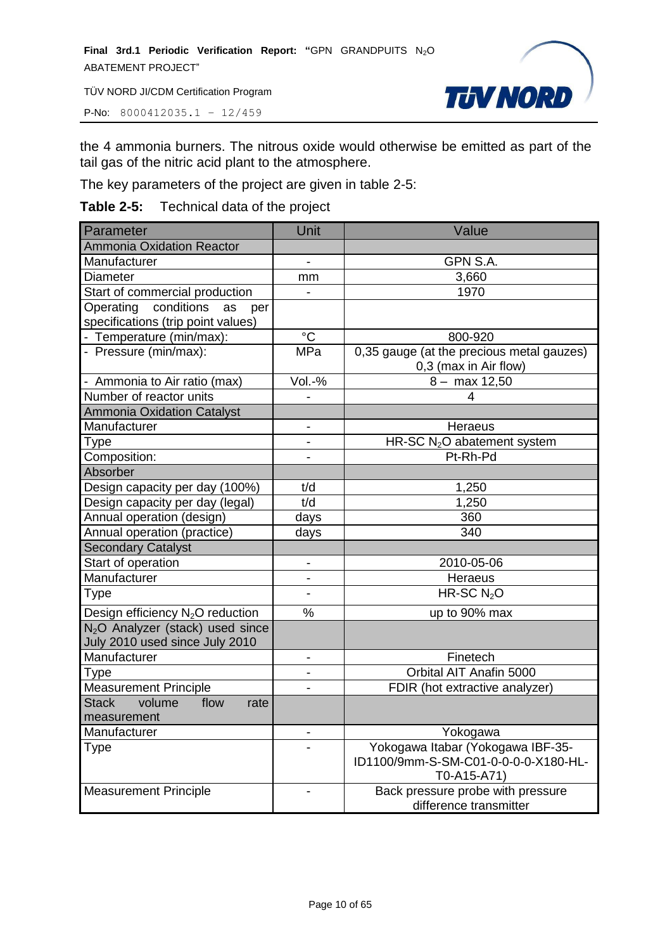P-No: 8000412035.1 – 12/459



the 4 ammonia burners. The nitrous oxide would otherwise be emitted as part of the tail gas of the nitric acid plant to the atmosphere.

The key parameters of the project are given in table 2-5:

#### **Table 2-5:** Technical data of the project

| Parameter                                    | Unit                         | Value                                     |
|----------------------------------------------|------------------------------|-------------------------------------------|
| <b>Ammonia Oxidation Reactor</b>             |                              |                                           |
| Manufacturer                                 | $\overline{\phantom{0}}$     | GPN S.A.                                  |
| <b>Diameter</b>                              | mm                           | 3,660                                     |
| Start of commercial production               |                              | 1970                                      |
| Operating conditions<br>as<br>per            |                              |                                           |
| specifications (trip point values)           |                              |                                           |
| - Temperature (min/max):                     | $^{\circ}C$                  | 800-920                                   |
| - Pressure (min/max):                        | MPa                          | 0,35 gauge (at the precious metal gauzes) |
|                                              |                              | 0,3 (max in Air flow)                     |
| - Ammonia to Air ratio (max)                 | Vol.-%                       | $8 - \text{max } 12,50$                   |
| Number of reactor units                      |                              | 4                                         |
| Ammonia Oxidation Catalyst                   |                              |                                           |
| Manufacturer                                 | -                            | <b>Heraeus</b>                            |
| Type                                         |                              | HR-SC N <sub>2</sub> O abatement system   |
| Composition:                                 |                              | Pt-Rh-Pd                                  |
| Absorber                                     |                              |                                           |
| Design capacity per day (100%)               | t/d                          | 1,250                                     |
| Design capacity per day (legal)              | t/d                          | 1,250                                     |
| Annual operation (design)                    | days                         | 360                                       |
| Annual operation (practice)                  | days                         | 340                                       |
| <b>Secondary Catalyst</b>                    |                              |                                           |
| Start of operation                           | -                            | 2010-05-06                                |
| Manufacturer                                 |                              | <b>Heraeus</b>                            |
| Type                                         |                              | HR-SC $N2O$                               |
| Design efficiency N <sub>2</sub> O reduction | $\frac{0}{0}$                | up to 90% max                             |
| N <sub>2</sub> O Analyzer (stack) used since |                              |                                           |
| July 2010 used since July 2010               |                              |                                           |
| Manufacturer                                 | $\qquad \qquad \blacksquare$ | Finetech                                  |
| Type                                         |                              | Orbital AIT Anafin 5000                   |
| <b>Measurement Principle</b>                 |                              | FDIR (hot extractive analyzer)            |
| <b>Stack</b><br>volume<br>flow<br>rate       |                              |                                           |
| measurement                                  |                              |                                           |
| Manufacturer                                 |                              | Yokogawa                                  |
| Type                                         |                              | Yokogawa Itabar (Yokogawa IBF-35-         |
|                                              |                              | ID1100/9mm-S-SM-C01-0-0-0-0-X180-HL-      |
|                                              |                              | T0-A15-A71)                               |
| <b>Measurement Principle</b>                 |                              | Back pressure probe with pressure         |
|                                              |                              | difference transmitter                    |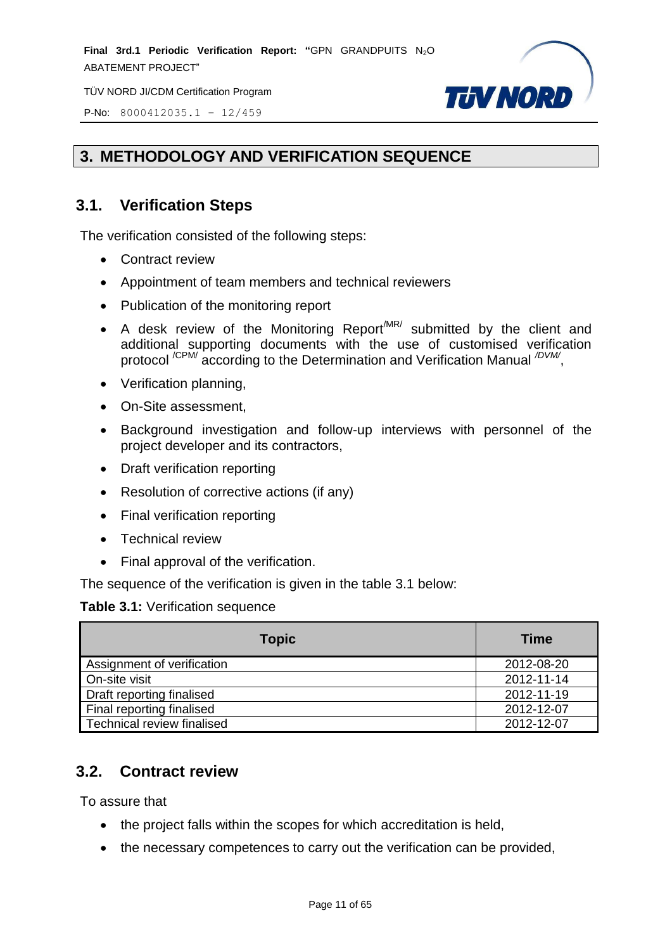**Final 3rd.1 Periodic Verification Report: "GPN GRANDPUITS N<sub>2</sub>O** ABATEMENT PROJECT"

TÜV NORD JI/CDM Certification Program



P-No: 8000412035.1 – 12/459

# <span id="page-10-0"></span>**3. METHODOLOGY AND VERIFICATION SEQUENCE**

# <span id="page-10-1"></span>**3.1. Verification Steps**

The verification consisted of the following steps:

- Contract review
- Appointment of team members and technical reviewers
- Publication of the monitoring report
- A desk review of the Monitoring Report  $M$ R/ submitted by the client and additional supporting documents with the use of customised verification protocol<sup>/CPM/</sup> according to the Determination and Verification Manual <sup>/DVM/</sup>,
- Verification planning,
- On-Site assessment,
- Background investigation and follow-up interviews with personnel of the project developer and its contractors,
- Draft verification reporting
- Resolution of corrective actions (if any)
- Final verification reporting
- Technical review
- Final approval of the verification.

The sequence of the verification is given in the table 3.1 below:

#### **Table 3.1:** Verification sequence

| <b>Topic</b>               | <b>Time</b> |
|----------------------------|-------------|
| Assignment of verification | 2012-08-20  |
| On-site visit              | 2012-11-14  |
| Draft reporting finalised  | 2012-11-19  |
| Final reporting finalised  | 2012-12-07  |
| Technical review finalised | 2012-12-07  |

# <span id="page-10-2"></span>**3.2. Contract review**

To assure that

- the project falls within the scopes for which accreditation is held,
- the necessary competences to carry out the verification can be provided,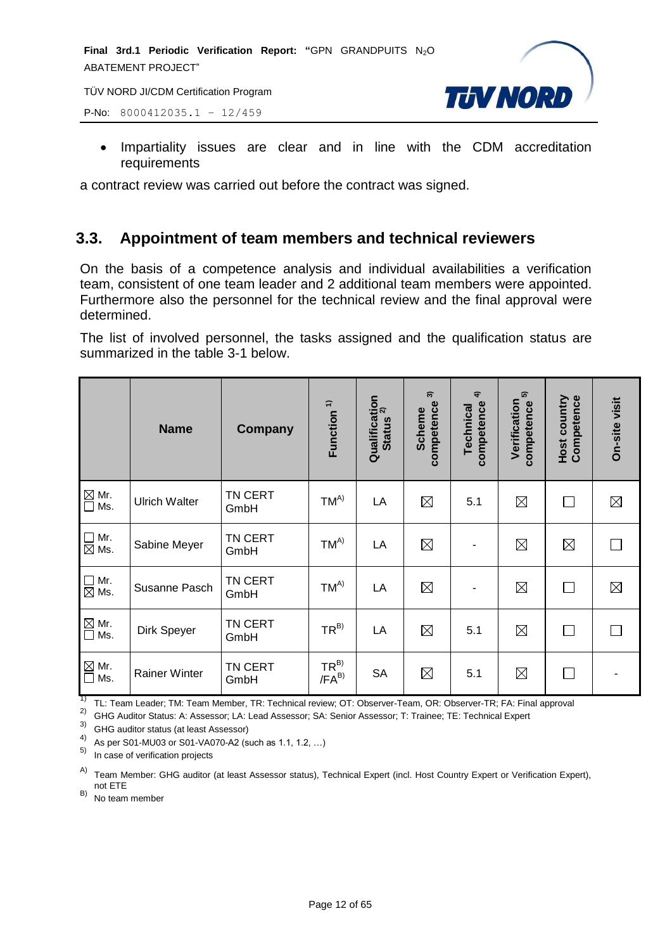



• Impartiality issues are clear and in line with the CDM accreditation requirements

a contract review was carried out before the contract was signed.

# <span id="page-11-0"></span>**3.3. Appointment of team members and technical reviewers**

On the basis of a competence analysis and individual availabilities a verification team, consistent of one team leader and 2 additional team members were appointed. Furthermore also the personnel for the technical review and the final approval were determined.

The list of involved personnel, the tasks assigned and the qualification status are summarized in the table 3-1 below.

|                                   | <b>Name</b>          | Company                | Function <sup>1)</sup>  | Qualification<br>status <sup>2)</sup><br><b>Status</b> | $\widehat{\mathcal{E}}$<br>competence<br><b>Scheme</b> | $\widehat{\mathbf{f}}$<br>competence<br>Technical | ົດ<br>Verification<br>competence | <b>Host country</b><br>Competence | <b>On-site visit</b> |
|-----------------------------------|----------------------|------------------------|-------------------------|--------------------------------------------------------|--------------------------------------------------------|---------------------------------------------------|----------------------------------|-----------------------------------|----------------------|
| $\boxtimes$ Mr.<br>$\square$ Ms.  | <b>Ulrich Walter</b> | <b>TN CERT</b><br>GmbH | $TM^{A)}$               | LA                                                     | $\boxtimes$                                            | 5.1                                               | $\boxtimes$                      | $\perp$                           | $\boxtimes$          |
| $\square$ Mr.<br>$\boxtimes$ Ms.  | Sabine Meyer         | TN CERT<br>GmbH        | $TM^{A)}$               | LA                                                     | $\boxtimes$                                            | $\overline{\phantom{a}}$                          | $\boxtimes$                      | $\boxtimes$                       |                      |
| $\square$ Mr.<br>$\boxtimes$ Ms.  | Susanne Pasch        | TN CERT<br>GmbH        | $TM^{A)}$               | LA                                                     | $\boxtimes$                                            | ٠                                                 | $\boxtimes$                      |                                   | $\boxtimes$          |
| $\boxtimes$ Mr.<br>$\Box$ Ms.     | Dirk Speyer          | TN CERT<br>GmbH        | $TR^{B)}$               | LA                                                     | $\boxtimes$                                            | 5.1                                               | $\boxtimes$                      |                                   |                      |
| $\mathbb{Z}$ Mr.<br>$\square$ Ms. | <b>Rainer Winter</b> | TN CERT<br>GmbH        | $TR^{B)}$<br>$/FA^{B)}$ | <b>SA</b>                                              | $\boxtimes$                                            | 5.1                                               | $\boxtimes$                      |                                   |                      |

1) TL: Team Leader; TM: Team Member, TR: Technical review; OT: Observer-Team, OR: Observer-TR; FA: Final approval

2) GHG Auditor Status: A: Assessor; LA: Lead Assessor; SA: Senior Assessor; T: Trainee; TE: Technical Expert

3) GHG auditor status (at least Assessor)

4) As per S01-MU03 or S01-VA070-A2 (such as 1.1, 1.2, …)

5) In case of verification projects

A) Team Member: GHG auditor (at least Assessor status), Technical Expert (incl. Host Country Expert or Verification Expert), not ETE

 $(B)$  No team member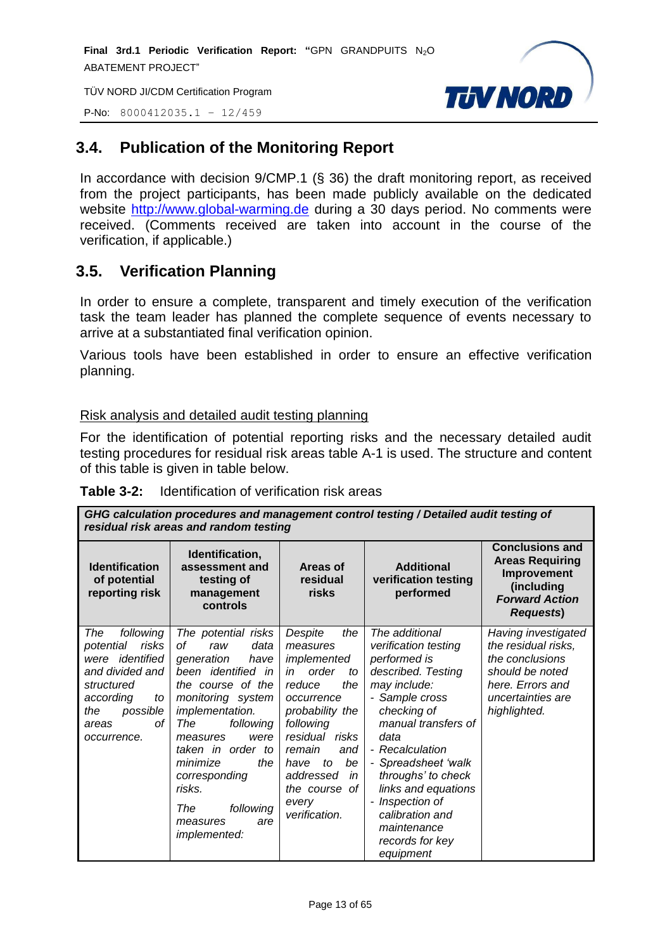**Final 3rd.1 Periodic Verification Report: "**GPN GRANDPUITS N2O ABATEMENT PROJECT"

TÜV NORD JI/CDM Certification Program



P-No: 8000412035.1 – 12/459

# <span id="page-12-0"></span>**3.4. Publication of the Monitoring Report**

In accordance with decision 9/CMP.1 (§ 36) the draft monitoring report, as received from the project participants, has been made publicly available on the dedicated website [http://www.global-warming.de](http://www.global-warming.de/) during a 30 days period. No comments were received. (Comments received are taken into account in the course of the verification, if applicable.)

# <span id="page-12-1"></span>**3.5. Verification Planning**

In order to ensure a complete, transparent and timely execution of the verification task the team leader has planned the complete sequence of events necessary to arrive at a substantiated final verification opinion.

Various tools have been established in order to ensure an effective verification planning.

#### Risk analysis and detailed audit testing planning

For the identification of potential reporting risks and the necessary detailed audit testing procedures for residual risk areas table A-1 is used. The structure and content of this table is given in table below.

| GHG calculation procedures and management control testing / Detailed audit testing of<br>residual risk areas and random testing                                   |                                                                                                                                                                                                                                                                                                                            |                                                                                                                                                                                                                                                    |                                                                                                                                                                                                                                                                                                                                             |                                                                                                                                           |  |
|-------------------------------------------------------------------------------------------------------------------------------------------------------------------|----------------------------------------------------------------------------------------------------------------------------------------------------------------------------------------------------------------------------------------------------------------------------------------------------------------------------|----------------------------------------------------------------------------------------------------------------------------------------------------------------------------------------------------------------------------------------------------|---------------------------------------------------------------------------------------------------------------------------------------------------------------------------------------------------------------------------------------------------------------------------------------------------------------------------------------------|-------------------------------------------------------------------------------------------------------------------------------------------|--|
| <b>Identification</b><br>of potential<br>reporting risk                                                                                                           | Identification,<br>assessment and<br>testing of<br>management<br>controls                                                                                                                                                                                                                                                  | Areas of<br>residual<br>risks                                                                                                                                                                                                                      | <b>Additional</b><br>verification testing<br>performed                                                                                                                                                                                                                                                                                      | <b>Conclusions and</b><br><b>Areas Requiring</b><br>Improvement<br>(including<br><b>Forward Action</b><br><b>Requests)</b>                |  |
| The<br>following<br>potential<br>risks<br>identified<br>were<br>and divided and<br>structured<br>according<br>to<br>the<br>possible<br>οf<br>areas<br>occurrence. | The potential risks<br>data<br>оf<br>raw<br>generation<br>have<br>been identified in<br>the course of the<br>monitoring system<br>implementation.<br>following<br>The<br>were<br>measures<br>taken in order to<br>the<br>minimize<br>corresponding<br>risks.<br>The<br>following<br>are<br>measures<br><i>implemented:</i> | Despite<br>the<br>measures<br>implemented<br>order<br>in<br>to<br>reduce<br>the<br>occurrence<br>probability the<br>following<br>residual risks<br>remain<br>and<br>be<br>to<br>have<br>addressed<br>in<br>the course of<br>every<br>verification. | The additional<br>verification testing<br>performed is<br>described. Testing<br>may include:<br>- Sample cross<br>checking of<br>manual transfers of<br>data<br>- Recalculation<br>- Spreadsheet 'walk<br>throughs' to check<br>links and equations<br>Inspection of<br>٠<br>calibration and<br>maintenance<br>records for key<br>equipment | Having investigated<br>the residual risks,<br>the conclusions<br>should be noted<br>here. Errors and<br>uncertainties are<br>highlighted. |  |

| <b>Table 3-2:</b><br>Identification of verification risk areas |  |
|----------------------------------------------------------------|--|
|----------------------------------------------------------------|--|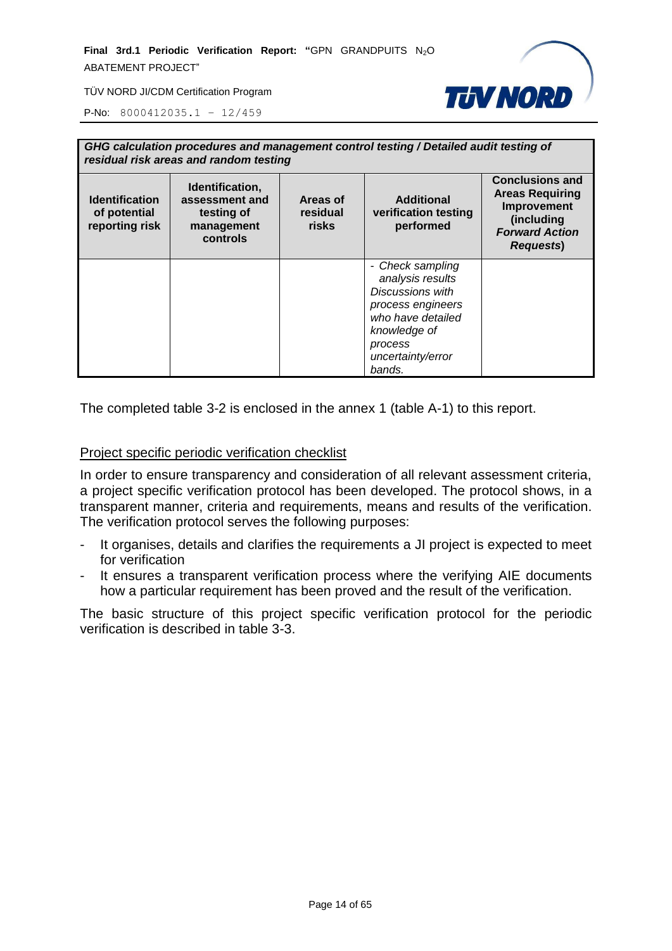**Final 3rd.1 Periodic Verification Report: "**GPN GRANDPUITS N2O ABATEMENT PROJECT"



TÜV NORD JI/CDM Certification Program

P-No: 8000412035.1 – 12/459

| GHG calculation procedures and management control testing / Detailed audit testing of<br>residual risk areas and random testing |                                                                           |                                      |                                                                                                                                                                     |                                                                                                                             |
|---------------------------------------------------------------------------------------------------------------------------------|---------------------------------------------------------------------------|--------------------------------------|---------------------------------------------------------------------------------------------------------------------------------------------------------------------|-----------------------------------------------------------------------------------------------------------------------------|
| <b>Identification</b><br>of potential<br>reporting risk                                                                         | Identification,<br>assessment and<br>testing of<br>management<br>controls | Areas of<br>residual<br><b>risks</b> | <b>Additional</b><br>verification testing<br>performed                                                                                                              | <b>Conclusions and</b><br><b>Areas Requiring</b><br>Improvement<br>(including<br><b>Forward Action</b><br><b>Requests</b> ) |
|                                                                                                                                 |                                                                           |                                      | - Check sampling<br>analysis results<br><b>Discussions with</b><br>process engineers<br>who have detailed<br>knowledge of<br>process<br>uncertainty/error<br>bands. |                                                                                                                             |

The completed table 3-2 is enclosed in the annex 1 (table A-1) to this report.

#### Project specific periodic verification checklist

In order to ensure transparency and consideration of all relevant assessment criteria, a project specific verification protocol has been developed. The protocol shows, in a transparent manner, criteria and requirements, means and results of the verification. The verification protocol serves the following purposes:

- It organises, details and clarifies the requirements a JI project is expected to meet for verification
- It ensures a transparent verification process where the verifying AIE documents how a particular requirement has been proved and the result of the verification.

The basic structure of this project specific verification protocol for the periodic verification is described in table 3-3.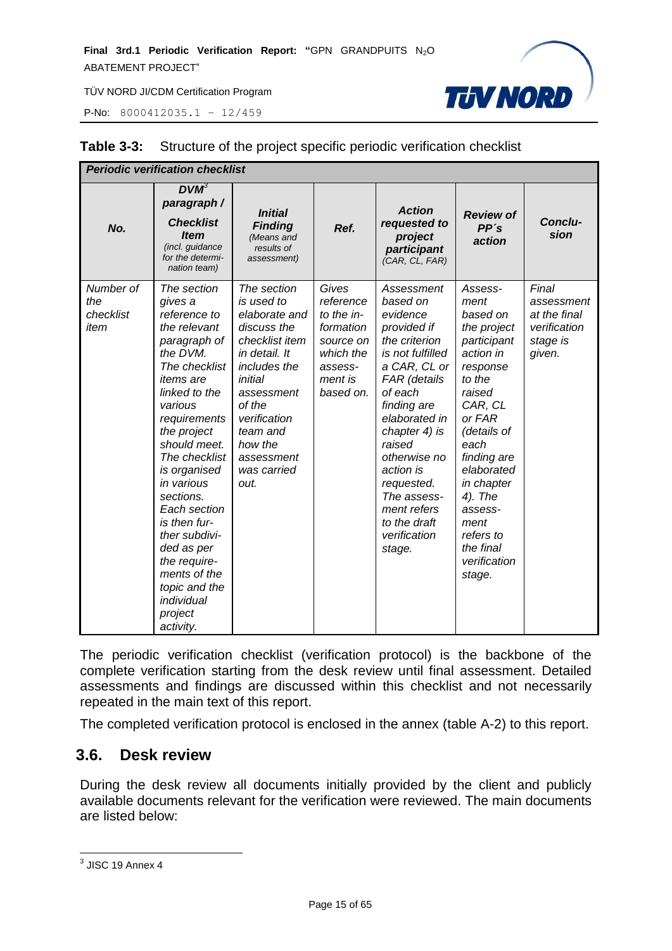P-No: 8000412035.1 – 12/459



| <b>Periodic verification checklist</b> |                                                                                                                                                                                                                                                                                                                                                                                                                      |                                                                                                                                                                                                                             |                                                                                                            |                                                                                                                                                                                                                                                                                                                 |                                                                                                                                                                                                                                                                                 |                                                                           |
|----------------------------------------|----------------------------------------------------------------------------------------------------------------------------------------------------------------------------------------------------------------------------------------------------------------------------------------------------------------------------------------------------------------------------------------------------------------------|-----------------------------------------------------------------------------------------------------------------------------------------------------------------------------------------------------------------------------|------------------------------------------------------------------------------------------------------------|-----------------------------------------------------------------------------------------------------------------------------------------------------------------------------------------------------------------------------------------------------------------------------------------------------------------|---------------------------------------------------------------------------------------------------------------------------------------------------------------------------------------------------------------------------------------------------------------------------------|---------------------------------------------------------------------------|
| No.                                    | $DVM^3$<br>paragraph /<br><b>Checklist</b><br><b>Item</b><br>(incl. guidance<br>for the determi-<br>nation team)                                                                                                                                                                                                                                                                                                     | <b>Initial</b><br><b>Finding</b><br>(Means and<br>results of<br>assessment)                                                                                                                                                 | Ref.                                                                                                       | <b>Action</b><br>requested to<br>project<br>participant<br>(CAR, CL, FAR)                                                                                                                                                                                                                                       | <b>Review of</b><br>PP's<br>action                                                                                                                                                                                                                                              | Conclu-<br>sion                                                           |
| Number of<br>the<br>checklist<br>item  | The section<br>gives a<br>reference to<br>the relevant<br>paragraph of<br>the DVM.<br>The checklist<br><i>items</i> are<br>linked to the<br>various<br>requirements<br>the project<br>should meet.<br>The checklist<br>is organised<br>in various<br>sections.<br>Each section<br>is then fur-<br>ther subdivi-<br>ded as per<br>the require-<br>ments of the<br>topic and the<br>individual<br>project<br>activity. | The section<br>is used to<br>elaborate and<br>discuss the<br>checklist item<br>in detail. It<br>includes the<br>initial<br>assessment<br>of the<br>verification<br>team and<br>how the<br>assessment<br>was carried<br>out. | Gives<br>reference<br>to the in-<br>formation<br>source on<br>which the<br>assess-<br>ment is<br>based on. | Assessment<br>based on<br>evidence<br>provided if<br>the criterion<br>is not fulfilled<br>a CAR, CL or<br>FAR (details<br>of each<br>finding are<br>elaborated in<br>chapter 4) is<br>raised<br>otherwise no<br>action is<br>requested.<br>The assess-<br>ment refers<br>to the draft<br>verification<br>stage. | Assess-<br>ment<br>based on<br>the project<br>participant<br>action in<br>response<br>to the<br>raised<br>CAR, CL<br>or FAR<br>(details of<br>each<br>finding are<br>elaborated<br>in chapter<br>4). The<br>assess-<br>ment<br>refers to<br>the final<br>verification<br>stage. | Final<br>assessment<br>at the final<br>verification<br>stage is<br>given. |

#### **Table 3-3:** Structure of the project specific periodic verification checklist

The periodic verification checklist (verification protocol) is the backbone of the complete verification starting from the desk review until final assessment. Detailed assessments and findings are discussed within this checklist and not necessarily repeated in the main text of this report.

The completed verification protocol is enclosed in the annex (table A-2) to this report.

#### <span id="page-14-0"></span>**3.6. Desk review**

During the desk review all documents initially provided by the client and publicly available documents relevant for the verification were reviewed. The main documents are listed below:

 3 JISC 19 Annex 4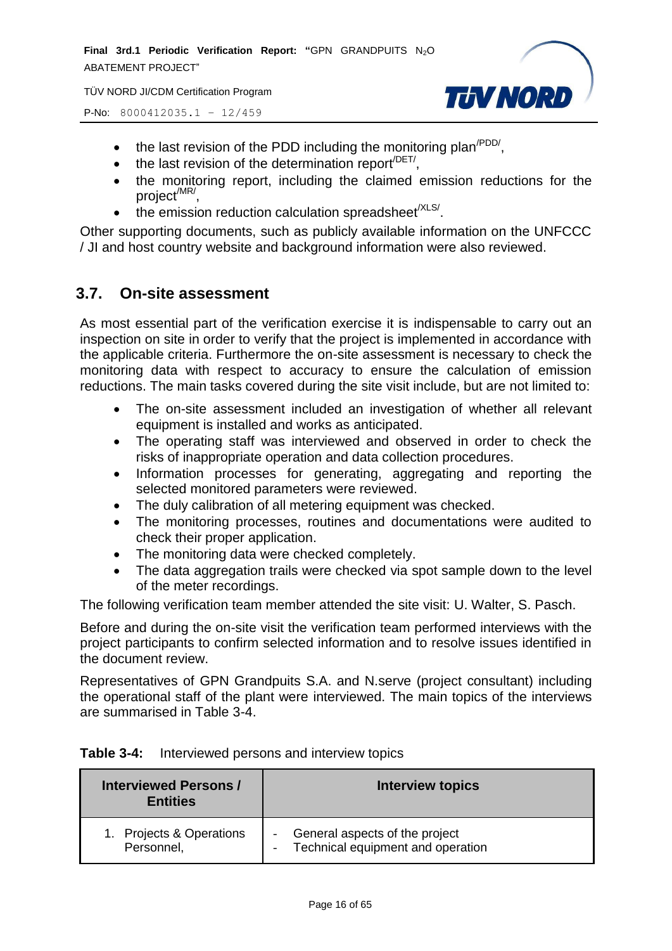**Final 3rd.1 Periodic Verification Report: "GPN GRANDPUITS N<sub>2</sub>O** ABATEMENT PROJECT"

TÜV NORD JI/CDM Certification Program





- $\bullet$  the last revision of the PDD including the monitoring plan<sup>/PDD/</sup>,
- $\bullet$  the last revision of the determination report<sup>/DET/</sup>,
- the monitoring report, including the claimed emission reductions for the project<sup>/MR/</sup>,
- $\bullet$  the emission reduction calculation spreadsheet<sup>/XLS/</sup>.

Other supporting documents, such as publicly available information on the UNFCCC / JI and host country website and background information were also reviewed.

#### <span id="page-15-0"></span>**3.7. On-site assessment**

As most essential part of the verification exercise it is indispensable to carry out an inspection on site in order to verify that the project is implemented in accordance with the applicable criteria. Furthermore the on-site assessment is necessary to check the monitoring data with respect to accuracy to ensure the calculation of emission reductions. The main tasks covered during the site visit include, but are not limited to:

- The on-site assessment included an investigation of whether all relevant equipment is installed and works as anticipated.
- The operating staff was interviewed and observed in order to check the risks of inappropriate operation and data collection procedures.
- Information processes for generating, aggregating and reporting the selected monitored parameters were reviewed.
- The duly calibration of all metering equipment was checked.
- The monitoring processes, routines and documentations were audited to check their proper application.
- The monitoring data were checked completely.
- The data aggregation trails were checked via spot sample down to the level of the meter recordings.

The following verification team member attended the site visit: U. Walter, S. Pasch.

Before and during the on-site visit the verification team performed interviews with the project participants to confirm selected information and to resolve issues identified in the document review.

Representatives of GPN Grandpuits S.A. and N.serve (project consultant) including the operational staff of the plant were interviewed. The main topics of the interviews are summarised in Table 3-4.

| <b>Table 3-4:</b> |  |  | Interviewed persons and interview topics |
|-------------------|--|--|------------------------------------------|
|-------------------|--|--|------------------------------------------|

| <b>Interviewed Persons /</b><br><b>Entities</b> | <b>Interview topics</b>           |
|-------------------------------------------------|-----------------------------------|
| 1. Projects & Operations                        | General aspects of the project    |
| Personnel,                                      | Technical equipment and operation |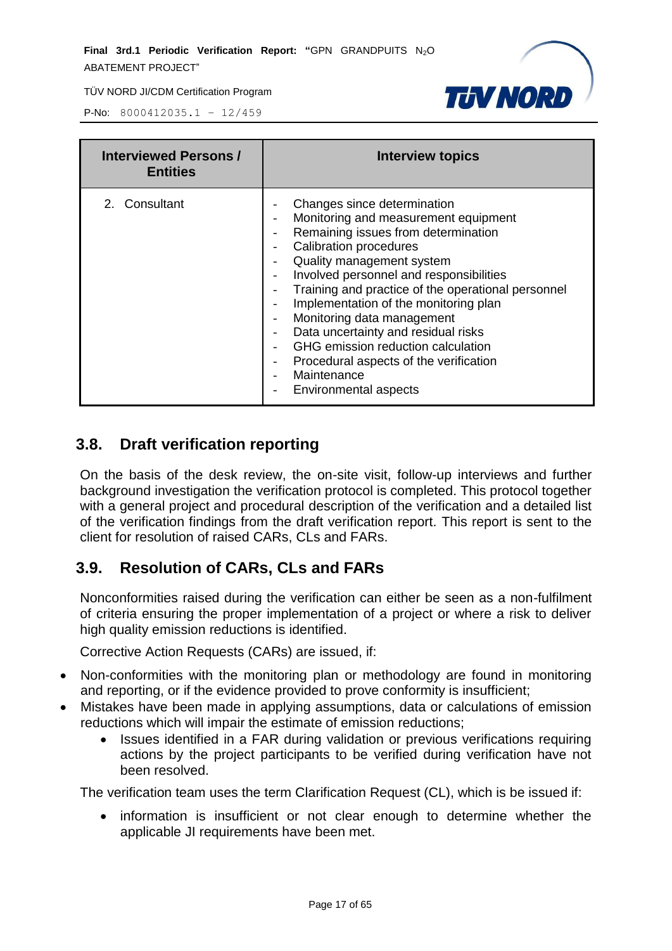

P-No: 8000412035.1 – 12/459

| <b>Interviewed Persons /</b><br><b>Entities</b> | <b>Interview topics</b>                                                                                                                                                                                                                                                                                                                                                                                                                                                                                                                                                 |
|-------------------------------------------------|-------------------------------------------------------------------------------------------------------------------------------------------------------------------------------------------------------------------------------------------------------------------------------------------------------------------------------------------------------------------------------------------------------------------------------------------------------------------------------------------------------------------------------------------------------------------------|
| 2. Consultant                                   | Changes since determination<br>Monitoring and measurement equipment<br>Remaining issues from determination<br>$\overline{\phantom{a}}$<br><b>Calibration procedures</b><br>Quality management system<br>Involved personnel and responsibilities<br>Training and practice of the operational personnel<br>Implementation of the monitoring plan<br>Monitoring data management<br>Data uncertainty and residual risks<br>GHG emission reduction calculation<br>Procedural aspects of the verification<br>$\overline{\phantom{a}}$<br>Maintenance<br>Environmental aspects |

#### <span id="page-16-0"></span>**3.8. Draft verification reporting**

On the basis of the desk review, the on-site visit, follow-up interviews and further background investigation the verification protocol is completed. This protocol together with a general project and procedural description of the verification and a detailed list of the verification findings from the draft verification report. This report is sent to the client for resolution of raised CARs, CLs and FARs.

# <span id="page-16-1"></span>**3.9. Resolution of CARs, CLs and FARs**

Nonconformities raised during the verification can either be seen as a non-fulfilment of criteria ensuring the proper implementation of a project or where a risk to deliver high quality emission reductions is identified.

Corrective Action Requests (CARs) are issued, if:

- Non-conformities with the monitoring plan or methodology are found in monitoring and reporting, or if the evidence provided to prove conformity is insufficient;
- Mistakes have been made in applying assumptions, data or calculations of emission reductions which will impair the estimate of emission reductions;
	- Issues identified in a FAR during validation or previous verifications requiring actions by the project participants to be verified during verification have not been resolved.

The verification team uses the term Clarification Request (CL), which is be issued if:

• information is insufficient or not clear enough to determine whether the applicable JI requirements have been met.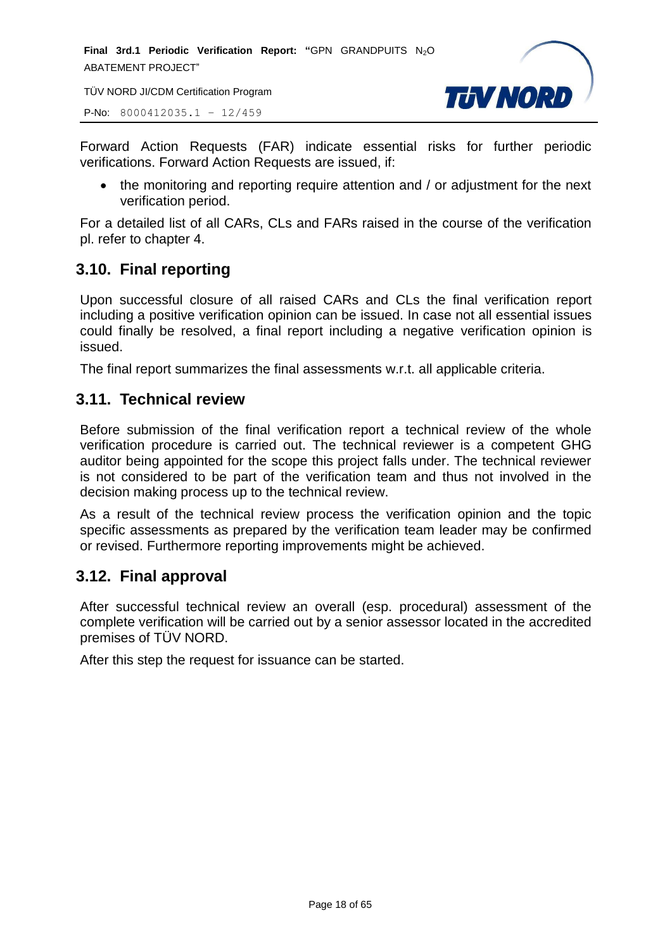**Final 3rd.1 Periodic Verification Report: "GPN GRANDPUITS N<sub>2</sub>O** ABATEMENT PROJECT"

TÜV NORD JI/CDM Certification Program

P-No: 8000412035.1 – 12/459



Forward Action Requests (FAR) indicate essential risks for further periodic verifications. Forward Action Requests are issued, if:

• the monitoring and reporting require attention and / or adjustment for the next verification period.

For a detailed list of all CARs, CLs and FARs raised in the course of the verification pl. refer to chapter 4.

# <span id="page-17-0"></span>**3.10. Final reporting**

Upon successful closure of all raised CARs and CLs the final verification report including a positive verification opinion can be issued. In case not all essential issues could finally be resolved, a final report including a negative verification opinion is issued.

The final report summarizes the final assessments w.r.t. all applicable criteria.

#### <span id="page-17-1"></span>**3.11. Technical review**

Before submission of the final verification report a technical review of the whole verification procedure is carried out. The technical reviewer is a competent GHG auditor being appointed for the scope this project falls under. The technical reviewer is not considered to be part of the verification team and thus not involved in the decision making process up to the technical review.

As a result of the technical review process the verification opinion and the topic specific assessments as prepared by the verification team leader may be confirmed or revised. Furthermore reporting improvements might be achieved.

# <span id="page-17-2"></span>**3.12. Final approval**

After successful technical review an overall (esp. procedural) assessment of the complete verification will be carried out by a senior assessor located in the accredited premises of TÜV NORD.

After this step the request for issuance can be started.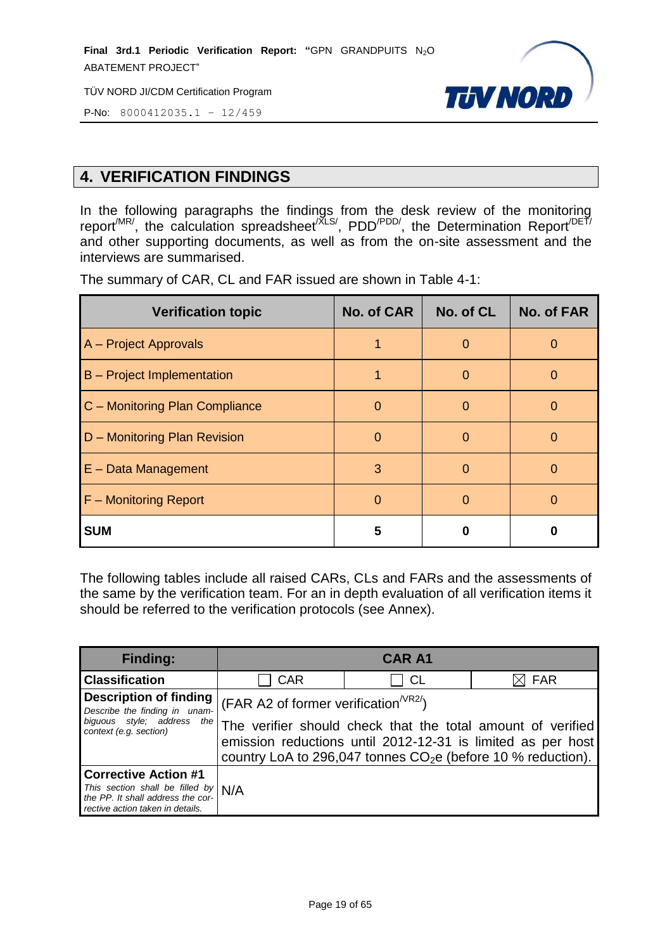**Final 3rd.1 Periodic Verification Report: "**GPN GRANDPUITS N2O ABATEMENT PROJECT"

TÜV NORD JI/CDM Certification Program



P-No: 8000412035.1 – 12/459

# <span id="page-18-0"></span>**4. VERIFICATION FINDINGS**

In the following paragraphs the findings from the desk review of the monitoring report<sup>/MR/</sup>, the calculation spreadsheet<sup>/XLS/</sup>, PDD<sup>/PDD/</sup>, the Determination Report<sup>/DET/</sup> and other supporting documents, as well as from the on-site assessment and the interviews are summarised.

| <b>Verification topic</b>         | No. of CAR | No. of CL | <b>No. of FAR</b> |
|-----------------------------------|------------|-----------|-------------------|
| A - Project Approvals             |            | O         | O                 |
| <b>B</b> – Project Implementation |            | $\Omega$  | O                 |
| C - Monitoring Plan Compliance    |            | O         | O                 |
| D - Monitoring Plan Revision      | O          | O         |                   |
| $E - Data Management$             | 3          | $\Omega$  | O                 |
| F - Monitoring Report             |            |           | 0                 |
| <b>SUM</b>                        | 5          |           |                   |

The summary of CAR, CL and FAR issued are shown in Table 4-1:

The following tables include all raised CARs, CLs and FARs and the assessments of the same by the verification team. For an in depth evaluation of all verification items it should be referred to the verification protocols (see Annex).

| <b>Finding:</b>                                                                                                | <b>CAR A1</b>                                                                                                                                                                               |           |            |  |
|----------------------------------------------------------------------------------------------------------------|---------------------------------------------------------------------------------------------------------------------------------------------------------------------------------------------|-----------|------------|--|
| <b>Classification</b>                                                                                          | <b>CAR</b>                                                                                                                                                                                  | <b>CL</b> | <b>FAR</b> |  |
| <b>Description of finding</b><br>Describe the finding in unam-                                                 | (FAR A2 of former verification <sup><math>V</math>R2/</sup> )                                                                                                                               |           |            |  |
| biguous style; address<br>the<br>context (e.g. section)                                                        | The verifier should check that the total amount of verified<br>emission reductions until 2012-12-31 is limited as per host<br>country LoA to 296,047 tonnes $CO2e$ (before 10 % reduction). |           |            |  |
| <b>Corrective Action #1</b>                                                                                    |                                                                                                                                                                                             |           |            |  |
| This section shall be filled by $N/A$<br>the PP. It shall address the cor-<br>rective action taken in details. |                                                                                                                                                                                             |           |            |  |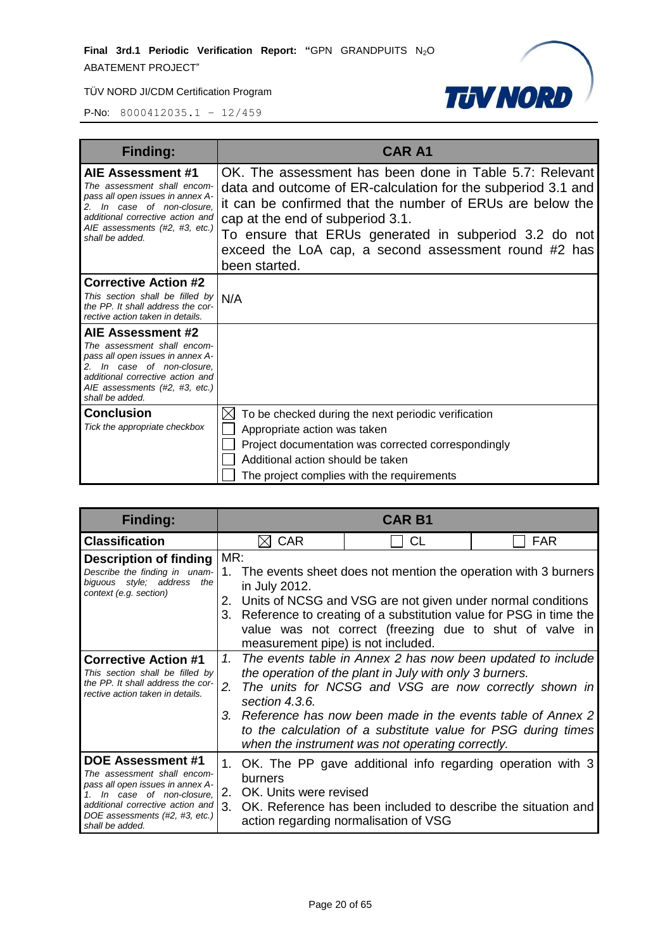

| <b>Finding:</b>                                                                                                                                                                                             | <b>CAR A1</b>                                                                                                                                                                                                                                                                                                                                              |
|-------------------------------------------------------------------------------------------------------------------------------------------------------------------------------------------------------------|------------------------------------------------------------------------------------------------------------------------------------------------------------------------------------------------------------------------------------------------------------------------------------------------------------------------------------------------------------|
| AIE Assessment #1<br>The assessment shall encom-<br>pass all open issues in annex A-<br>2. In case of non-closure,<br>additional corrective action and<br>AIE assessments (#2, #3, etc.)<br>shall be added. | OK. The assessment has been done in Table 5.7: Relevant<br>data and outcome of ER-calculation for the subperiod 3.1 and<br>it can be confirmed that the number of ERUs are below the<br>cap at the end of subperiod 3.1.<br>To ensure that ERUs generated in subperiod 3.2 do not<br>exceed the LoA cap, a second assessment round #2 has<br>been started. |
| <b>Corrective Action #2</b><br>This section shall be filled by<br>the PP. It shall address the cor-<br>rective action taken in details.                                                                     | N/A                                                                                                                                                                                                                                                                                                                                                        |
| AIE Assessment #2<br>The assessment shall encom-<br>pass all open issues in annex A-<br>2. In case of non-closure,<br>additional corrective action and<br>AIE assessments (#2, #3, etc.)<br>shall be added. |                                                                                                                                                                                                                                                                                                                                                            |
| <b>Conclusion</b><br>Tick the appropriate checkbox                                                                                                                                                          | To be checked during the next periodic verification<br>$\times$<br>Appropriate action was taken<br>Project documentation was corrected correspondingly<br>Additional action should be taken<br>The project complies with the requirements                                                                                                                  |

| <b>Finding:</b>                                                                                                                                                                                          | <b>CAR B1</b>                                                                                                                                                                                                                                                                                                                                                                                       |                                                                                                                                                                         |            |
|----------------------------------------------------------------------------------------------------------------------------------------------------------------------------------------------------------|-----------------------------------------------------------------------------------------------------------------------------------------------------------------------------------------------------------------------------------------------------------------------------------------------------------------------------------------------------------------------------------------------------|-------------------------------------------------------------------------------------------------------------------------------------------------------------------------|------------|
| <b>Classification</b>                                                                                                                                                                                    | <b>CAR</b>                                                                                                                                                                                                                                                                                                                                                                                          | СL                                                                                                                                                                      | <b>FAR</b> |
| <b>Description of finding</b><br>Describe the finding in unam-<br>biguous style; address<br>the<br>context (e.g. section)                                                                                | MR:<br>The events sheet does not mention the operation with 3 burners<br>$\mathbf 1$ .<br>in July 2012.<br>2. Units of NCSG and VSG are not given under normal conditions<br>Reference to creating of a substitution value for PSG in time the<br>3.<br>value was not correct (freezing due to shut of valve in<br>measurement pipe) is not included.                                               |                                                                                                                                                                         |            |
| <b>Corrective Action #1</b><br>This section shall be filled by<br>the PP. It shall address the cor-<br>rective action taken in details.                                                                  | The events table in Annex 2 has now been updated to include<br>1.<br>the operation of the plant in July with only 3 burners.<br>2.<br>The units for NCSG and VSG are now correctly shown in<br>section 4.3.6.<br>3. Reference has now been made in the events table of Annex 2<br>to the calculation of a substitute value for PSG during times<br>when the instrument was not operating correctly. |                                                                                                                                                                         |            |
| DOE Assessment #1<br>The assessment shall encom-<br>pass all open issues in annex A-<br>In case of non-closure.<br>additional corrective action and<br>DOE assessments (#2, #3, etc.)<br>shall be added. | burners<br>OK. Units were revised<br>2.<br>3.                                                                                                                                                                                                                                                                                                                                                       | 1. OK. The PP gave additional info regarding operation with 3<br>OK. Reference has been included to describe the situation and<br>action regarding normalisation of VSG |            |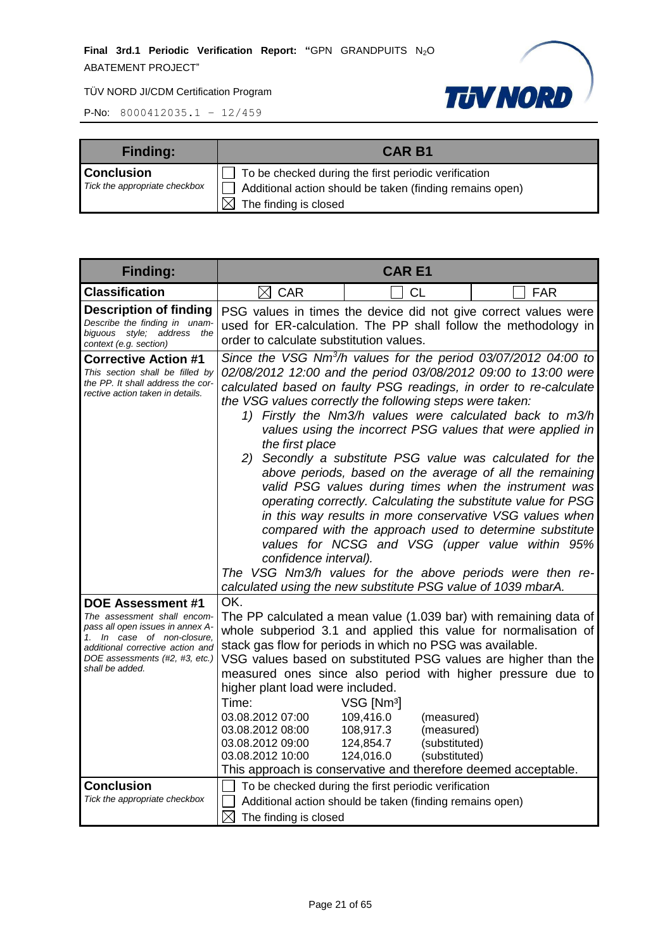

| <b>Finding:</b>                                    | <b>CAR B1</b>                                                                                                                             |
|----------------------------------------------------|-------------------------------------------------------------------------------------------------------------------------------------------|
| <b>Conclusion</b><br>Tick the appropriate checkbox | To be checked during the first periodic verification<br>Additional action should be taken (finding remains open)<br>The finding is closed |

| <b>Finding:</b>                                                                                                                                                                                                    | <b>CARE1</b>                                                                                                                                                                                                                                                                                                                                                                                                                                                                                                                                                                                                                                                                                                                                                                                                                                                                                                                                                                                                 |                                                                                                                                                                                                            |                                                                                                                                                                                                                                                                       |
|--------------------------------------------------------------------------------------------------------------------------------------------------------------------------------------------------------------------|--------------------------------------------------------------------------------------------------------------------------------------------------------------------------------------------------------------------------------------------------------------------------------------------------------------------------------------------------------------------------------------------------------------------------------------------------------------------------------------------------------------------------------------------------------------------------------------------------------------------------------------------------------------------------------------------------------------------------------------------------------------------------------------------------------------------------------------------------------------------------------------------------------------------------------------------------------------------------------------------------------------|------------------------------------------------------------------------------------------------------------------------------------------------------------------------------------------------------------|-----------------------------------------------------------------------------------------------------------------------------------------------------------------------------------------------------------------------------------------------------------------------|
| <b>Classification</b>                                                                                                                                                                                              | $\boxtimes$ CAR                                                                                                                                                                                                                                                                                                                                                                                                                                                                                                                                                                                                                                                                                                                                                                                                                                                                                                                                                                                              | <b>CL</b>                                                                                                                                                                                                  | <b>FAR</b>                                                                                                                                                                                                                                                            |
| <b>Description of finding</b><br>Describe the finding in unam-<br>biguous style; address the<br>context (e.g. section)                                                                                             | PSG values in times the device did not give correct values were<br>used for ER-calculation. The PP shall follow the methodology in<br>order to calculate substitution values.                                                                                                                                                                                                                                                                                                                                                                                                                                                                                                                                                                                                                                                                                                                                                                                                                                |                                                                                                                                                                                                            |                                                                                                                                                                                                                                                                       |
| <b>Corrective Action #1</b><br>This section shall be filled by<br>the PP. It shall address the cor-<br>rective action taken in details.                                                                            | Since the VSG Nm <sup>3</sup> /h values for the period 03/07/2012 04:00 to<br>02/08/2012 12:00 and the period 03/08/2012 09:00 to 13:00 were<br>calculated based on faulty PSG readings, in order to re-calculate<br>the VSG values correctly the following steps were taken:<br>1) Firstly the Nm3/h values were calculated back to m3/h<br>values using the incorrect PSG values that were applied in<br>the first place<br>2) Secondly a substitute PSG value was calculated for the<br>above periods, based on the average of all the remaining<br>valid PSG values during times when the instrument was<br>operating correctly. Calculating the substitute value for PSG<br>in this way results in more conservative VSG values when<br>compared with the approach used to determine substitute<br>values for NCSG and VSG (upper value within 95%<br>confidence interval).<br>The VSG Nm3/h values for the above periods were then re-<br>calculated using the new substitute PSG value of 1039 mbarA. |                                                                                                                                                                                                            |                                                                                                                                                                                                                                                                       |
| <b>DOE Assessment #1</b><br>The assessment shall encom-<br>pass all open issues in annex A-<br>1. In case of non-closure,<br>additional corrective action and<br>DOE assessments (#2, #3, etc.)<br>shall be added. | OK.<br>stack gas flow for periods in which no PSG was available.<br>higher plant load were included.<br>Time:<br>03.08.2012 07:00<br>03.08.2012 08:00<br>03.08.2012 09:00<br>03.08.2012 10:00                                                                                                                                                                                                                                                                                                                                                                                                                                                                                                                                                                                                                                                                                                                                                                                                                | VSG [Nm <sup>3</sup> ]<br>109,416.0<br>(measured)<br>108,917.3<br>(measured)<br>124,854.7<br>(substituted)<br>124,016.0<br>(substituted)<br>This approach is conservative and therefore deemed acceptable. | The PP calculated a mean value (1.039 bar) with remaining data of<br>whole subperiod 3.1 and applied this value for normalisation of<br>VSG values based on substituted PSG values are higher than the<br>measured ones since also period with higher pressure due to |
| <b>Conclusion</b><br>Tick the appropriate checkbox                                                                                                                                                                 | To be checked during the first periodic verification<br>Additional action should be taken (finding remains open)<br>$\boxtimes$<br>The finding is closed                                                                                                                                                                                                                                                                                                                                                                                                                                                                                                                                                                                                                                                                                                                                                                                                                                                     |                                                                                                                                                                                                            |                                                                                                                                                                                                                                                                       |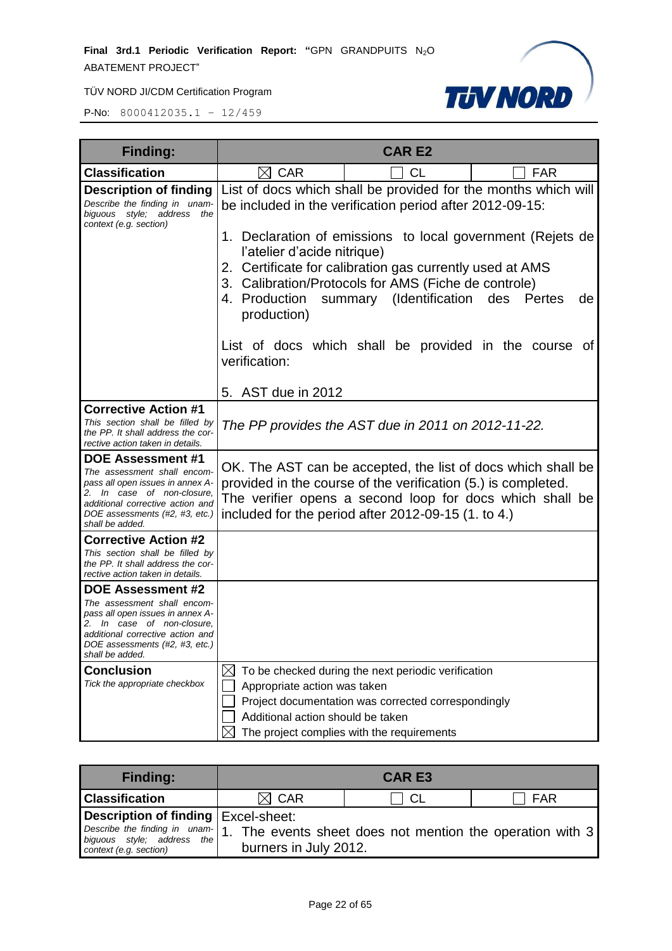

| <b>Finding:</b>                                                                                                                                                                                                    | <b>CAR E2</b>                                                                                                                                                                                                                                                                             |  |  |
|--------------------------------------------------------------------------------------------------------------------------------------------------------------------------------------------------------------------|-------------------------------------------------------------------------------------------------------------------------------------------------------------------------------------------------------------------------------------------------------------------------------------------|--|--|
| <b>Classification</b>                                                                                                                                                                                              | $\boxtimes$ CAR<br>CL<br><b>FAR</b>                                                                                                                                                                                                                                                       |  |  |
| <b>Description of finding</b><br>Describe the finding in unam-<br>biguous style; address<br>the<br>context (e.g. section)                                                                                          | List of docs which shall be provided for the months which will<br>be included in the verification period after 2012-09-15:                                                                                                                                                                |  |  |
|                                                                                                                                                                                                                    | 1. Declaration of emissions to local government (Rejets de<br>l'atelier d'acide nitrique)<br>2. Certificate for calibration gas currently used at AMS<br>3. Calibration/Protocols for AMS (Fiche de controle)<br>4. Production summary (Identification des<br>Pertes<br>de<br>production) |  |  |
|                                                                                                                                                                                                                    | List of docs which shall be provided in the course of<br>verification:                                                                                                                                                                                                                    |  |  |
|                                                                                                                                                                                                                    | 5. AST due in 2012                                                                                                                                                                                                                                                                        |  |  |
| <b>Corrective Action #1</b><br>This section shall be filled by<br>the PP. It shall address the cor-<br>rective action taken in details.                                                                            | The PP provides the AST due in 2011 on 2012-11-22.                                                                                                                                                                                                                                        |  |  |
| <b>DOE Assessment #1</b><br>The assessment shall encom-<br>pass all open issues in annex A-<br>2. In case of non-closure,<br>additional corrective action and<br>DOE assessments (#2, #3, etc.)<br>shall be added. | OK. The AST can be accepted, the list of docs which shall be<br>provided in the course of the verification (5.) is completed.<br>The verifier opens a second loop for docs which shall be<br>included for the period after 2012-09-15 (1. to 4.)                                          |  |  |
| <b>Corrective Action #2</b>                                                                                                                                                                                        |                                                                                                                                                                                                                                                                                           |  |  |
| This section shall be filled by<br>the PP. It shall address the cor-<br>rective action taken in details.                                                                                                           |                                                                                                                                                                                                                                                                                           |  |  |
| <b>DOE Assessment #2</b>                                                                                                                                                                                           |                                                                                                                                                                                                                                                                                           |  |  |
| The assessment shall encom-<br>pass all open issues in annex A-<br>2. In case of non-closure,<br>additional corrective action and<br>DOE assessments (#2, #3, etc.)<br>shall be added.                             |                                                                                                                                                                                                                                                                                           |  |  |
| <b>Conclusion</b>                                                                                                                                                                                                  | IХI<br>To be checked during the next periodic verification                                                                                                                                                                                                                                |  |  |
| Tick the appropriate checkbox                                                                                                                                                                                      | Appropriate action was taken                                                                                                                                                                                                                                                              |  |  |
|                                                                                                                                                                                                                    | Project documentation was corrected correspondingly                                                                                                                                                                                                                                       |  |  |
|                                                                                                                                                                                                                    | Additional action should be taken                                                                                                                                                                                                                                                         |  |  |
|                                                                                                                                                                                                                    | The project complies with the requirements                                                                                                                                                                                                                                                |  |  |

| <b>Finding:</b>                                      | <b>CAR E3</b>                                                                                                   |  |  |
|------------------------------------------------------|-----------------------------------------------------------------------------------------------------------------|--|--|
| <b>Classification</b>                                | $\boxtimes$ CAR<br>FAR<br>-CL                                                                                   |  |  |
| Description of finding   Excel-sheet:                |                                                                                                                 |  |  |
| biguous style; address the<br>context (e.g. section) | Describe the finding in unam-1. The events sheet does not mention the operation with 3<br>burners in July 2012. |  |  |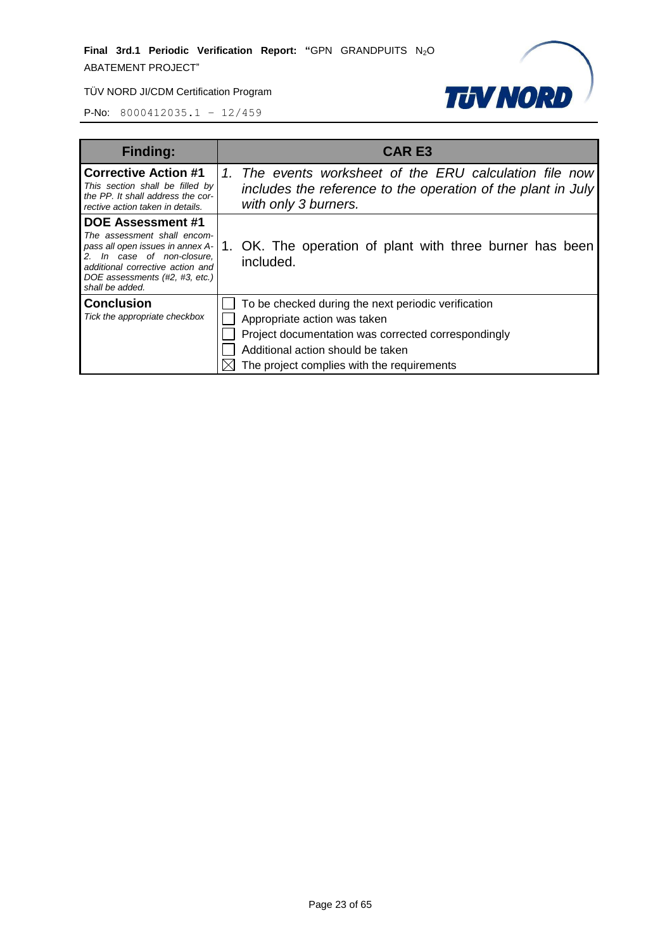

| <b>Finding:</b>                                                                                                                                                                                                 | <b>CAR E3</b>                                                                                                                                                                                                                 |
|-----------------------------------------------------------------------------------------------------------------------------------------------------------------------------------------------------------------|-------------------------------------------------------------------------------------------------------------------------------------------------------------------------------------------------------------------------------|
| <b>Corrective Action #1</b><br>This section shall be filled by<br>the PP. It shall address the cor-<br>rective action taken in details.                                                                         | 1. The events worksheet of the ERU calculation file now<br>includes the reference to the operation of the plant in July<br>with only 3 burners.                                                                               |
| <b>DOE Assessment #1</b><br>The assessment shall encom-<br>pass all open issues in annex A-<br>In case of non-closure,<br>additional corrective action and<br>DOE assessments (#2, #3, etc.)<br>shall be added. | OK. The operation of plant with three burner has been<br>included.                                                                                                                                                            |
| <b>Conclusion</b><br>Tick the appropriate checkbox                                                                                                                                                              | To be checked during the next periodic verification<br>Appropriate action was taken<br>Project documentation was corrected correspondingly<br>Additional action should be taken<br>The project complies with the requirements |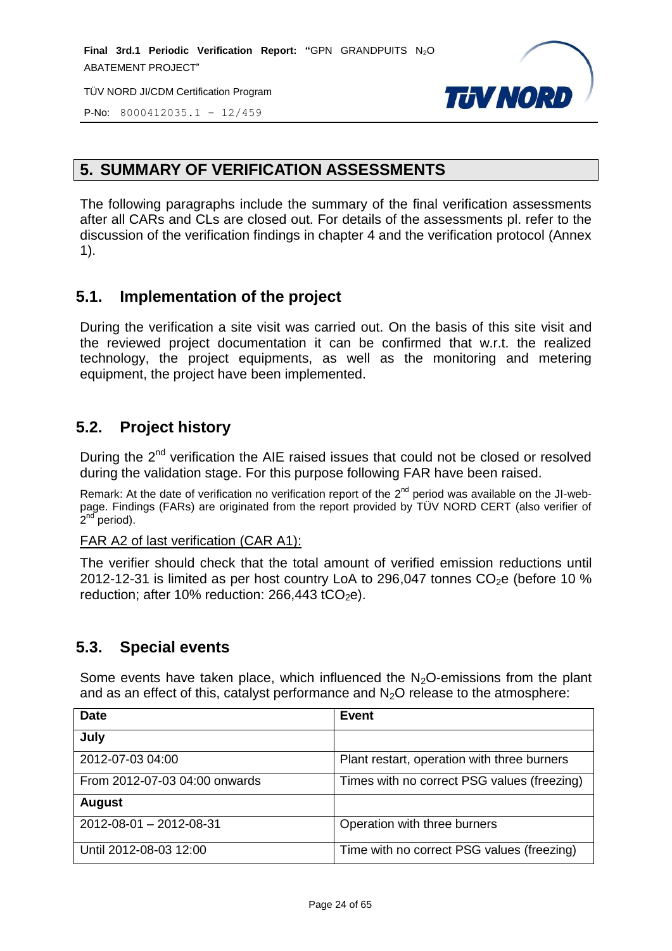

P-No: 8000412035.1 – 12/459

# <span id="page-23-0"></span>**5. SUMMARY OF VERIFICATION ASSESSMENTS**

The following paragraphs include the summary of the final verification assessments after all CARs and CLs are closed out. For details of the assessments pl. refer to the discussion of the verification findings in chapter 4 and the verification protocol (Annex 1).

# <span id="page-23-1"></span>**5.1. Implementation of the project**

During the verification a site visit was carried out. On the basis of this site visit and the reviewed project documentation it can be confirmed that w.r.t. the realized technology, the project equipments, as well as the monitoring and metering equipment, the project have been implemented.

# <span id="page-23-2"></span>**5.2. Project history**

During the 2<sup>nd</sup> verification the AIE raised issues that could not be closed or resolved during the validation stage. For this purpose following FAR have been raised.

Remark: At the date of verification no verification report of the  $2^{nd}$  period was available on the JI-webpage. Findings (FARs) are originated from the report provided by TÜV NORD CERT (also verifier of .<br>2<sup>nd period).</sup>

#### FAR A2 of last verification (CAR A1):

The verifier should check that the total amount of verified emission reductions until 2012-12-31 is limited as per host country LoA to 296,047 tonnes  $CO<sub>2</sub>e$  (before 10 %) reduction; after 10% reduction:  $266,443$  tCO<sub>2</sub>e).

# <span id="page-23-3"></span>**5.3. Special events**

Some events have taken place, which influenced the  $N<sub>2</sub>O$ -emissions from the plant and as an effect of this, catalyst performance and  $N_2O$  release to the atmosphere:

| <b>Date</b>                   | <b>Event</b>                                |
|-------------------------------|---------------------------------------------|
| July                          |                                             |
| 2012-07-03 04:00              | Plant restart, operation with three burners |
| From 2012-07-03 04:00 onwards | Times with no correct PSG values (freezing) |
| <b>August</b>                 |                                             |
| 2012-08-01 - 2012-08-31       | Operation with three burners                |
| Until 2012-08-03 12:00        | Time with no correct PSG values (freezing)  |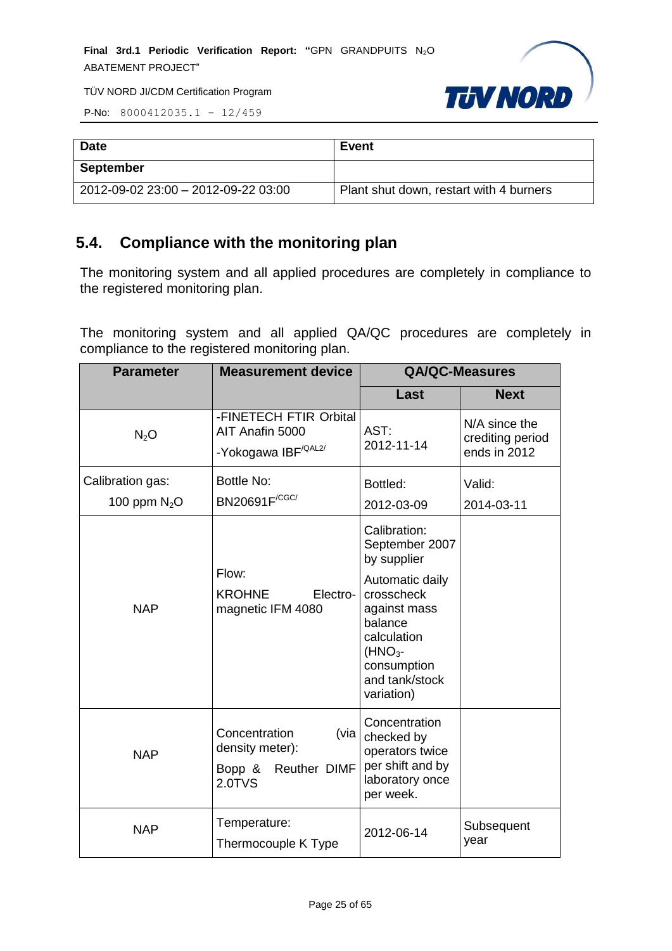

P-No: 8000412035.1 – 12/459

| <b>Date</b>                         | <b>Event</b>                            |
|-------------------------------------|-----------------------------------------|
| <b>September</b>                    |                                         |
| 2012-09-02 23:00 - 2012-09-22 03:00 | Plant shut down, restart with 4 burners |

# <span id="page-24-0"></span>**5.4. Compliance with the monitoring plan**

The monitoring system and all applied procedures are completely in compliance to the registered monitoring plan.

The monitoring system and all applied QA/QC procedures are completely in compliance to the registered monitoring plan.

| <b>Parameter</b>                  | <b>Measurement device</b>                                                    | <b>QA/QC-Measures</b>                                                                                                                                                                |                                                   |
|-----------------------------------|------------------------------------------------------------------------------|--------------------------------------------------------------------------------------------------------------------------------------------------------------------------------------|---------------------------------------------------|
|                                   |                                                                              | Last                                                                                                                                                                                 | <b>Next</b>                                       |
| $N_2O$                            | -FINETECH FTIR Orbital<br>AIT Anafin 5000<br>-Yokogawa IBF <sup>/QAL2/</sup> | AST:<br>2012-11-14                                                                                                                                                                   | N/A since the<br>crediting period<br>ends in 2012 |
| Calibration gas:<br>100 ppm $N2O$ | <b>Bottle No:</b><br>BN20691F <sup>/CGC/</sup>                               | Bottled:<br>2012-03-09                                                                                                                                                               | Valid:<br>2014-03-11                              |
| <b>NAP</b>                        | Flow:<br><b>KROHNE</b><br>Electro-<br>magnetic IFM 4080                      | Calibration:<br>September 2007<br>by supplier<br>Automatic daily<br>crosscheck<br>against mass<br>balance<br>calculation<br>$(HNO3$ -<br>consumption<br>and tank/stock<br>variation) |                                                   |
| <b>NAP</b>                        | Concentration<br>(via<br>density meter):<br>Bopp & Reuther DIMF<br>2.0TVS    | Concentration<br>checked by<br>operators twice<br>per shift and by<br>laboratory once<br>per week.                                                                                   |                                                   |
| <b>NAP</b>                        | Temperature:<br>Thermocouple K Type                                          | 2012-06-14                                                                                                                                                                           | Subsequent<br>year                                |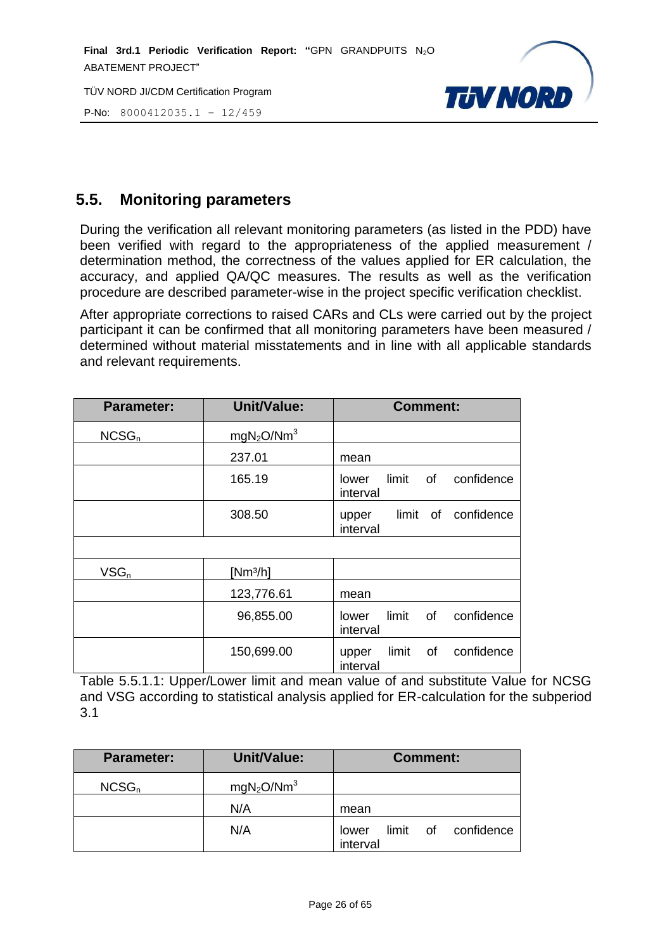**Final 3rd.1 Periodic Verification Report: "**GPN GRANDPUITS N2O ABATEMENT PROJECT"

TÜV NORD JI/CDM Certification Program

P-No: 8000412035.1 – 12/459



# <span id="page-25-0"></span>**5.5. Monitoring parameters**

During the verification all relevant monitoring parameters (as listed in the PDD) have been verified with regard to the appropriateness of the applied measurement / determination method, the correctness of the values applied for ER calculation, the accuracy, and applied QA/QC measures. The results as well as the verification procedure are described parameter-wise in the project specific verification checklist.

After appropriate corrections to raised CARs and CLs were carried out by the project participant it can be confirmed that all monitoring parameters have been measured / determined without material misstatements and in line with all applicable standards and relevant requirements.

| <b>Parameter:</b> | <b>Unit/Value:</b>                 | <b>Comment:</b>                                |
|-------------------|------------------------------------|------------------------------------------------|
| NCSG <sub>n</sub> | mgN <sub>2</sub> O/Nm <sup>3</sup> |                                                |
|                   | 237.01                             | mean                                           |
|                   | 165.19                             | limit of<br>confidence<br>lower<br>interval    |
|                   | 308.50                             | limit of confidence<br>upper<br>interval       |
|                   |                                    |                                                |
| $VSG_n$           | $[Nm^3/h]$                         |                                                |
|                   | 123,776.61                         | mean                                           |
|                   | 96,855.00                          | confidence<br>limit<br>of<br>lower<br>interval |
|                   | 150,699.00                         | confidence<br>of<br>limit<br>upper<br>interval |

Table 5.5.1.1: Upper/Lower limit and mean value of and substitute Value for NCSG and VSG according to statistical analysis applied for ER-calculation for the subperiod 3.1

| <b>Parameter:</b> | <b>Unit/Value:</b>                 | <b>Comment:</b>                          |
|-------------------|------------------------------------|------------------------------------------|
| $NCSG_n$          | mgN <sub>2</sub> O/Nm <sup>3</sup> |                                          |
|                   | N/A                                | mean                                     |
|                   | N/A                                | limit of confidence<br>lower<br>interval |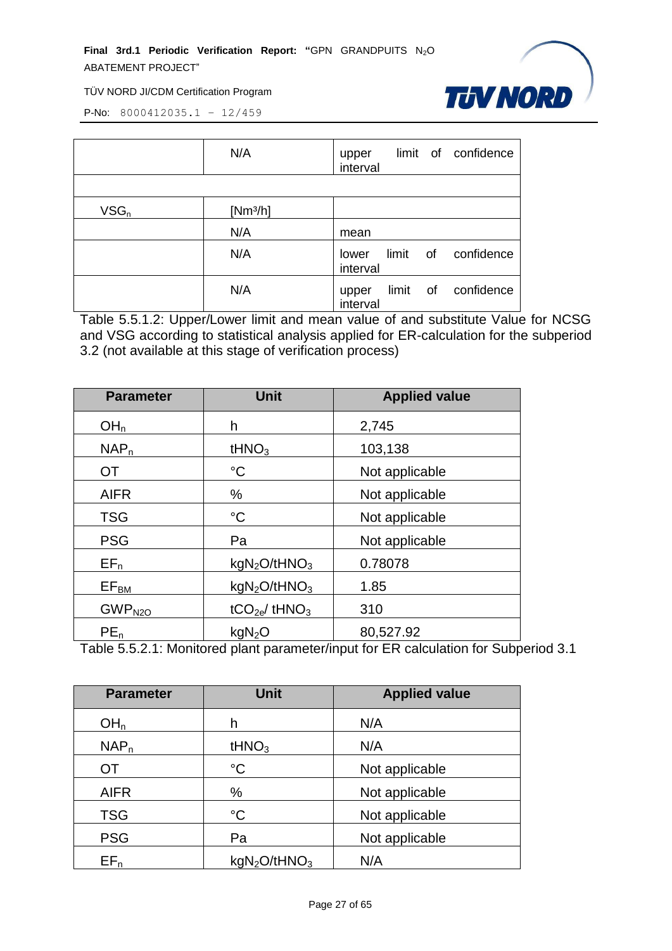

P-No: 8000412035.1 – 12/459

|         | N/A                  | limit of confidence<br>upper<br>interval    |
|---------|----------------------|---------------------------------------------|
|         |                      |                                             |
| $VSG_n$ | [Nm <sup>3</sup> /h] |                                             |
|         | N/A                  | mean                                        |
|         | N/A                  | limit of<br>confidence<br>lower<br>interval |
|         | N/A                  | limit of confidence<br>upper<br>interval    |

Table 5.5.1.2: Upper/Lower limit and mean value of and substitute Value for NCSG and VSG according to statistical analysis applied for ER-calculation for the subperiod 3.2 (not available at this stage of verification process)

| <b>Parameter</b>   | <b>Unit</b>                          | <b>Applied value</b> |
|--------------------|--------------------------------------|----------------------|
| OH <sub>n</sub>    | h                                    | 2,745                |
| NAP <sub>n</sub>   | tHNO <sub>3</sub>                    | 103,138              |
| OT                 | $^{\circ}C$                          | Not applicable       |
| <b>AIFR</b>        | %                                    | Not applicable       |
| <b>TSG</b>         | $^{\circ}C$                          | Not applicable       |
| <b>PSG</b>         | Pa                                   | Not applicable       |
| $EF_n$             | kgN <sub>2</sub> O/tHNO <sub>3</sub> | 0.78078              |
| $EF_{BM}$          | kgN <sub>2</sub> O/tHNO <sub>3</sub> | 1.85                 |
| GWP <sub>N2O</sub> | $tCO2e$ / tHNO <sub>3</sub>          | 310                  |
| $PE_n$             | kgN <sub>2</sub> O                   | 80,527.92            |

Table 5.5.2.1: Monitored plant parameter/input for ER calculation for Subperiod 3.1

| <b>Parameter</b> | <b>Unit</b>                          | <b>Applied value</b> |
|------------------|--------------------------------------|----------------------|
| OH <sub>n</sub>  | h                                    | N/A                  |
| NAP <sub>n</sub> | tHNO <sub>3</sub>                    | N/A                  |
| <b>OT</b>        | $^{\circ}C$                          | Not applicable       |
| <b>AIFR</b>      | $\%$                                 | Not applicable       |
| <b>TSG</b>       | $^{\circ}C$                          | Not applicable       |
| <b>PSG</b>       | Pa                                   | Not applicable       |
| $EF_n$           | kgN <sub>2</sub> O/tHNO <sub>3</sub> | N/A                  |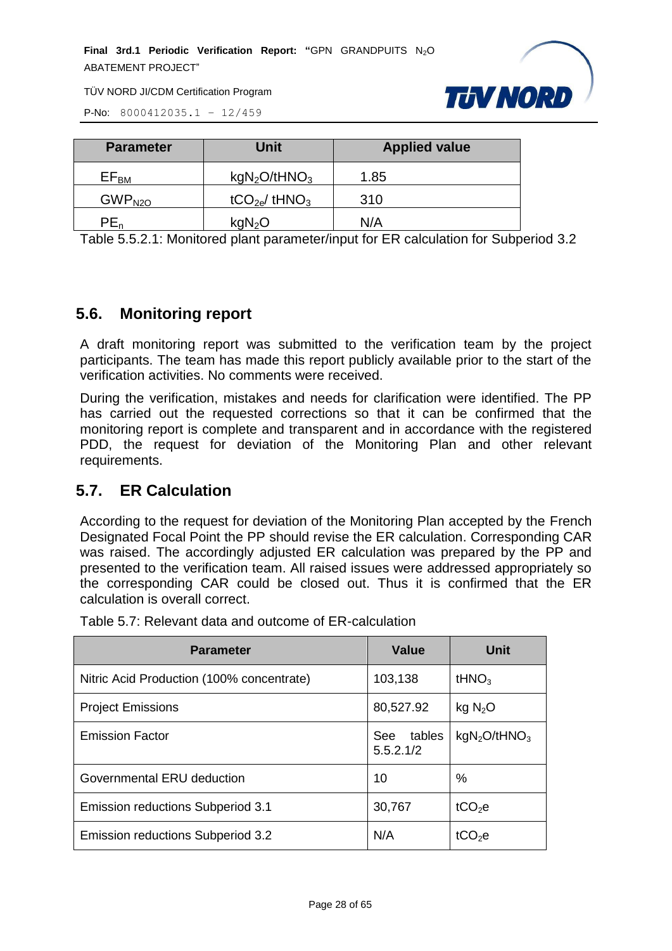**Final 3rd.1 Periodic Verification Report: "GPN GRANDPUITS N<sub>2</sub>O** ABATEMENT PROJECT"



TÜV NORD JI/CDM Certification Program

P-No: 8000412035.1 – 12/459

| <b>Parameter</b>   | <b>Unit</b>                          | <b>Applied value</b> |
|--------------------|--------------------------------------|----------------------|
| $EF_{BM}$          | kgN <sub>2</sub> O/tHNO <sub>3</sub> | 1.85                 |
| GWP <sub>N2O</sub> | tCO <sub>2e</sub> /tHNO <sub>3</sub> | 310                  |
| PE <sub>n</sub>    | kgN <sub>2</sub> O                   | N/A                  |

Table 5.5.2.1: Monitored plant parameter/input for ER calculation for Subperiod 3.2

#### <span id="page-27-0"></span>**5.6. Monitoring report**

A draft monitoring report was submitted to the verification team by the project participants. The team has made this report publicly available prior to the start of the verification activities. No comments were received.

During the verification, mistakes and needs for clarification were identified. The PP has carried out the requested corrections so that it can be confirmed that the monitoring report is complete and transparent and in accordance with the registered PDD, the request for deviation of the Monitoring Plan and other relevant requirements.

# <span id="page-27-1"></span>**5.7. ER Calculation**

According to the request for deviation of the Monitoring Plan accepted by the French Designated Focal Point the PP should revise the ER calculation. Corresponding CAR was raised. The accordingly adjusted ER calculation was prepared by the PP and presented to the verification team. All raised issues were addressed appropriately so the corresponding CAR could be closed out. Thus it is confirmed that the ER calculation is overall correct.

| <b>Parameter</b>                          | <b>Value</b>               | Unit                                 |
|-------------------------------------------|----------------------------|--------------------------------------|
| Nitric Acid Production (100% concentrate) | 103,138                    | tHNO <sub>3</sub>                    |
| <b>Project Emissions</b>                  | 80,527.92                  | kg N <sub>2</sub> O                  |
| <b>Emission Factor</b>                    | tables<br>See<br>5.5.2.1/2 | kgN <sub>2</sub> O/tHNO <sub>3</sub> |
| Governmental ERU deduction                | 10                         | %                                    |
| Emission reductions Subperiod 3.1         | 30,767                     | tCO <sub>2</sub> e                   |
| Emission reductions Subperiod 3.2         | N/A                        | tCO <sub>2</sub> e                   |

Table 5.7: Relevant data and outcome of ER-calculation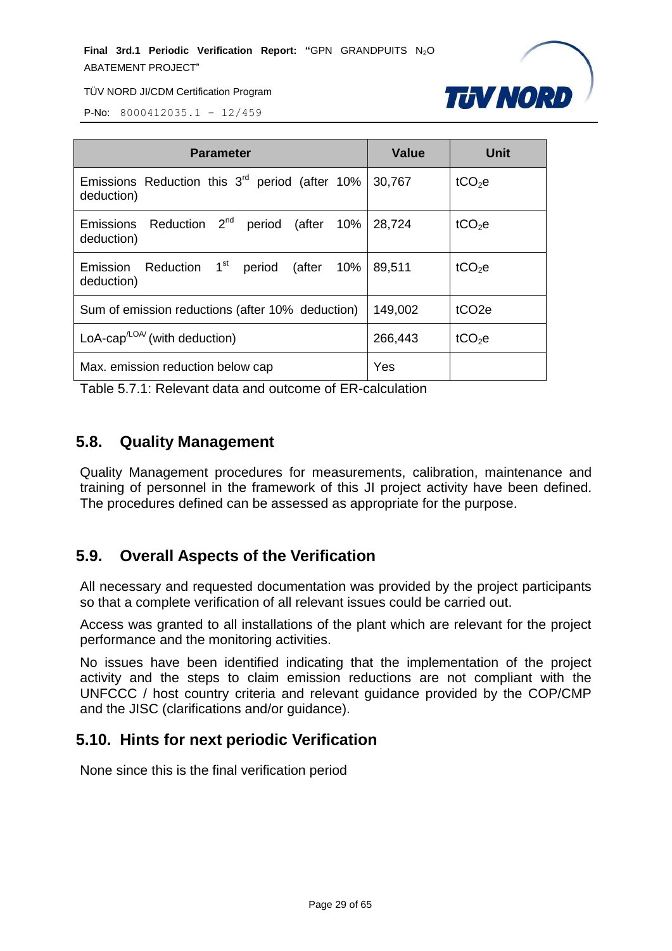

P-No: 8000412035.1 – 12/459

| <b>Parameter</b>                                                              | <b>Value</b> | <b>Unit</b>        |
|-------------------------------------------------------------------------------|--------------|--------------------|
| Emissions Reduction this $3rd$ period (after 10%<br>deduction)                | 30,767       | tCO <sub>2</sub> e |
| Reduction 2 <sup>nd</sup> period (after 10%<br><b>Emissions</b><br>deduction) | 28,724       | tCO <sub>2</sub> e |
| Emission Reduction 1 <sup>st</sup> period (after 10%<br>deduction)            | 89,511       | tCO <sub>2</sub> e |
| Sum of emission reductions (after 10% deduction)                              | 149,002      | tCO <sub>2e</sub>  |
| LoA-cap <sup><math>\text{LOA}</math></sup> (with deduction)                   | 266,443      | tCO <sub>2</sub> e |
| Max. emission reduction below cap                                             | Yes          |                    |

Table 5.7.1: Relevant data and outcome of ER-calculation

# <span id="page-28-0"></span>**5.8. Quality Management**

Quality Management procedures for measurements, calibration, maintenance and training of personnel in the framework of this JI project activity have been defined. The procedures defined can be assessed as appropriate for the purpose.

# <span id="page-28-1"></span>**5.9. Overall Aspects of the Verification**

All necessary and requested documentation was provided by the project participants so that a complete verification of all relevant issues could be carried out.

Access was granted to all installations of the plant which are relevant for the project performance and the monitoring activities.

No issues have been identified indicating that the implementation of the project activity and the steps to claim emission reductions are not compliant with the UNFCCC / host country criteria and relevant guidance provided by the COP/CMP and the JISC (clarifications and/or guidance).

# <span id="page-28-2"></span>**5.10. Hints for next periodic Verification**

None since this is the final verification period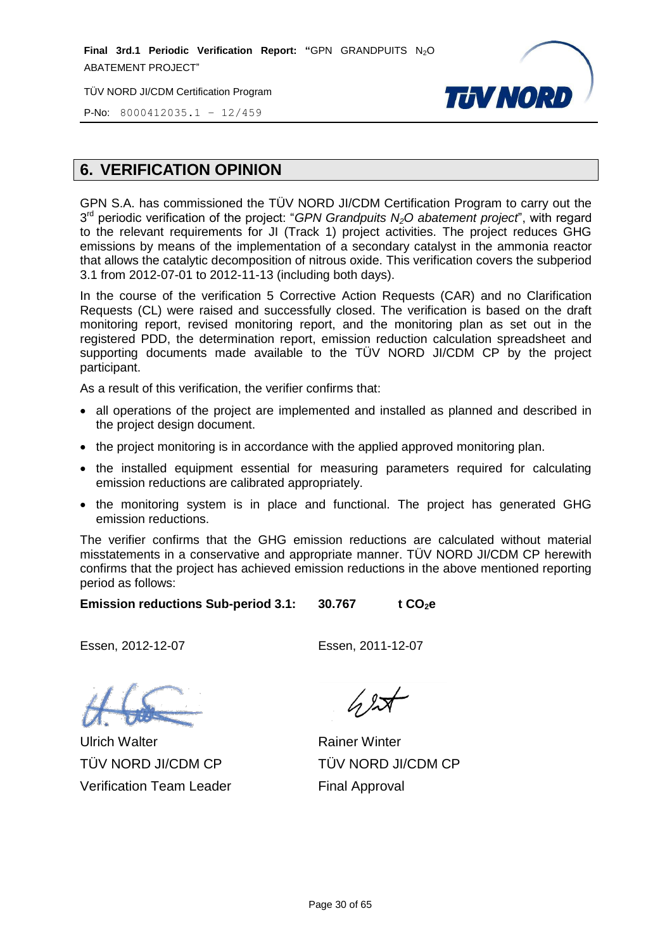**Final 3rd.1 Periodic Verification Report: "GPN GRANDPUITS N<sub>2</sub>O** ABATEMENT PROJECT"

TÜV NORD JI/CDM Certification Program



P-No: 8000412035.1 – 12/459

# <span id="page-29-0"></span>**6. VERIFICATION OPINION**

GPN S.A. has commissioned the TÜV NORD JI/CDM Certification Program to carry out the 3 rd periodic verification of the project: "*GPN Grandpuits N2O abatement project*", with regard to the relevant requirements for JI (Track 1) project activities. The project reduces GHG emissions by means of the implementation of a secondary catalyst in the ammonia reactor that allows the catalytic decomposition of nitrous oxide. This verification covers the subperiod 3.1 from 2012-07-01 to 2012-11-13 (including both days).

In the course of the verification 5 Corrective Action Requests (CAR) and no Clarification Requests (CL) were raised and successfully closed. The verification is based on the draft monitoring report, revised monitoring report, and the monitoring plan as set out in the registered PDD, the determination report, emission reduction calculation spreadsheet and supporting documents made available to the TÜV NORD JI/CDM CP by the project participant.

As a result of this verification, the verifier confirms that:

- all operations of the project are implemented and installed as planned and described in the project design document.
- the project monitoring is in accordance with the applied approved monitoring plan.
- the installed equipment essential for measuring parameters required for calculating emission reductions are calibrated appropriately.
- the monitoring system is in place and functional. The project has generated GHG emission reductions.

The verifier confirms that the GHG emission reductions are calculated without material misstatements in a conservative and appropriate manner. TÜV NORD JI/CDM CP herewith confirms that the project has achieved emission reductions in the above mentioned reporting period as follows:

**Emission reductions Sub-period 3.1: 30.767 t CO**<sub>2</sub>**e** 

Essen, 2012-12-07 Essen, 2011-12-07

Ulrich Walter TÜV NORD JI/CDM CP Verification Team Leader

Rainer Winter TÜV NORD JI/CDM CP Final Approval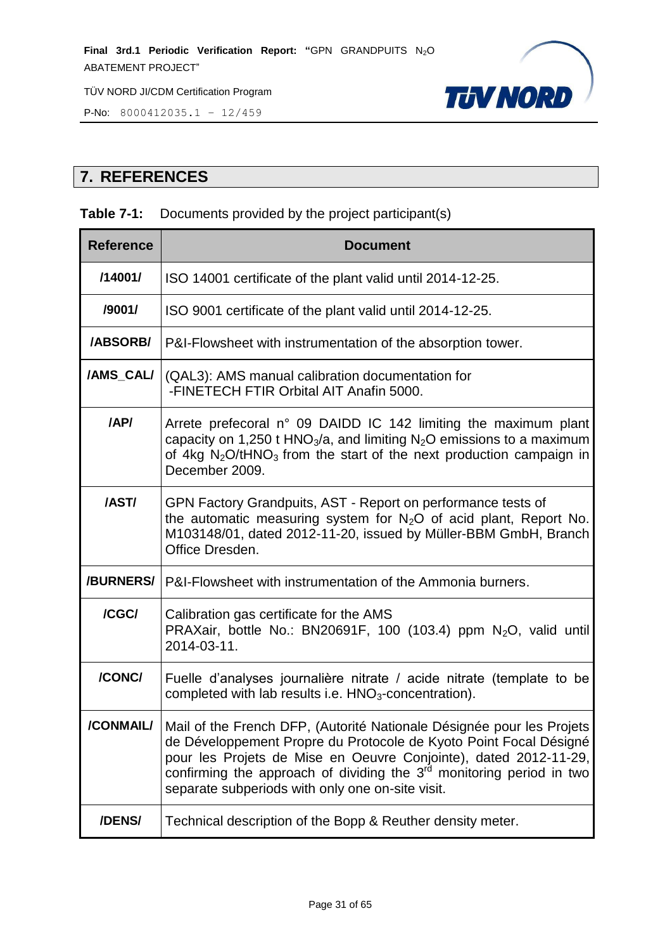

P-No: 8000412035.1 – 12/459

# <span id="page-30-0"></span>**7. REFERENCES**

#### **Table 7-1:** Documents provided by the project participant(s)

| <b>Reference</b> | <b>Document</b>                                                                                                                                                                                                                                                                                                                              |
|------------------|----------------------------------------------------------------------------------------------------------------------------------------------------------------------------------------------------------------------------------------------------------------------------------------------------------------------------------------------|
| /14001/          | ISO 14001 certificate of the plant valid until 2014-12-25.                                                                                                                                                                                                                                                                                   |
| /9001/           | ISO 9001 certificate of the plant valid until 2014-12-25.                                                                                                                                                                                                                                                                                    |
| <b>/ABSORB/</b>  | P&I-Flowsheet with instrumentation of the absorption tower.                                                                                                                                                                                                                                                                                  |
| /AMS_CAL/        | (QAL3): AMS manual calibration documentation for<br>-FINETECH FTIR Orbital AIT Anafin 5000.                                                                                                                                                                                                                                                  |
| /AP/             | Arrete prefecoral n° 09 DAIDD IC 142 limiting the maximum plant<br>capacity on 1,250 t HNO <sub>3</sub> /a, and limiting $N_2O$ emissions to a maximum<br>of 4kg $N_2O/tHNO_3$ from the start of the next production campaign in<br>December 2009.                                                                                           |
| /AST/            | GPN Factory Grandpuits, AST - Report on performance tests of<br>the automatic measuring system for $N_2O$ of acid plant, Report No.<br>M103148/01, dated 2012-11-20, issued by Müller-BBM GmbH, Branch<br>Office Dresden.                                                                                                                    |
| /BURNERS/        | P&I-Flowsheet with instrumentation of the Ammonia burners.                                                                                                                                                                                                                                                                                   |
| /CGC/            | Calibration gas certificate for the AMS<br>PRAXair, bottle No.: BN20691F, 100 (103.4) ppm N <sub>2</sub> O, valid until<br>2014-03-11.                                                                                                                                                                                                       |
| /CONC/           | Fuelle d'analyses journalière nitrate / acide nitrate (template to be<br>completed with lab results i.e. HNO <sub>3</sub> -concentration).                                                                                                                                                                                                   |
| /CONMAIL/        | Mail of the French DFP, (Autorité Nationale Désignée pour les Projets<br>de Développement Propre du Protocole de Kyoto Point Focal Désigné<br>pour les Projets de Mise en Oeuvre Conjointe), dated 2012-11-29,<br>confirming the approach of dividing the $3rd$ monitoring period in two<br>separate subperiods with only one on-site visit. |
| /DENS/           | Technical description of the Bopp & Reuther density meter.                                                                                                                                                                                                                                                                                   |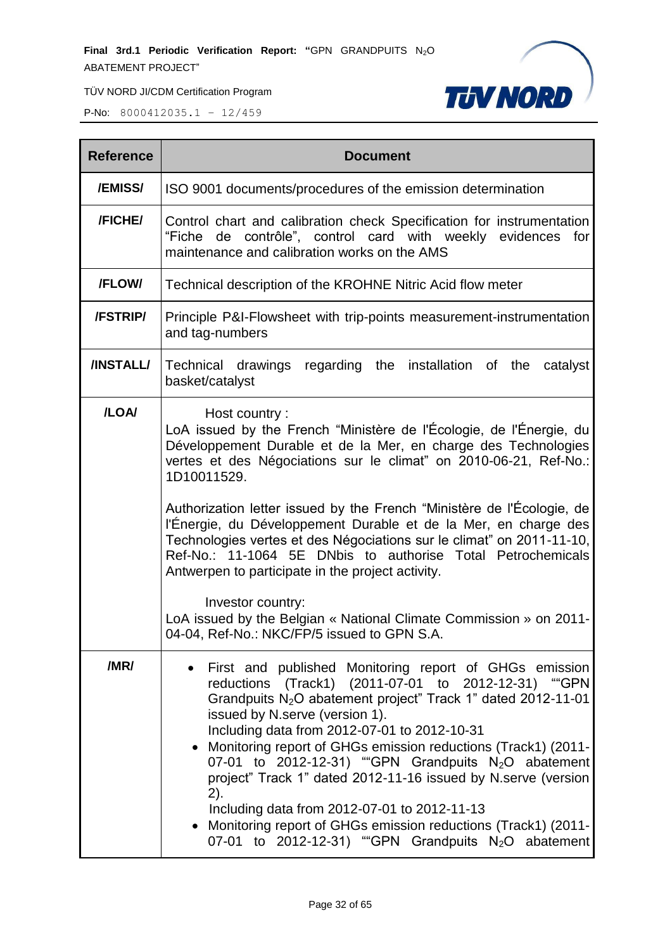

| <b>Reference</b> | <b>Document</b>                                                                                                                                                                                                                                                                                                                                                                                                                                                                                                                                                                                                                                                                                                                |  |
|------------------|--------------------------------------------------------------------------------------------------------------------------------------------------------------------------------------------------------------------------------------------------------------------------------------------------------------------------------------------------------------------------------------------------------------------------------------------------------------------------------------------------------------------------------------------------------------------------------------------------------------------------------------------------------------------------------------------------------------------------------|--|
| /EMISS/          | ISO 9001 documents/procedures of the emission determination                                                                                                                                                                                                                                                                                                                                                                                                                                                                                                                                                                                                                                                                    |  |
| /FICHE/          | Control chart and calibration check Specification for instrumentation<br>de contrôle", control card with weekly evidences<br>"Fiche<br>for<br>maintenance and calibration works on the AMS                                                                                                                                                                                                                                                                                                                                                                                                                                                                                                                                     |  |
| /FLOW/           | Technical description of the KROHNE Nitric Acid flow meter                                                                                                                                                                                                                                                                                                                                                                                                                                                                                                                                                                                                                                                                     |  |
| /FSTRIP/         | Principle P&I-Flowsheet with trip-points measurement-instrumentation<br>and tag-numbers                                                                                                                                                                                                                                                                                                                                                                                                                                                                                                                                                                                                                                        |  |
| /INSTALL/        | Technical drawings regarding the installation of the<br>catalyst<br>basket/catalyst                                                                                                                                                                                                                                                                                                                                                                                                                                                                                                                                                                                                                                            |  |
| /LOA/            | Host country:<br>LoA issued by the French "Ministère de l'Écologie, de l'Énergie, du<br>Développement Durable et de la Mer, en charge des Technologies<br>vertes et des Négociations sur le climat" on 2010-06-21, Ref-No.:<br>1D10011529.<br>Authorization letter issued by the French "Ministère de l'Écologie, de<br>l'Énergie, du Développement Durable et de la Mer, en charge des<br>Technologies vertes et des Négociations sur le climat" on 2011-11-10,<br>Ref-No.: 11-1064 5E DNbis to authorise Total Petrochemicals<br>Antwerpen to participate in the project activity.<br>Investor country:<br>LoA issued by the Belgian « National Climate Commission » on 2011-<br>04-04, Ref-No.: NKC/FP/5 issued to GPN S.A. |  |
| /MR/             | First and published Monitoring report of GHGs emission<br>reductions (Track1) (2011-07-01 to 2012-12-31) "GPN<br>Grandpuits N <sub>2</sub> O abatement project" Track 1" dated 2012-11-01<br>issued by N.serve (version 1).<br>Including data from 2012-07-01 to 2012-10-31<br>• Monitoring report of GHGs emission reductions (Track1) (2011-<br>07-01 to 2012-12-31) "GPN Grandpuits N <sub>2</sub> O abatement<br>project" Track 1" dated 2012-11-16 issued by N.serve (version<br>2).<br>Including data from 2012-07-01 to 2012-11-13<br>• Monitoring report of GHGs emission reductions (Track1) (2011-<br>07-01 to 2012-12-31) "GPN Grandpuits N <sub>2</sub> O abatement                                                |  |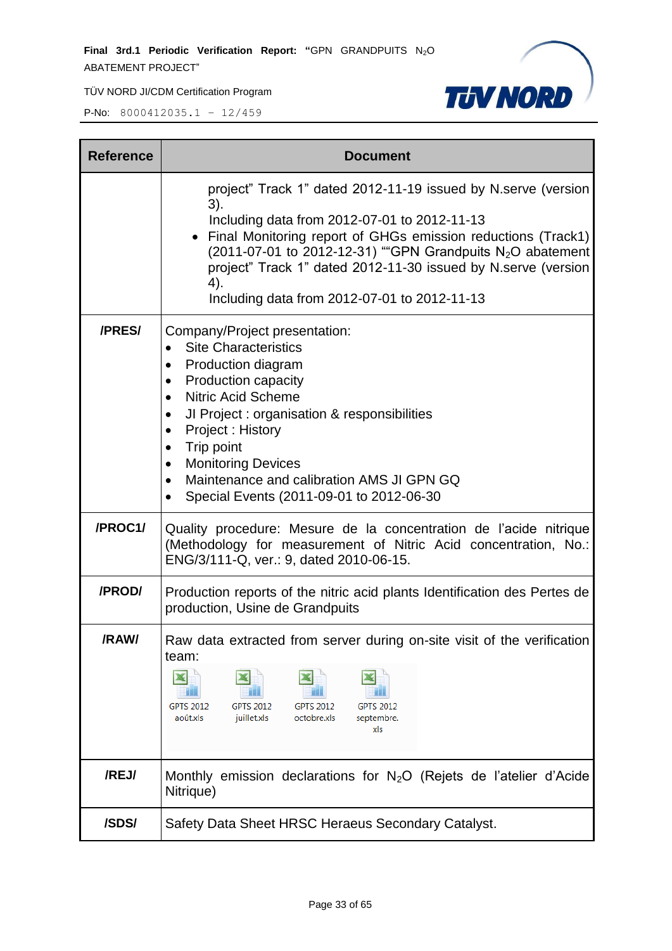

| <b>Reference</b> | <b>Document</b>                                                                                                                                                                                                                                                                                                                                                                                                                                        |  |  |
|------------------|--------------------------------------------------------------------------------------------------------------------------------------------------------------------------------------------------------------------------------------------------------------------------------------------------------------------------------------------------------------------------------------------------------------------------------------------------------|--|--|
|                  | project" Track 1" dated 2012-11-19 issued by N.serve (version<br>3).<br>Including data from 2012-07-01 to 2012-11-13<br>Final Monitoring report of GHGs emission reductions (Track1)<br>(2011-07-01 to 2012-12-31) ""GPN Grandpuits $N_2O$ abatement<br>project" Track 1" dated 2012-11-30 issued by N.serve (version<br>4).<br>Including data from 2012-07-01 to 2012-11-13                                                                           |  |  |
| /PRES/           | Company/Project presentation:<br><b>Site Characteristics</b><br>$\bullet$<br>Production diagram<br>$\bullet$<br>Production capacity<br>$\bullet$<br><b>Nitric Acid Scheme</b><br>$\bullet$<br>JI Project : organisation & responsibilities<br>$\bullet$<br>Project: History<br>$\bullet$<br>Trip point<br><b>Monitoring Devices</b><br>$\bullet$<br>Maintenance and calibration AMS JI GPN GQ<br>$\bullet$<br>Special Events (2011-09-01 to 2012-06-30 |  |  |
| /PROC1/          | Quality procedure: Mesure de la concentration de l'acide nitrique<br>(Methodology for measurement of Nitric Acid concentration, No.:<br>ENG/3/111-Q, ver.: 9, dated 2010-06-15.                                                                                                                                                                                                                                                                        |  |  |
| /PROD/           | Production reports of the nitric acid plants Identification des Pertes de<br>production, Usine de Grandpuits                                                                                                                                                                                                                                                                                                                                           |  |  |
| /RAW/            | Raw data extracted from server during on-site visit of the verification<br>team:<br><b>GPTS 2012</b><br><b>GPTS 2012</b><br><b>GPTS 2012</b><br><b>GPTS 2012</b><br>août.xls<br>juillet.xls<br>octobre.xls<br>septembre.<br>xls                                                                                                                                                                                                                        |  |  |
| /REJ/            | Monthly emission declarations for $N_2O$ (Rejets de l'atelier d'Acide<br>Nitrique)                                                                                                                                                                                                                                                                                                                                                                     |  |  |
| /SDS/            | Safety Data Sheet HRSC Heraeus Secondary Catalyst.                                                                                                                                                                                                                                                                                                                                                                                                     |  |  |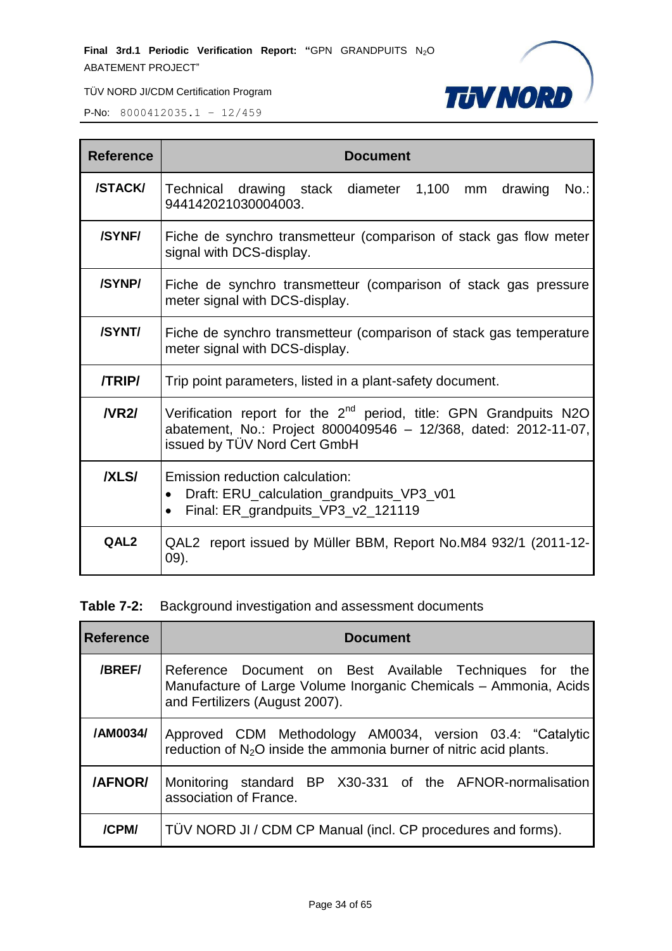**Final 3rd.1 Periodic Verification Report: "GPN GRANDPUITS N<sub>2</sub>O** ABATEMENT PROJECT"



TÜV NORD JI/CDM Certification Program

P-No: 8000412035.1 – 12/459

| <b>Reference</b> | <b>Document</b>                                                                                                                                                           |  |
|------------------|---------------------------------------------------------------------------------------------------------------------------------------------------------------------------|--|
| <b>/STACK/</b>   | Technical drawing stack diameter 1,100 mm<br>drawing<br>$No.$ :<br>944142021030004003.                                                                                    |  |
| /SYNF/           | Fiche de synchro transmetteur (comparison of stack gas flow meter<br>signal with DCS-display.                                                                             |  |
| /SYNP/           | Fiche de synchro transmetteur (comparison of stack gas pressure<br>meter signal with DCS-display.                                                                         |  |
| /SYNT/           | Fiche de synchro transmetteur (comparison of stack gas temperature<br>meter signal with DCS-display.                                                                      |  |
| <b>/TRIP/</b>    | Trip point parameters, listed in a plant-safety document.                                                                                                                 |  |
| $N$ R $2/$       | Verification report for the $2^{nd}$ period, title: GPN Grandpuits N2O<br>abatement, No.: Project 8000409546 - 12/368, dated: 2012-11-07,<br>issued by TÜV Nord Cert GmbH |  |
| <b>IXLSI</b>     | Emission reduction calculation:<br>Draft: ERU_calculation_grandpuits_VP3_v01<br>$\bullet$<br>Final: ER_grandpuits_VP3_v2_121119<br>$\bullet$                              |  |
| QAL <sub>2</sub> | QAL2 report issued by Müller BBM, Report No.M84 932/1 (2011-12-<br>09).                                                                                                   |  |

# **Table 7-2:** Background investigation and assessment documents

| <b>Reference</b> | <b>Document</b>                                                                                                                                               |
|------------------|---------------------------------------------------------------------------------------------------------------------------------------------------------------|
| /BREF/           | Reference Document on Best Available Techniques for the<br>Manufacture of Large Volume Inorganic Chemicals - Ammonia, Acids<br>and Fertilizers (August 2007). |
| /AM0034/         | Approved CDM Methodology AM0034, version 03.4: "Catalytic<br>reduction of N <sub>2</sub> O inside the ammonia burner of nitric acid plants.                   |
| /AFNOR/          | Monitoring standard BP X30-331 of the AFNOR-normalisation<br>association of France.                                                                           |
| /CPM/            | TÜV NORD JI / CDM CP Manual (incl. CP procedures and forms).                                                                                                  |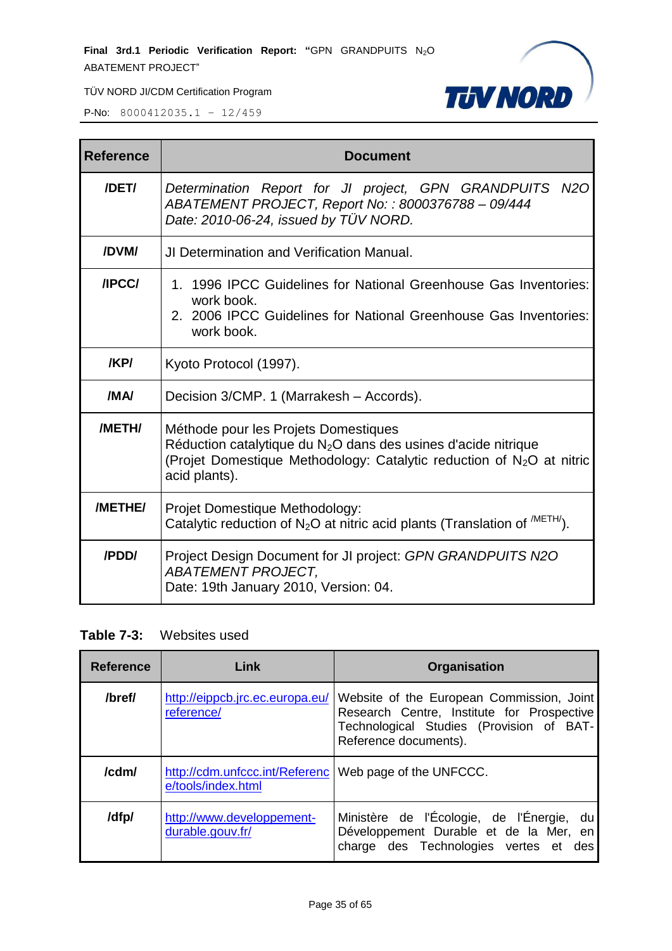**Final 3rd.1 Periodic Verification Report: "GPN GRANDPUITS N<sub>2</sub>O** ABATEMENT PROJECT"



TÜV NORD JI/CDM Certification Program

P-No: 8000412035.1 – 12/459

| <b>Reference</b> | <b>Document</b>                                                                                                                                                                                                |
|------------------|----------------------------------------------------------------------------------------------------------------------------------------------------------------------------------------------------------------|
| /DET/            | Determination Report for JI project, GPN GRANDPUITS N2O<br>ABATEMENT PROJECT, Report No: : 8000376788 - 09/444<br>Date: 2010-06-24, issued by TÜV NORD.                                                        |
| /DVM/            | <b>JI Determination and Verification Manual.</b>                                                                                                                                                               |
| /IPCC/           | 1. 1996 IPCC Guidelines for National Greenhouse Gas Inventories:<br>work book.<br>2. 2006 IPCC Guidelines for National Greenhouse Gas Inventories:<br>work book.                                               |
| /KP/             | Kyoto Protocol (1997).                                                                                                                                                                                         |
| /MA/             | Decision 3/CMP. 1 (Marrakesh – Accords).                                                                                                                                                                       |
| /METH/           | Méthode pour les Projets Domestiques<br>Réduction catalytique du $N_2O$ dans des usines d'acide nitrique<br>(Projet Domestique Methodology: Catalytic reduction of N <sub>2</sub> O at nitric<br>acid plants). |
| /METHE/          | Projet Domestique Methodology:<br>Catalytic reduction of $N_2O$ at nitric acid plants (Translation of $^{METH}$ ).                                                                                             |
| /PDD/            | Project Design Document for JI project: GPN GRANDPUITS N2O<br><b>ABATEMENT PROJECT.</b><br>Date: 19th January 2010, Version: 04.                                                                               |

#### **Table 7-3:** Websites used

| <b>Reference</b> | Link                                                                           | <b>Organisation</b>                                                                                                                                          |
|------------------|--------------------------------------------------------------------------------|--------------------------------------------------------------------------------------------------------------------------------------------------------------|
| /bref/           | http://eippcb.jrc.ec.europa.eu/<br>reference/                                  | Website of the European Commission, Joint<br>Research Centre, Institute for Prospective<br>Technological Studies (Provision of BAT-<br>Reference documents). |
| /cdm/            | http://cdm.unfccc.int/Referenc   Web page of the UNFCCC.<br>e/tools/index.html |                                                                                                                                                              |
| /dfp/            | http://www.developpement-<br>durable.gouv.fr/                                  | Ministère de l'Écologie, de l'Énergie, du<br>Développement Durable et de la Mer, en<br>charge des Technologies vertes et des                                 |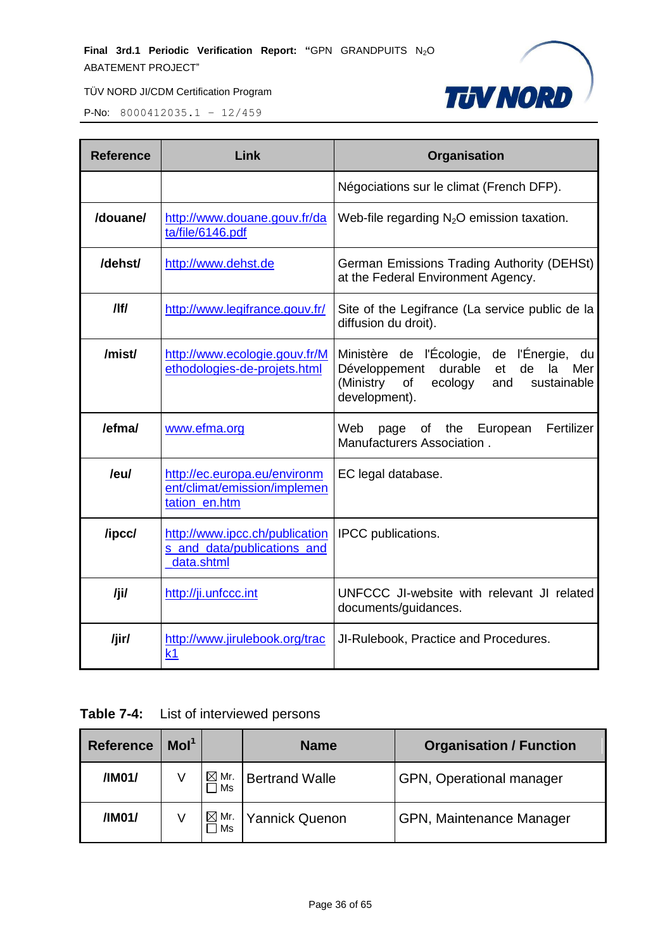

P-No: 8000412035.1 – 12/459

| <b>Reference</b> | Link                                                                          | Organisation                                                                                                                                                           |  |  |  |  |
|------------------|-------------------------------------------------------------------------------|------------------------------------------------------------------------------------------------------------------------------------------------------------------------|--|--|--|--|
|                  |                                                                               | Négociations sur le climat (French DFP).                                                                                                                               |  |  |  |  |
| /douane/         | http://www.douane.gouv.fr/da<br>ta/file/6146.pdf                              | Web-file regarding $N_2O$ emission taxation.                                                                                                                           |  |  |  |  |
| /dehst/          | http://www.dehst.de                                                           | German Emissions Trading Authority (DEHSt)<br>at the Federal Environment Agency.                                                                                       |  |  |  |  |
| /                | http://www.legifrance.gouv.fr/                                                | Site of the Legifrance (La service public de la<br>diffusion du droit).                                                                                                |  |  |  |  |
| /mist/           | http://www.ecologie.gouv.fr/M<br>ethodologies-de-projets.html                 | Ministère de l'Écologie, de l'Énergie,<br>du<br>durable<br>Développement<br>de<br>la<br>Mer<br>et<br>(Ministry<br>ecology<br>sustainable<br>of<br>and<br>development). |  |  |  |  |
| /efma/           | www.efma.org                                                                  | Web<br>Fertilizer<br>European<br>page<br>of the<br>Manufacturers Association.                                                                                          |  |  |  |  |
| /eu/             | http://ec.europa.eu/environm<br>ent/climat/emission/implemen<br>tation en.htm | EC legal database.                                                                                                                                                     |  |  |  |  |
| /ipcc/           | http://www.ipcc.ch/publication<br>s_and_data/publications_and<br>data.shtml   | IPCC publications.                                                                                                                                                     |  |  |  |  |
| /ji/             | http://ji.unfccc.int                                                          | UNFCCC JI-website with relevant JI related<br>documents/guidances.                                                                                                     |  |  |  |  |
| /jir/            | http://www.jirulebook.org/trac<br>k <sub>1</sub>                              | JI-Rulebook, Practice and Procedures.                                                                                                                                  |  |  |  |  |

# **Table 7-4:** List of interviewed persons

| Mol <sup>1</sup><br><b>Reference</b> |  |                       | <b>Name</b>           | <b>Organisation / Function</b> |  |  |
|--------------------------------------|--|-----------------------|-----------------------|--------------------------------|--|--|
| $\boxtimes$ Mr.<br>/IM01/<br>Ms      |  |                       | <b>Bertrand Walle</b> | GPN, Operational manager       |  |  |
| /IM01/                               |  | $\boxtimes$ Mr.<br>Ms | <b>Yannick Quenon</b> | GPN, Maintenance Manager       |  |  |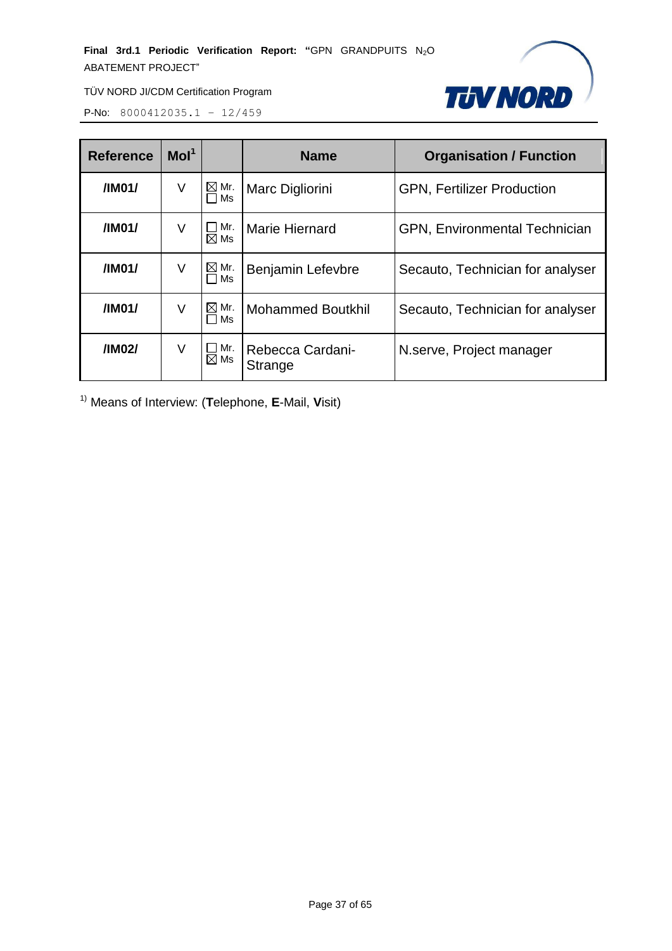**Final 3rd.1 Periodic Verification Report: "GPN GRANDPUITS N<sub>2</sub>O** ABATEMENT PROJECT"



TÜV NORD JI/CDM Certification Program

P-No: 8000412035.1 – 12/459

| <b>Reference</b>  | Mol <sup>1</sup> |                       | <b>Name</b>                 | <b>Organisation / Function</b>    |  |
|-------------------|------------------|-----------------------|-----------------------------|-----------------------------------|--|
| /IM01/<br>V<br>Ms |                  | $\boxtimes$ Mr.       | Marc Digliorini             | <b>GPN, Fertilizer Production</b> |  |
| /IM01/<br>V       |                  | Mr.<br>$\boxtimes$ Ms | <b>Marie Hiernard</b>       | GPN, Environmental Technician     |  |
| /IM01/            | V                | $\boxtimes$ Mr.<br>Ms | Benjamin Lefevbre           | Secauto, Technician for analyser  |  |
| /IM01/            | V                | $\boxtimes$ Mr.<br>Ms | <b>Mohammed Boutkhil</b>    | Secauto, Technician for analyser  |  |
| /IM02/            | V                | Mr.<br>$\boxtimes$ Ms | Rebecca Cardani-<br>Strange | N.serve, Project manager          |  |

1) Means of Interview: (**T**elephone, **E**-Mail, **V**isit)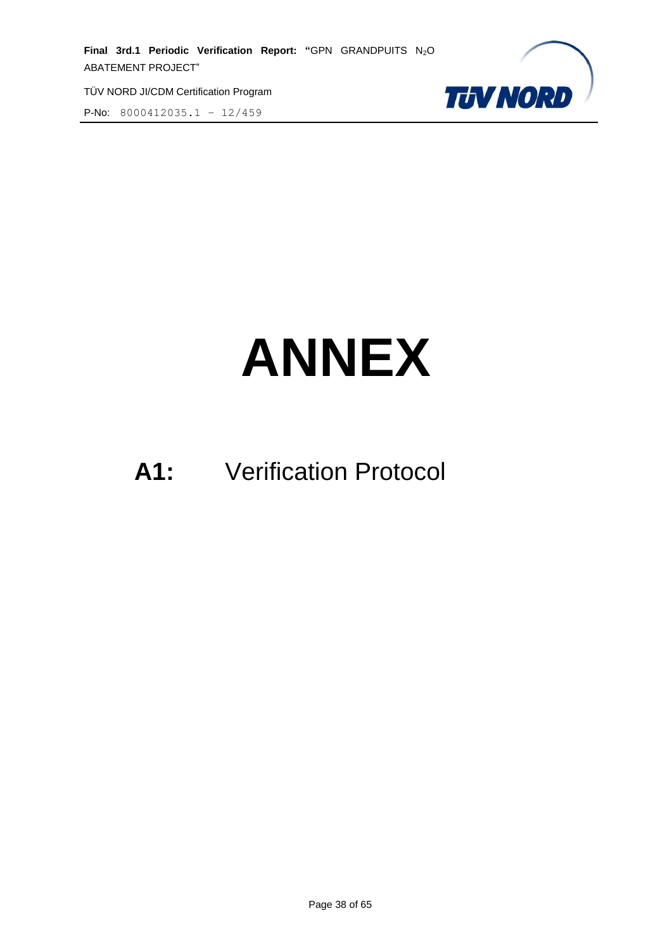P-No: 8000412035.1 – 12/459



# **ANNEX**

# **A1:** Verification Protocol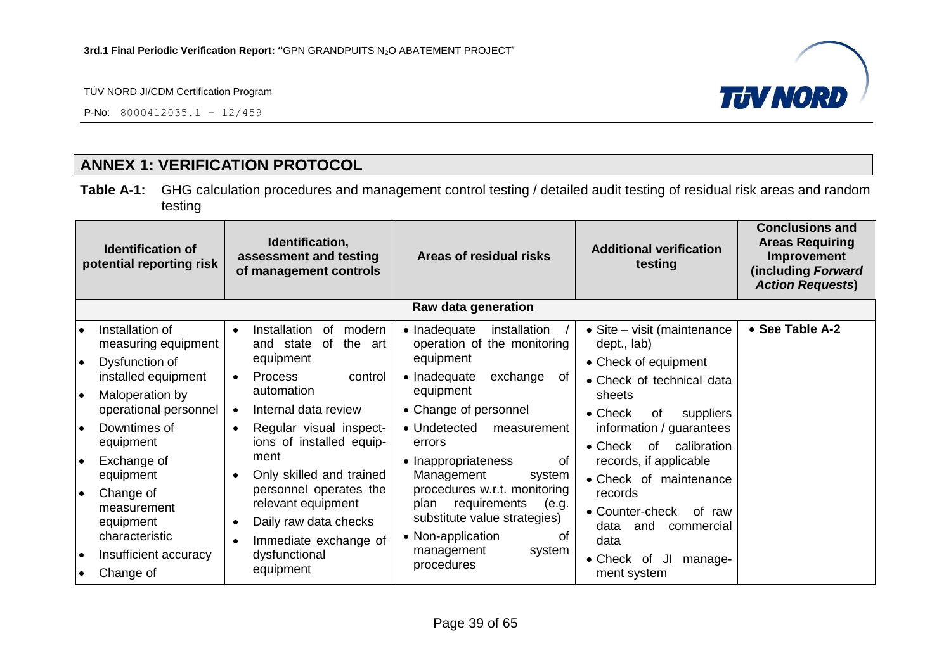P-No: 8000412035.1 – 12/459



# **ANNEX 1: VERIFICATION PROTOCOL**

**Table A-1:** GHG calculation procedures and management control testing / detailed audit testing of residual risk areas and random testing

<span id="page-38-0"></span>

| Identification,<br><b>Identification of</b><br>assessment and testing<br>potential reporting risk<br>of management controls |                                                                 | Areas of residual risks                                                                        | <b>Additional verification</b><br>testing                                                                                | <b>Conclusions and</b><br><b>Areas Requiring</b><br>Improvement<br>(including Forward<br><b>Action Requests)</b> |                 |
|-----------------------------------------------------------------------------------------------------------------------------|-----------------------------------------------------------------|------------------------------------------------------------------------------------------------|--------------------------------------------------------------------------------------------------------------------------|------------------------------------------------------------------------------------------------------------------|-----------------|
|                                                                                                                             |                                                                 |                                                                                                | Raw data generation                                                                                                      |                                                                                                                  |                 |
| $\bullet$<br>l e                                                                                                            | Installation of<br>measuring equipment<br>Dysfunction of        | Installation<br>modern<br>0f<br>$\bullet$<br>of<br>the art<br>and state<br>equipment           | • Inadequate<br>installation<br>operation of the monitoring<br>equipment                                                 | • Site - visit (maintenance<br>dept., lab)<br>• Check of equipment                                               | • See Table A-2 |
| I۰                                                                                                                          | installed equipment<br>Maloperation by<br>operational personnel | <b>Process</b><br>control<br>$\bullet$<br>automation<br>Internal data review<br>$\bullet$      | • Inadequate<br>exchange<br>0f<br>equipment<br>• Change of personnel                                                     | • Check of technical data<br>sheets<br>$\bullet$ Check<br>suppliers<br>0f                                        |                 |
| l e                                                                                                                         | Downtimes of<br>equipment                                       | Regular visual inspect-<br>$\bullet$<br>ions of installed equip-                               | • Undetected<br>measurement<br>errors                                                                                    | information / guarantees<br>calibration<br>$\bullet$ Check<br>of                                                 |                 |
| I۰                                                                                                                          | Exchange of<br>equipment                                        | ment<br>Only skilled and trained                                                               | • Inappropriateness<br>0f<br>Management<br>system                                                                        | records, if applicable<br>• Check of maintenance                                                                 |                 |
| ∣●                                                                                                                          | Change of<br>measurement<br>equipment<br>characteristic         | personnel operates the<br>relevant equipment<br>Daily raw data checks<br>Immediate exchange of | procedures w.r.t. monitoring<br>requirements<br>plan<br>(e.g.<br>substitute value strategies)<br>• Non-application<br>of | records<br>• Counter-check<br>of raw<br>data<br>and<br>commercial<br>data                                        |                 |
| l e<br>$\bullet$                                                                                                            | Insufficient accuracy<br>Change of                              | dysfunctional<br>equipment                                                                     | management<br>system<br>procedures                                                                                       | • Check of<br>JI<br>manage-<br>ment system                                                                       |                 |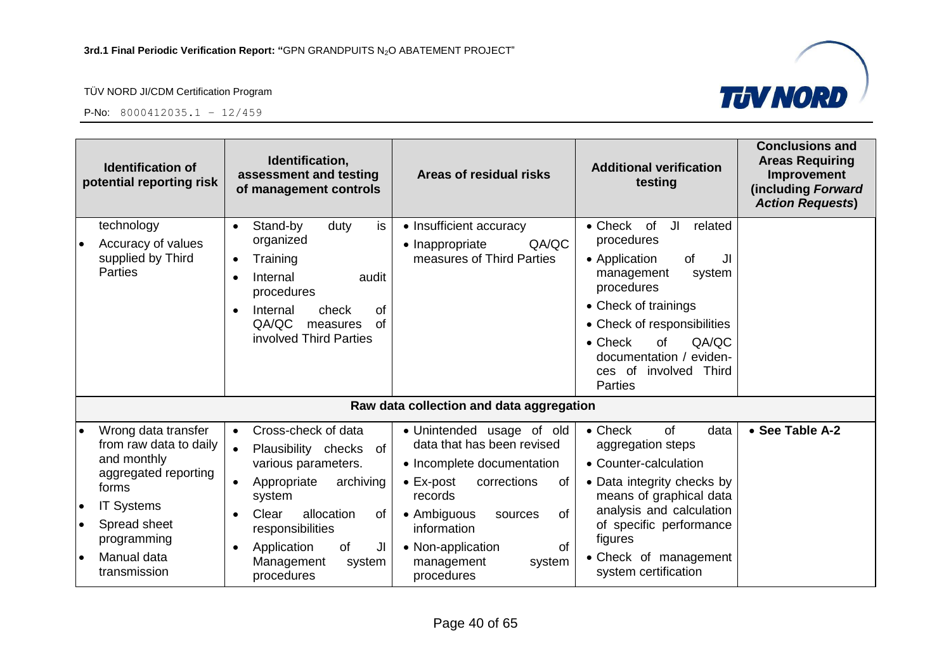



| <b>Identification of</b><br>potential reporting risk                                                                                                                                                       | Identification,<br>assessment and testing<br>of management controls                                                                                                                                                                                    | Areas of residual risks                                                                                                                                                                                                                                                  | <b>Additional verification</b><br>testing                                                                                                                                                                                                                                                            | <b>Conclusions and</b><br><b>Areas Requiring</b><br>Improvement<br>(including Forward<br><b>Action Requests)</b> |
|------------------------------------------------------------------------------------------------------------------------------------------------------------------------------------------------------------|--------------------------------------------------------------------------------------------------------------------------------------------------------------------------------------------------------------------------------------------------------|--------------------------------------------------------------------------------------------------------------------------------------------------------------------------------------------------------------------------------------------------------------------------|------------------------------------------------------------------------------------------------------------------------------------------------------------------------------------------------------------------------------------------------------------------------------------------------------|------------------------------------------------------------------------------------------------------------------|
| technology<br>Accuracy of values<br>supplied by Third<br><b>Parties</b>                                                                                                                                    | is<br>Stand-by<br>duty<br>$\bullet$<br>organized<br>Training<br>Internal<br>audit<br>procedures<br>Internal<br>check<br>0f<br>QA/QC<br>of<br>measures<br>involved Third Parties                                                                        | • Insufficient accuracy<br>QA/QC<br>• Inappropriate<br>measures of Third Parties                                                                                                                                                                                         | $\bullet$ Check<br><b>of</b><br>JI<br>related<br>procedures<br>of<br>• Application<br>JI<br>management<br>system<br>procedures<br>• Check of trainings<br>• Check of responsibilities<br>QA/QC<br>$\bullet$ Check<br><b>of</b><br>documentation / eviden-<br>ces of involved Third<br><b>Parties</b> |                                                                                                                  |
|                                                                                                                                                                                                            |                                                                                                                                                                                                                                                        | Raw data collection and data aggregation                                                                                                                                                                                                                                 |                                                                                                                                                                                                                                                                                                      |                                                                                                                  |
| Wrong data transfer<br>from raw data to daily<br>and monthly<br>aggregated reporting<br>forms<br><b>IT Systems</b><br>$\bullet$<br>Spread sheet<br>$\bullet$<br>programming<br>Manual data<br>transmission | Cross-check of data<br>$\bullet$<br>$\bullet$<br>Plausibility checks of<br>various parameters.<br>Appropriate<br>archiving<br>system<br>allocation<br>Clear<br>0f<br>responsibilities<br>Application<br>of<br>JI<br>Management<br>system<br>procedures | • Unintended usage of old<br>data that has been revised<br>• Incomplete documentation<br>$\bullet$ Ex-post<br>corrections<br>of<br>records<br>• Ambiguous<br><b>of</b><br>sources<br>information<br>• Non-application<br><b>of</b><br>management<br>system<br>procedures | $\bullet$ Check<br>of<br>data<br>aggregation steps<br>• Counter-calculation<br>• Data integrity checks by<br>means of graphical data<br>analysis and calculation<br>of specific performance<br>figures<br>• Check of management<br>system certification                                              | • See Table A-2                                                                                                  |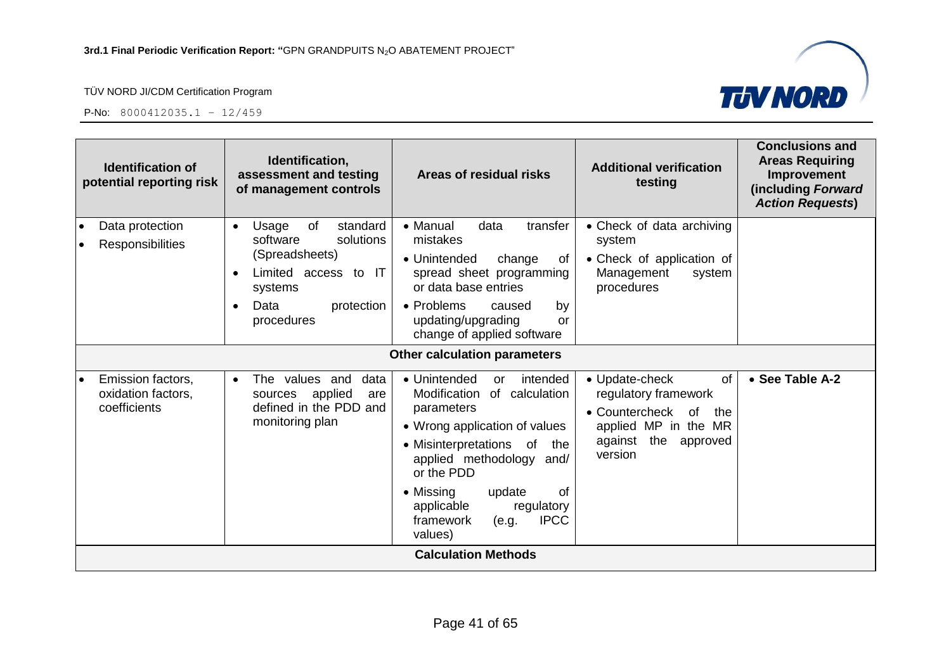



| Identification,<br><b>Identification of</b><br>assessment and testing<br>potential reporting risk<br>of management controls |                                                                                                                                                                     | Areas of residual risks                                                                                                                                                                                                                                                                                         | <b>Additional verification</b><br>testing                                                                                                 | <b>Conclusions and</b><br><b>Areas Requiring</b><br>Improvement<br>(including Forward<br><b>Action Requests)</b> |
|-----------------------------------------------------------------------------------------------------------------------------|---------------------------------------------------------------------------------------------------------------------------------------------------------------------|-----------------------------------------------------------------------------------------------------------------------------------------------------------------------------------------------------------------------------------------------------------------------------------------------------------------|-------------------------------------------------------------------------------------------------------------------------------------------|------------------------------------------------------------------------------------------------------------------|
| Data protection<br>$\bullet$<br><b>Responsibilities</b><br>$\bullet$                                                        | standard<br>of<br>Usage<br>$\bullet$<br>software<br>solutions<br>(Spreadsheets)<br>Limited access to IT<br>systems<br>Data<br>protection<br>$\bullet$<br>procedures | • Manual<br>data<br>transfer<br>mistakes<br>• Unintended<br>change<br>0f<br>spread sheet programming<br>or data base entries<br>• Problems<br>caused<br>by<br>updating/upgrading<br>or<br>change of applied software                                                                                            | • Check of data archiving<br>system<br>• Check of application of<br>Management<br>system<br>procedures                                    |                                                                                                                  |
|                                                                                                                             |                                                                                                                                                                     | Other calculation parameters                                                                                                                                                                                                                                                                                    |                                                                                                                                           |                                                                                                                  |
| Emission factors,<br>$\bullet$<br>oxidation factors,<br>coefficients                                                        | The values and<br>data<br>$\bullet$<br>applied<br>sources<br>are<br>defined in the PDD and<br>monitoring plan                                                       | • Unintended<br>intended<br>or<br>Modification<br>of calculation<br>parameters<br>• Wrong application of values<br>• Misinterpretations of<br>the<br>applied methodology and/<br>or the PDD<br><sub>of</sub><br>• Missing<br>update<br>applicable<br>regulatory<br><b>IPCC</b><br>framework<br>(e.g.<br>values) | • Update-check<br>of<br>regulatory framework<br>• Countercheck<br>of<br>the<br>applied MP in the MR<br>against the<br>approved<br>version | • See Table A-2                                                                                                  |
|                                                                                                                             |                                                                                                                                                                     | <b>Calculation Methods</b>                                                                                                                                                                                                                                                                                      |                                                                                                                                           |                                                                                                                  |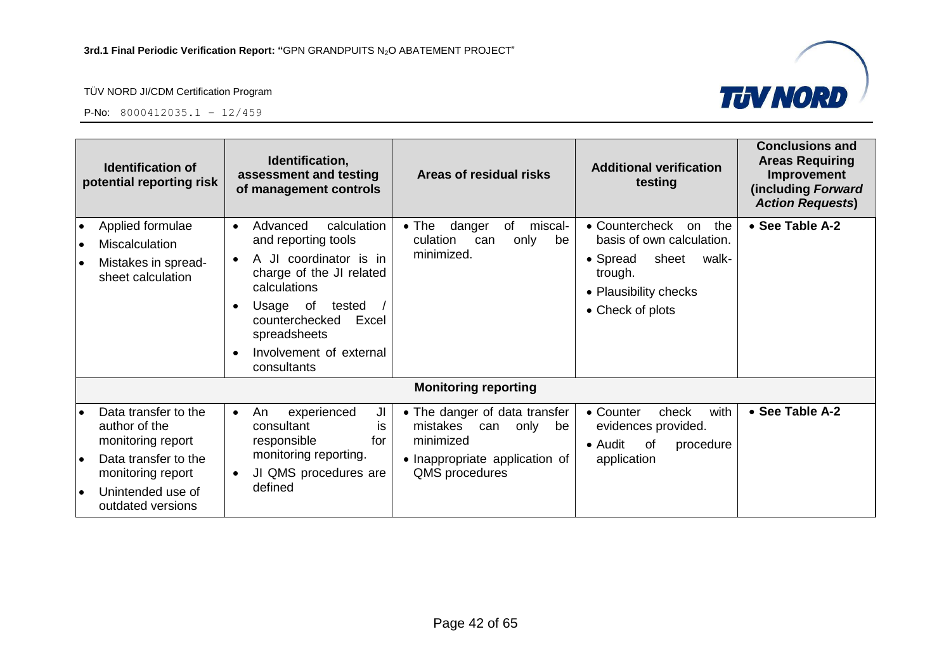

| <b>Identification of</b><br>potential reporting risk                                                                                                           | Identification,<br>assessment and testing<br>of management controls                                                                                                                                                                          | Areas of residual risks                                                                                                      | <b>Additional verification</b><br>testing                                                                                                      | <b>Conclusions and</b><br><b>Areas Requiring</b><br>Improvement<br>(including Forward<br><b>Action Requests)</b> |
|----------------------------------------------------------------------------------------------------------------------------------------------------------------|----------------------------------------------------------------------------------------------------------------------------------------------------------------------------------------------------------------------------------------------|------------------------------------------------------------------------------------------------------------------------------|------------------------------------------------------------------------------------------------------------------------------------------------|------------------------------------------------------------------------------------------------------------------|
| Applied formulae<br>$\bullet$<br>Miscalculation<br>Mistakes in spread-<br>sheet calculation                                                                    | Advanced<br>calculation<br>$\bullet$<br>and reporting tools<br>A JI coordinator is in<br>charge of the JI related<br>calculations<br>Usage of<br>tested<br>counterchecked<br>Excel<br>spreadsheets<br>Involvement of external<br>consultants | danger<br>miscal-<br>$\bullet$ The<br>of<br>culation<br>only<br>be<br>can<br>minimized.                                      | • Countercheck<br>the<br>on<br>basis of own calculation.<br>sheet<br>• Spread<br>walk-<br>trough.<br>• Plausibility checks<br>• Check of plots | • See Table A-2                                                                                                  |
|                                                                                                                                                                |                                                                                                                                                                                                                                              | <b>Monitoring reporting</b>                                                                                                  |                                                                                                                                                |                                                                                                                  |
| Data transfer to the<br>author of the<br>monitoring report<br>Data transfer to the<br>$\bullet$<br>monitoring report<br>Unintended use of<br>outdated versions | experienced<br>JI<br>An<br>$\bullet$<br>consultant<br>İS.<br>responsible<br>for<br>monitoring reporting.<br>JI QMS procedures are<br>defined                                                                                                 | • The danger of data transfer<br>mistakes can<br>only<br>be<br>minimized<br>• Inappropriate application of<br>QMS procedures | with<br>• Counter<br>check<br>evidences provided.<br>• Audit<br>of<br>procedure<br>application                                                 | • See Table A-2                                                                                                  |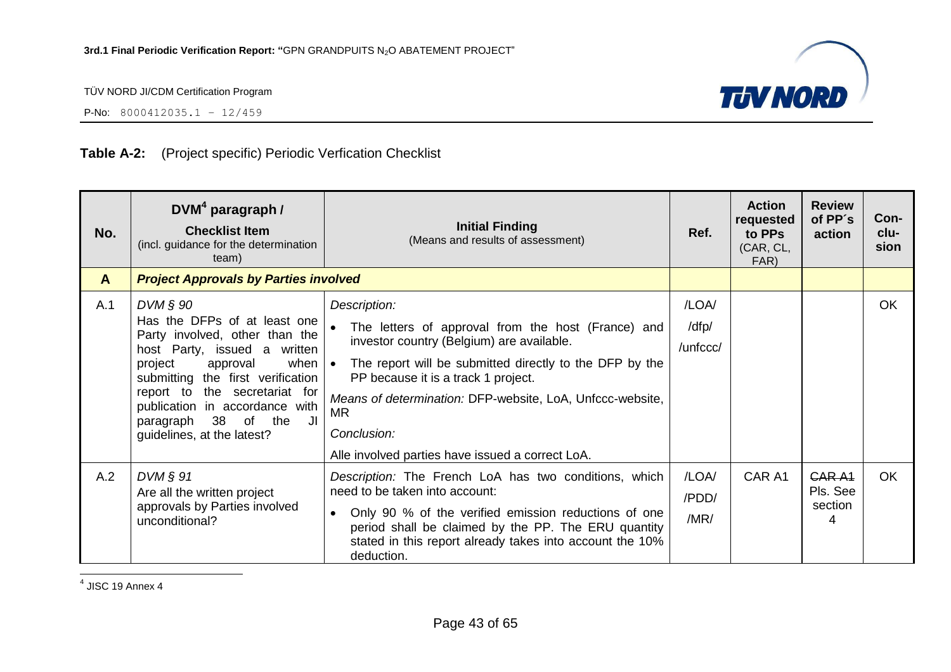

P-No: 8000412035.1 – 12/459

#### **Table A-2:** (Project specific) Periodic Verfication Checklist

| No.          | DVM <sup>4</sup> paragraph /<br><b>Checklist Item</b><br>(incl. guidance for the determination<br>team)                                                                                                                                                                                                                   | <b>Initial Finding</b><br>(Means and results of assessment)                                                                                                                                                                                                                                                                                             | Ref.                       | <b>Action</b><br>requested<br>to PPs<br>(CAR, CL,<br>FAR) | <b>Review</b><br>of PP's<br>action             | Con-<br>clu-<br>sion |
|--------------|---------------------------------------------------------------------------------------------------------------------------------------------------------------------------------------------------------------------------------------------------------------------------------------------------------------------------|---------------------------------------------------------------------------------------------------------------------------------------------------------------------------------------------------------------------------------------------------------------------------------------------------------------------------------------------------------|----------------------------|-----------------------------------------------------------|------------------------------------------------|----------------------|
| $\mathbf{A}$ | <b>Project Approvals by Parties involved</b>                                                                                                                                                                                                                                                                              |                                                                                                                                                                                                                                                                                                                                                         |                            |                                                           |                                                |                      |
| A.1          | $DVM$ $\S$ 90<br>Has the DFPs of at least one<br>Party involved, other than the<br>host Party, issued a written<br>project<br>approval<br>when $\cdot$<br>submitting the first verification<br>report to the secretariat for<br>publication in accordance with<br>paragraph 38 of the<br>JI<br>guidelines, at the latest? | Description:<br>The letters of approval from the host (France) and<br>investor country (Belgium) are available.<br>The report will be submitted directly to the DFP by the<br>PP because it is a track 1 project.<br>Means of determination: DFP-website, LoA, Unfccc-website,<br>MR<br>Conclusion:<br>Alle involved parties have issued a correct LoA. | /LOA/<br>/dfp/<br>/unfccc/ |                                                           |                                                | <b>OK</b>            |
| A.2          | $DVM$ $\S$ 91<br>Are all the written project<br>approvals by Parties involved<br>unconditional?                                                                                                                                                                                                                           | Description: The French LoA has two conditions, which<br>need to be taken into account:<br>Only 90 % of the verified emission reductions of one<br>$\bullet$<br>period shall be claimed by the PP. The ERU quantity<br>stated in this report already takes into account the 10%<br>deduction.                                                           | /LOA/<br>/PDD/<br>/MR/     | CAR A1                                                    | CAR A <sub>1</sub><br>Pls. See<br>section<br>4 | <b>OK</b>            |

4 JISC 19 Annex 4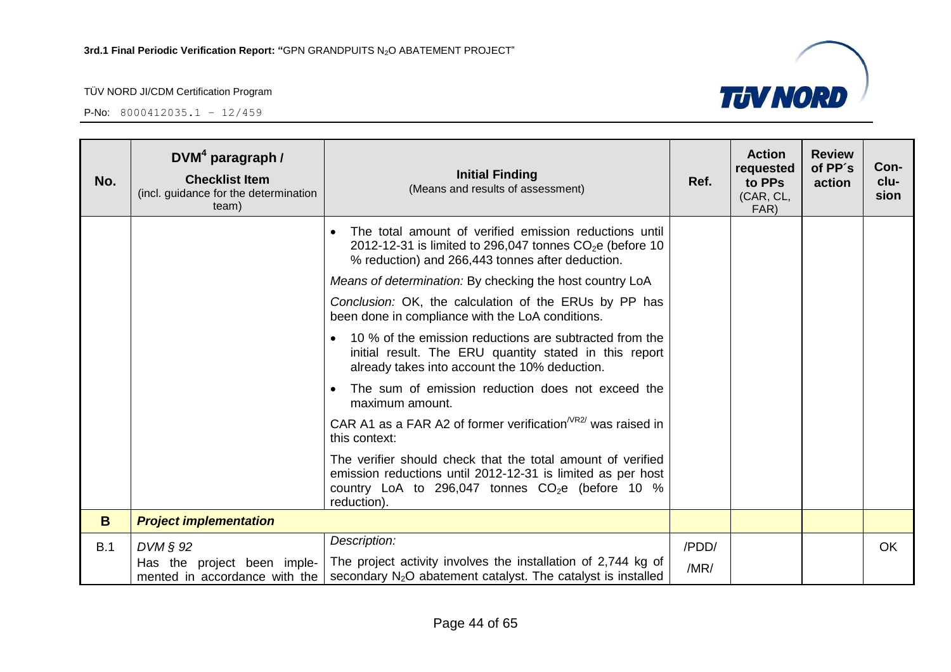

| No. | DVM <sup>4</sup> paragraph /<br><b>Checklist Item</b><br>(incl. guidance for the determination<br>team) | <b>Initial Finding</b><br>(Means and results of assessment)                                                                                                                                    | Ref.  | <b>Action</b><br>requested<br>to PPs<br>(CAR, CL,<br>FAR) | <b>Review</b><br>of PP's<br>action | Con-<br>clu-<br>sion |
|-----|---------------------------------------------------------------------------------------------------------|------------------------------------------------------------------------------------------------------------------------------------------------------------------------------------------------|-------|-----------------------------------------------------------|------------------------------------|----------------------|
|     |                                                                                                         | The total amount of verified emission reductions until<br>$\bullet$<br>2012-12-31 is limited to 296,047 tonnes $CO2e$ (before 10<br>% reduction) and 266,443 tonnes after deduction.           |       |                                                           |                                    |                      |
|     |                                                                                                         | Means of determination: By checking the host country LoA                                                                                                                                       |       |                                                           |                                    |                      |
|     |                                                                                                         | Conclusion: OK, the calculation of the ERUs by PP has<br>been done in compliance with the LoA conditions.                                                                                      |       |                                                           |                                    |                      |
|     |                                                                                                         | 10 % of the emission reductions are subtracted from the<br>initial result. The ERU quantity stated in this report<br>already takes into account the 10% deduction.                             |       |                                                           |                                    |                      |
|     |                                                                                                         | The sum of emission reduction does not exceed the<br>maximum amount.                                                                                                                           |       |                                                           |                                    |                      |
|     |                                                                                                         | CAR A1 as a FAR A2 of former verification $NRS/$ was raised in<br>this context:                                                                                                                |       |                                                           |                                    |                      |
|     |                                                                                                         | The verifier should check that the total amount of verified<br>emission reductions until 2012-12-31 is limited as per host<br>country LoA to 296,047 tonnes $CO2e$ (before 10 %<br>reduction). |       |                                                           |                                    |                      |
| B.  | <b>Project implementation</b>                                                                           |                                                                                                                                                                                                |       |                                                           |                                    |                      |
| B.1 | $DVM \S 92$                                                                                             | Description:                                                                                                                                                                                   | /PDD/ |                                                           |                                    | <b>OK</b>            |
|     |                                                                                                         | Has the project been imple-   The project activity involves the installation of 2,744 kg of<br>mented in accordance with the   secondary $N_2O$ abatement catalyst. The catalyst is installed  | /MR/  |                                                           |                                    |                      |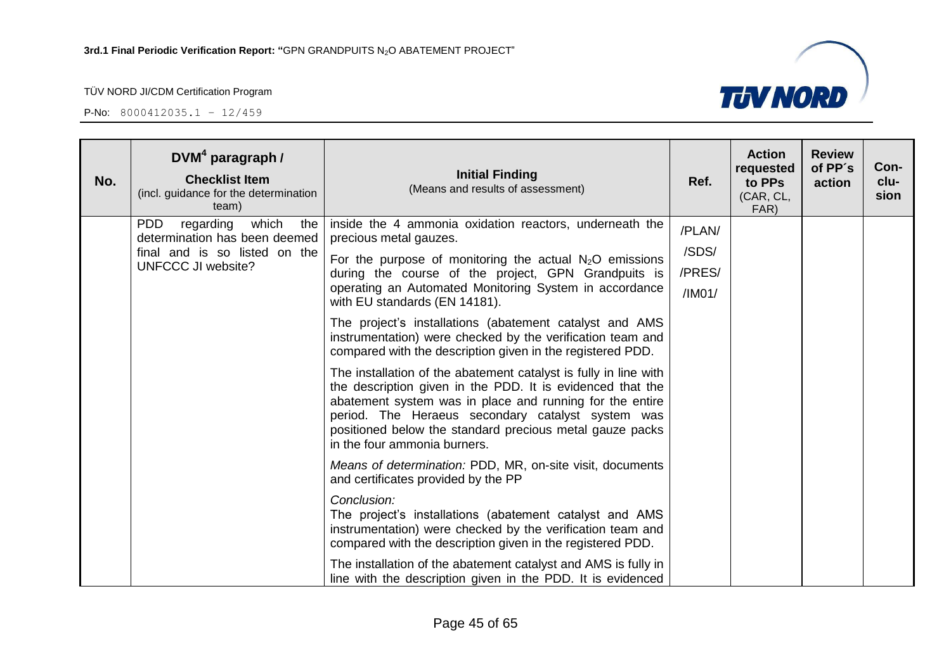

| No. | $DVM4$ paragraph /<br><b>Checklist Item</b><br>(incl. guidance for the determination<br>team)                                   | <b>Initial Finding</b><br>(Means and results of assessment)                                                                                                                                                                                                                                                                                 | Ref.                                | <b>Action</b><br>requested<br>to PPs<br>(CAR, CL,<br>FAR) | <b>Review</b><br>of PP's<br>action | Con-<br>clu-<br>sion |
|-----|---------------------------------------------------------------------------------------------------------------------------------|---------------------------------------------------------------------------------------------------------------------------------------------------------------------------------------------------------------------------------------------------------------------------------------------------------------------------------------------|-------------------------------------|-----------------------------------------------------------|------------------------------------|----------------------|
|     | <b>PDD</b><br>regarding<br>which<br>the<br>determination has been deemed<br>final and is so listed on the<br>UNFCCC JI website? | inside the 4 ammonia oxidation reactors, underneath the<br>precious metal gauzes.<br>For the purpose of monitoring the actual $N_2O$ emissions<br>during the course of the project, GPN Grandpuits is<br>operating an Automated Monitoring System in accordance<br>with EU standards (EN 14181).                                            | /PLAN/<br>/SDS/<br>/PRES/<br>/IMO1/ |                                                           |                                    |                      |
|     |                                                                                                                                 | The project's installations (abatement catalyst and AMS<br>instrumentation) were checked by the verification team and<br>compared with the description given in the registered PDD.                                                                                                                                                         |                                     |                                                           |                                    |                      |
|     |                                                                                                                                 | The installation of the abatement catalyst is fully in line with<br>the description given in the PDD. It is evidenced that the<br>abatement system was in place and running for the entire<br>period. The Heraeus secondary catalyst system was<br>positioned below the standard precious metal gauze packs<br>in the four ammonia burners. |                                     |                                                           |                                    |                      |
|     |                                                                                                                                 | Means of determination: PDD, MR, on-site visit, documents<br>and certificates provided by the PP                                                                                                                                                                                                                                            |                                     |                                                           |                                    |                      |
|     |                                                                                                                                 | Conclusion:<br>The project's installations (abatement catalyst and AMS<br>instrumentation) were checked by the verification team and<br>compared with the description given in the registered PDD.                                                                                                                                          |                                     |                                                           |                                    |                      |
|     |                                                                                                                                 | The installation of the abatement catalyst and AMS is fully in<br>line with the description given in the PDD. It is evidenced                                                                                                                                                                                                               |                                     |                                                           |                                    |                      |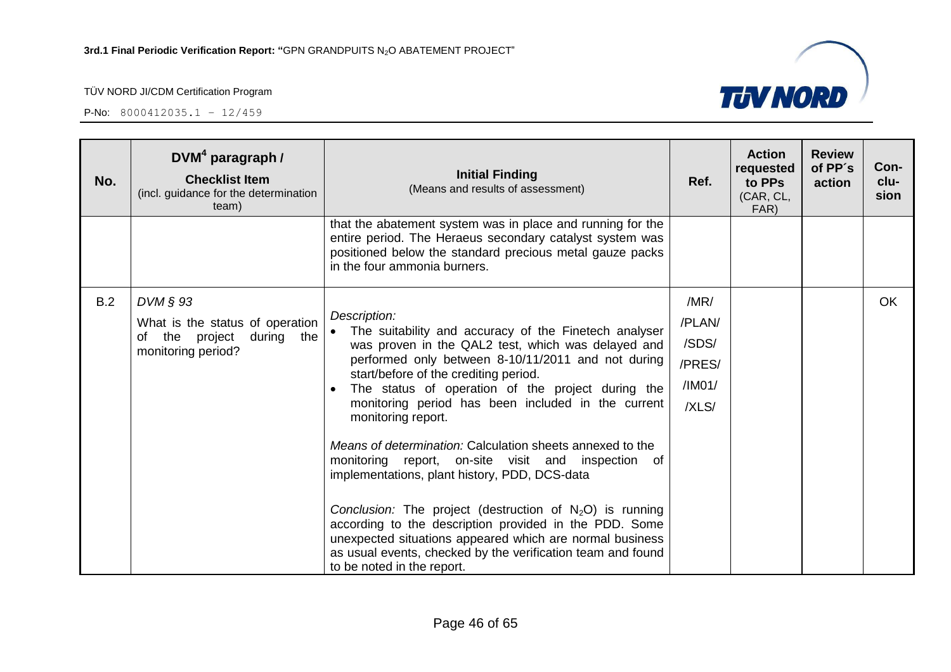P-No: 8000412035.1 – 12/459

÷

| No. | $DVM4$ paragraph /<br><b>Checklist Item</b><br>(incl. guidance for the determination<br>team)           | <b>Initial Finding</b><br>(Means and results of assessment)                                                                                                                                                                                                                                                                                                                                                                                                                                                                                                                                                                                                                                                                                                                         | Ref.                                                 | <b>Action</b><br>requested<br>to PPs<br>(CAR, CL,<br>FAR) | <b>Review</b><br>of PP's<br>action | Con-<br>clu-<br>sion |
|-----|---------------------------------------------------------------------------------------------------------|-------------------------------------------------------------------------------------------------------------------------------------------------------------------------------------------------------------------------------------------------------------------------------------------------------------------------------------------------------------------------------------------------------------------------------------------------------------------------------------------------------------------------------------------------------------------------------------------------------------------------------------------------------------------------------------------------------------------------------------------------------------------------------------|------------------------------------------------------|-----------------------------------------------------------|------------------------------------|----------------------|
|     |                                                                                                         | that the abatement system was in place and running for the<br>entire period. The Heraeus secondary catalyst system was<br>positioned below the standard precious metal gauze packs<br>in the four ammonia burners.                                                                                                                                                                                                                                                                                                                                                                                                                                                                                                                                                                  |                                                      |                                                           |                                    |                      |
| B.2 | $DVM \S 93$<br>What is the status of operation<br>of the project<br>during<br>the<br>monitoring period? | Description:<br>The suitability and accuracy of the Finetech analyser<br>was proven in the QAL2 test, which was delayed and<br>performed only between 8-10/11/2011 and not during<br>start/before of the crediting period.<br>The status of operation of the project during the<br>monitoring period has been included in the current<br>monitoring report.<br>Means of determination: Calculation sheets annexed to the<br>monitoring report, on-site visit and inspection of<br>implementations, plant history, PDD, DCS-data<br>Conclusion: The project (destruction of $N_2O$ ) is running<br>according to the description provided in the PDD. Some<br>unexpected situations appeared which are normal business<br>as usual events, checked by the verification team and found | /MR/<br>/PLAN/<br>/SDS/<br>/PRES/<br>/IMO1/<br>/XLS/ |                                                           |                                    | OK.                  |

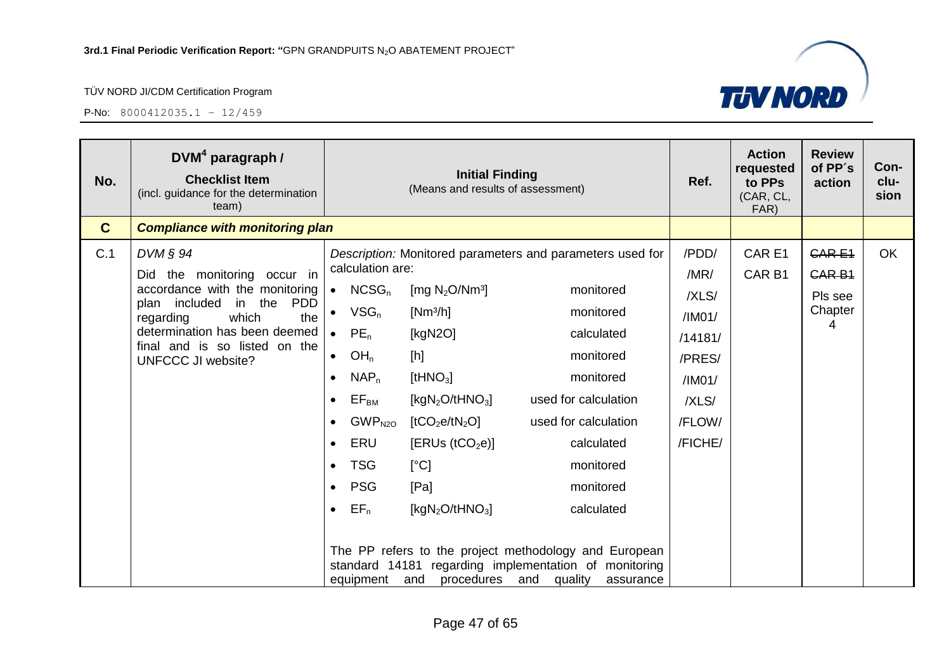

| No.          | $DVM4$ paragraph /<br><b>Checklist Item</b><br>(incl. guidance for the determination<br>team) |           |                             | <b>Initial Finding</b><br>(Means and results of assessment) |                                                                                                                                                       | Ref.          | <b>Action</b><br>requested<br>to PPs<br>(CAR, CL,<br>FAR) | <b>Review</b><br>of PP's<br>action | Con-<br>clu-<br>sion |
|--------------|-----------------------------------------------------------------------------------------------|-----------|-----------------------------|-------------------------------------------------------------|-------------------------------------------------------------------------------------------------------------------------------------------------------|---------------|-----------------------------------------------------------|------------------------------------|----------------------|
| $\mathbf{C}$ | <b>Compliance with monitoring plan</b>                                                        |           |                             |                                                             |                                                                                                                                                       |               |                                                           |                                    |                      |
| C.1          | $DVM \S 94$<br>Did the monitoring occur in                                                    |           | calculation are:            |                                                             | Description: Monitored parameters and parameters used for                                                                                             | /PDD/<br>/MR/ | CAR E1<br>CAR <sub>B1</sub>                               | <b>CARE1</b><br><b>CAR B1</b>      | <b>OK</b>            |
|              | accordance with the monitoring                                                                |           | $\bullet$ NCSG <sub>n</sub> | [mg $N_2O/Nm^3$ ]                                           | monitored                                                                                                                                             | /XLS/         |                                                           | Pls see                            |                      |
|              | in the<br><b>PDD</b><br>plan included<br>which<br>regarding<br>the                            |           | $VSG_n$                     | $[Nm^3/h]$                                                  | monitored                                                                                                                                             | /IMO1/        |                                                           | Chapter<br>4                       |                      |
|              | determination has been deemed                                                                 |           | $PE_n$                      | [kgN2O]                                                     | calculated                                                                                                                                            | /14181/       |                                                           |                                    |                      |
|              | final and is so listed on the<br><b>UNFCCC JI website?</b>                                    | $\bullet$ | OH <sub>n</sub>             | [h]                                                         | monitored                                                                                                                                             | /PRES/        |                                                           |                                    |                      |
|              |                                                                                               |           | $NAP_n$                     | [tHNO <sub>3</sub> ]                                        | monitored                                                                                                                                             | /IMO1/        |                                                           |                                    |                      |
|              |                                                                                               |           | $\mathsf{EF}_{\mathsf{BM}}$ | [kgN <sub>2</sub> O/tHNO <sub>3</sub> ]                     | used for calculation                                                                                                                                  | /XLS/         |                                                           |                                    |                      |
|              |                                                                                               |           | GWP <sub>N2O</sub>          | [tCO <sub>2</sub> e/tN <sub>2</sub> O]                      | used for calculation                                                                                                                                  | /FLOW/        |                                                           |                                    |                      |
|              |                                                                                               | $\bullet$ | ERU                         | [ERUs (tCO <sub>2</sub> e)]                                 | calculated                                                                                                                                            | /FICHE/       |                                                           |                                    |                      |
|              |                                                                                               |           | <b>TSG</b>                  | [°C]                                                        | monitored                                                                                                                                             |               |                                                           |                                    |                      |
|              |                                                                                               |           | <b>PSG</b>                  | [Pa]                                                        | monitored                                                                                                                                             |               |                                                           |                                    |                      |
|              |                                                                                               | $\bullet$ | $EF_n$                      | [kgN <sub>2</sub> O/tHNO <sub>3</sub> ]                     | calculated                                                                                                                                            |               |                                                           |                                    |                      |
|              |                                                                                               |           | equipment                   | and                                                         | The PP refers to the project methodology and European<br>standard 14181 regarding implementation of monitoring<br>procedures and quality<br>assurance |               |                                                           |                                    |                      |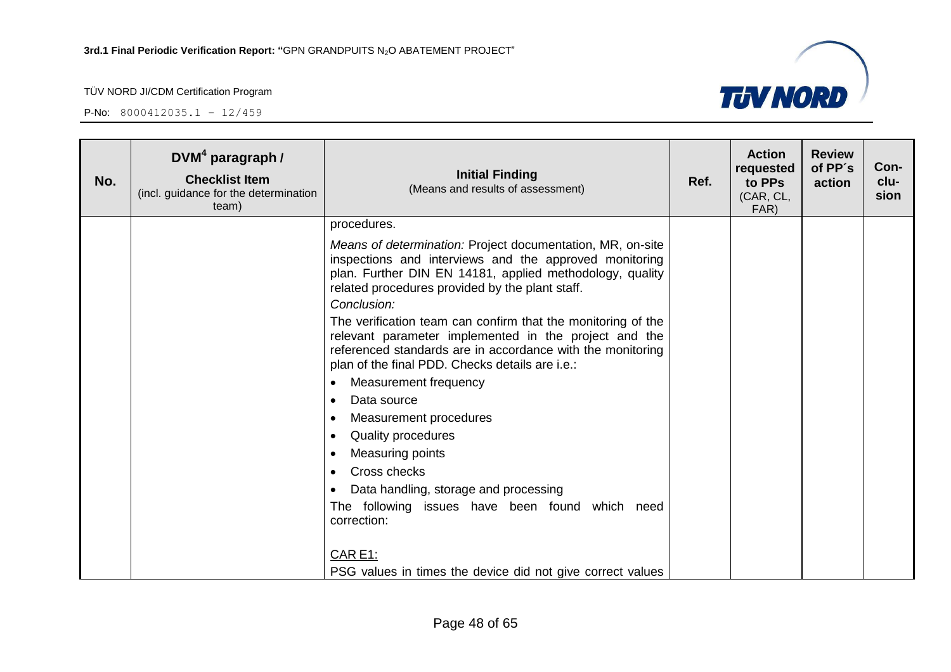

| No. | $DVM4$ paragraph /<br><b>Checklist Item</b><br>(incl. guidance for the determination<br>team) | <b>Initial Finding</b><br>(Means and results of assessment)                                                                                                                                                                            | Ref. | <b>Action</b><br>requested<br>to PPs<br>(CAR, CL,<br>FAR) | <b>Review</b><br>of PP's<br>action | Con-<br>clu-<br>sion |
|-----|-----------------------------------------------------------------------------------------------|----------------------------------------------------------------------------------------------------------------------------------------------------------------------------------------------------------------------------------------|------|-----------------------------------------------------------|------------------------------------|----------------------|
|     |                                                                                               | procedures.                                                                                                                                                                                                                            |      |                                                           |                                    |                      |
|     |                                                                                               | Means of determination: Project documentation, MR, on-site<br>inspections and interviews and the approved monitoring<br>plan. Further DIN EN 14181, applied methodology, quality<br>related procedures provided by the plant staff.    |      |                                                           |                                    |                      |
|     |                                                                                               | Conclusion:                                                                                                                                                                                                                            |      |                                                           |                                    |                      |
|     |                                                                                               | The verification team can confirm that the monitoring of the<br>relevant parameter implemented in the project and the<br>referenced standards are in accordance with the monitoring<br>plan of the final PDD. Checks details are i.e.: |      |                                                           |                                    |                      |
|     |                                                                                               | Measurement frequency<br>$\bullet$                                                                                                                                                                                                     |      |                                                           |                                    |                      |
|     |                                                                                               | Data source<br>$\bullet$                                                                                                                                                                                                               |      |                                                           |                                    |                      |
|     |                                                                                               | Measurement procedures<br>$\bullet$                                                                                                                                                                                                    |      |                                                           |                                    |                      |
|     |                                                                                               | <b>Quality procedures</b><br>$\bullet$                                                                                                                                                                                                 |      |                                                           |                                    |                      |
|     |                                                                                               | Measuring points<br>$\bullet$                                                                                                                                                                                                          |      |                                                           |                                    |                      |
|     |                                                                                               | Cross checks<br>$\bullet$                                                                                                                                                                                                              |      |                                                           |                                    |                      |
|     |                                                                                               | Data handling, storage and processing<br>$\bullet$                                                                                                                                                                                     |      |                                                           |                                    |                      |
|     |                                                                                               | The following issues have been found which need<br>correction:                                                                                                                                                                         |      |                                                           |                                    |                      |
|     |                                                                                               | CAR E1:                                                                                                                                                                                                                                |      |                                                           |                                    |                      |
|     |                                                                                               | PSG values in times the device did not give correct values                                                                                                                                                                             |      |                                                           |                                    |                      |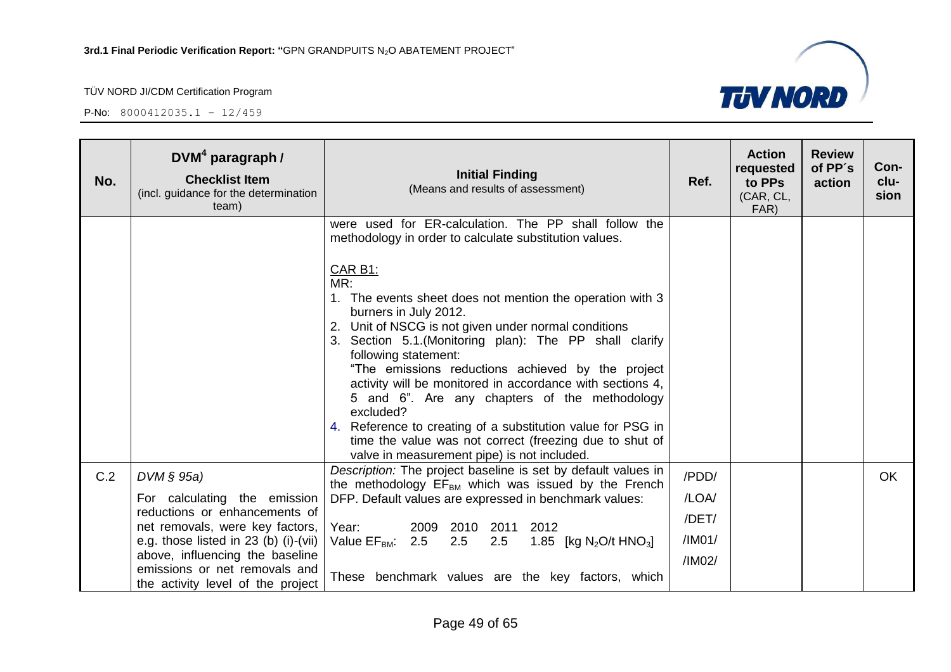

| No. | $DVM4$ paragraph /<br><b>Checklist Item</b><br>(incl. guidance for the determination<br>team)    | <b>Initial Finding</b><br>(Means and results of assessment)                                                                                                                                                                                                                                                                                                                                                                                                                                                                                                                                                        | Ref.             | <b>Action</b><br>requested<br>to PPs<br>(CAR, CL,<br>FAR) | <b>Review</b><br>of PP's<br>action | Con-<br>clu-<br>sion |
|-----|--------------------------------------------------------------------------------------------------|--------------------------------------------------------------------------------------------------------------------------------------------------------------------------------------------------------------------------------------------------------------------------------------------------------------------------------------------------------------------------------------------------------------------------------------------------------------------------------------------------------------------------------------------------------------------------------------------------------------------|------------------|-----------------------------------------------------------|------------------------------------|----------------------|
|     |                                                                                                  | were used for ER-calculation. The PP shall follow the<br>methodology in order to calculate substitution values.                                                                                                                                                                                                                                                                                                                                                                                                                                                                                                    |                  |                                                           |                                    |                      |
|     |                                                                                                  | <b>CAR B1:</b><br>MR:<br>1. The events sheet does not mention the operation with 3<br>burners in July 2012.<br>Unit of NSCG is not given under normal conditions<br>2.<br>3. Section 5.1. (Monitoring plan): The PP shall clarify<br>following statement:<br>"The emissions reductions achieved by the project<br>activity will be monitored in accordance with sections 4,<br>5 and 6". Are any chapters of the methodology<br>excluded?<br>4. Reference to creating of a substitution value for PSG in<br>time the value was not correct (freezing due to shut of<br>valve in measurement pipe) is not included. |                  |                                                           |                                    |                      |
| C.2 | DVM § 95a)                                                                                       | Description: The project baseline is set by default values in<br>the methodology $EF_{BM}$ which was issued by the French                                                                                                                                                                                                                                                                                                                                                                                                                                                                                          | /PDD/            |                                                           |                                    | <b>OK</b>            |
|     | For calculating the emission<br>reductions or enhancements of<br>net removals, were key factors, | DFP. Default values are expressed in benchmark values:<br>Year:<br>2009 2010<br>2011 2012                                                                                                                                                                                                                                                                                                                                                                                                                                                                                                                          | /LOA/<br>/DET/   |                                                           |                                    |                      |
|     | e.g. those listed in $23$ (b) (i)-(vii)<br>above, influencing the baseline                       | Value $EF_{BM}$ : 2.5 2.5<br>2.5<br>1.85 [kg N <sub>2</sub> O/t HNO <sub>3</sub> ]                                                                                                                                                                                                                                                                                                                                                                                                                                                                                                                                 | /IM01/<br>/IM02/ |                                                           |                                    |                      |
|     | emissions or net removals and<br>the activity level of the project                               | These benchmark values are the key factors, which                                                                                                                                                                                                                                                                                                                                                                                                                                                                                                                                                                  |                  |                                                           |                                    |                      |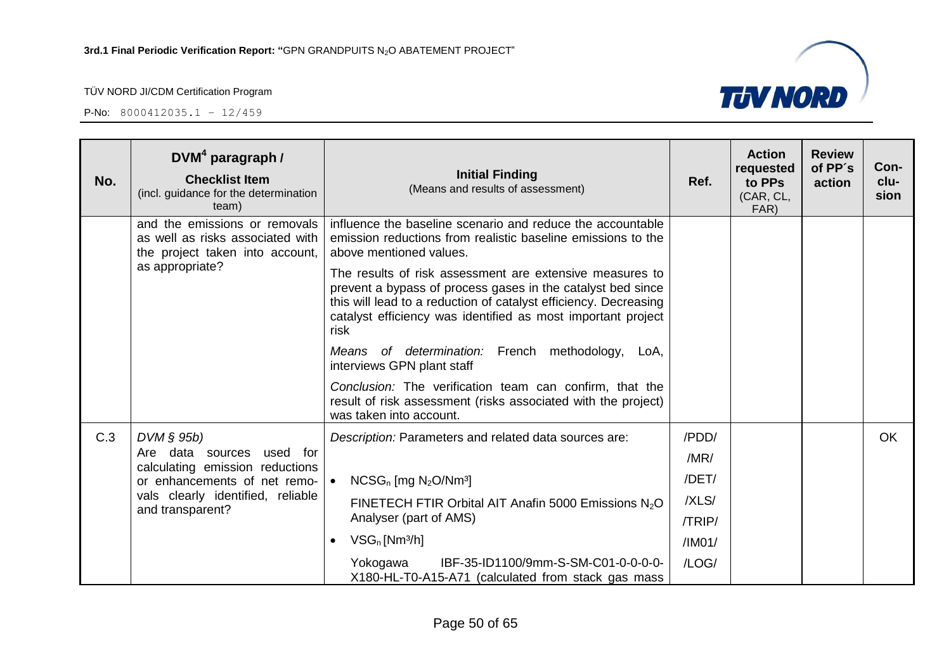

| No. | $DVM4$ paragraph /<br><b>Checklist Item</b><br>(incl. guidance for the determination<br>team)                           | <b>Initial Finding</b><br>(Means and results of assessment)                                                                                                                                                                                                                                                                                                                                                                                                                                                       | Ref.   | <b>Action</b><br>requested<br>to PPs<br>(CAR, CL,<br>FAR) | <b>Review</b><br>of PP's<br>action | Con-<br>clu-<br>sion |
|-----|-------------------------------------------------------------------------------------------------------------------------|-------------------------------------------------------------------------------------------------------------------------------------------------------------------------------------------------------------------------------------------------------------------------------------------------------------------------------------------------------------------------------------------------------------------------------------------------------------------------------------------------------------------|--------|-----------------------------------------------------------|------------------------------------|----------------------|
|     | and the emissions or removals<br>as well as risks associated with<br>the project taken into account,<br>as appropriate? | influence the baseline scenario and reduce the accountable<br>emission reductions from realistic baseline emissions to the<br>above mentioned values.<br>The results of risk assessment are extensive measures to<br>prevent a bypass of process gases in the catalyst bed since<br>this will lead to a reduction of catalyst efficiency. Decreasing<br>catalyst efficiency was identified as most important project<br>risk<br>Means of determination: French methodology,<br>LoA,<br>interviews GPN plant staff |        |                                                           |                                    |                      |
|     |                                                                                                                         | Conclusion: The verification team can confirm, that the<br>result of risk assessment (risks associated with the project)<br>was taken into account.                                                                                                                                                                                                                                                                                                                                                               |        |                                                           |                                    |                      |
| C.3 | $DVM \S 95b$                                                                                                            | Description: Parameters and related data sources are:                                                                                                                                                                                                                                                                                                                                                                                                                                                             | /PDD/  |                                                           |                                    | <b>OK</b>            |
|     | Are data sources<br>used for                                                                                            |                                                                                                                                                                                                                                                                                                                                                                                                                                                                                                                   | /MR/   |                                                           |                                    |                      |
|     | calculating emission reductions<br>or enhancements of net remo-                                                         | $NCSG_n$ [mg $N_2O/Nm^3$ ]<br>$\bullet$                                                                                                                                                                                                                                                                                                                                                                                                                                                                           | /DET/  |                                                           |                                    |                      |
|     | vals clearly identified, reliable                                                                                       | FINETECH FTIR Orbital AIT Anafin 5000 Emissions N <sub>2</sub> O                                                                                                                                                                                                                                                                                                                                                                                                                                                  | /XLS/  |                                                           |                                    |                      |
|     | and transparent?                                                                                                        | Analyser (part of AMS)                                                                                                                                                                                                                                                                                                                                                                                                                                                                                            | /TRIP/ |                                                           |                                    |                      |
|     |                                                                                                                         | $VSG_n$ [Nm <sup>3</sup> /h]<br>$\bullet$                                                                                                                                                                                                                                                                                                                                                                                                                                                                         | /IMO1/ |                                                           |                                    |                      |
|     |                                                                                                                         | Yokogawa<br>IBF-35-ID1100/9mm-S-SM-C01-0-0-0-0-<br>X180-HL-T0-A15-A71 (calculated from stack gas mass                                                                                                                                                                                                                                                                                                                                                                                                             | /LOG/  |                                                           |                                    |                      |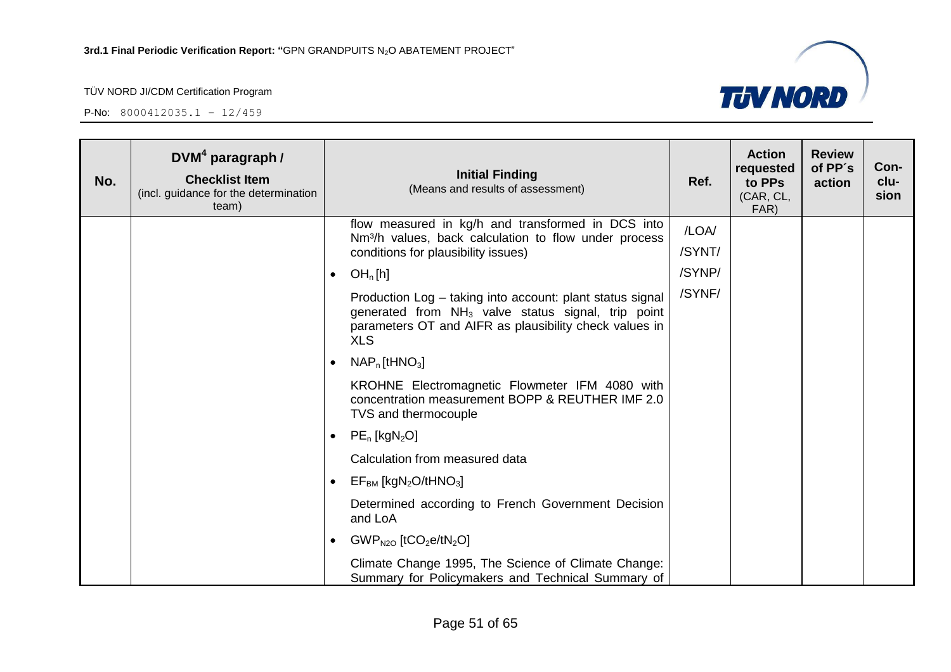

| No. | $DVM4$ paragraph /<br><b>Checklist Item</b><br>(incl. guidance for the determination<br>team) | <b>Initial Finding</b><br>(Means and results of assessment)                                                                                                                                         | Ref.            | <b>Action</b><br>requested<br>to PPs<br>(CAR, CL,<br>FAR) | <b>Review</b><br>of PP's<br>action | Con-<br>clu-<br>sion |
|-----|-----------------------------------------------------------------------------------------------|-----------------------------------------------------------------------------------------------------------------------------------------------------------------------------------------------------|-----------------|-----------------------------------------------------------|------------------------------------|----------------------|
|     |                                                                                               | flow measured in kg/h and transformed in DCS into<br>Nm <sup>3</sup> /h values, back calculation to flow under process<br>conditions for plausibility issues)                                       | /LOA/<br>/SYNT/ |                                                           |                                    |                      |
|     |                                                                                               | OH <sub>n</sub> [h]<br>$\bullet$                                                                                                                                                                    | /SYNP/          |                                                           |                                    |                      |
|     |                                                                                               | Production Log - taking into account: plant status signal<br>generated from NH <sub>3</sub> valve status signal, trip point<br>parameters OT and AIFR as plausibility check values in<br><b>XLS</b> | /SYNF/          |                                                           |                                    |                      |
|     |                                                                                               | $NAPn$ [tHNO <sub>3</sub> ]<br>$\bullet$                                                                                                                                                            |                 |                                                           |                                    |                      |
|     |                                                                                               | KROHNE Electromagnetic Flowmeter IFM 4080 with<br>concentration measurement BOPP & REUTHER IMF 2.0<br>TVS and thermocouple                                                                          |                 |                                                           |                                    |                      |
|     |                                                                                               | $PE_n$ [kgN <sub>2</sub> O]<br>$\bullet$                                                                                                                                                            |                 |                                                           |                                    |                      |
|     |                                                                                               | Calculation from measured data                                                                                                                                                                      |                 |                                                           |                                    |                      |
|     |                                                                                               | $EFBM$ [kgN <sub>2</sub> O/tHNO <sub>3</sub> ]<br>$\bullet$                                                                                                                                         |                 |                                                           |                                    |                      |
|     |                                                                                               | Determined according to French Government Decision<br>and LoA                                                                                                                                       |                 |                                                           |                                    |                      |
|     |                                                                                               | $GWP_{N2O}$ [tCO <sub>2</sub> e/tN <sub>2</sub> O]<br>$\bullet$                                                                                                                                     |                 |                                                           |                                    |                      |
|     |                                                                                               | Climate Change 1995, The Science of Climate Change:<br>Summary for Policymakers and Technical Summary of                                                                                            |                 |                                                           |                                    |                      |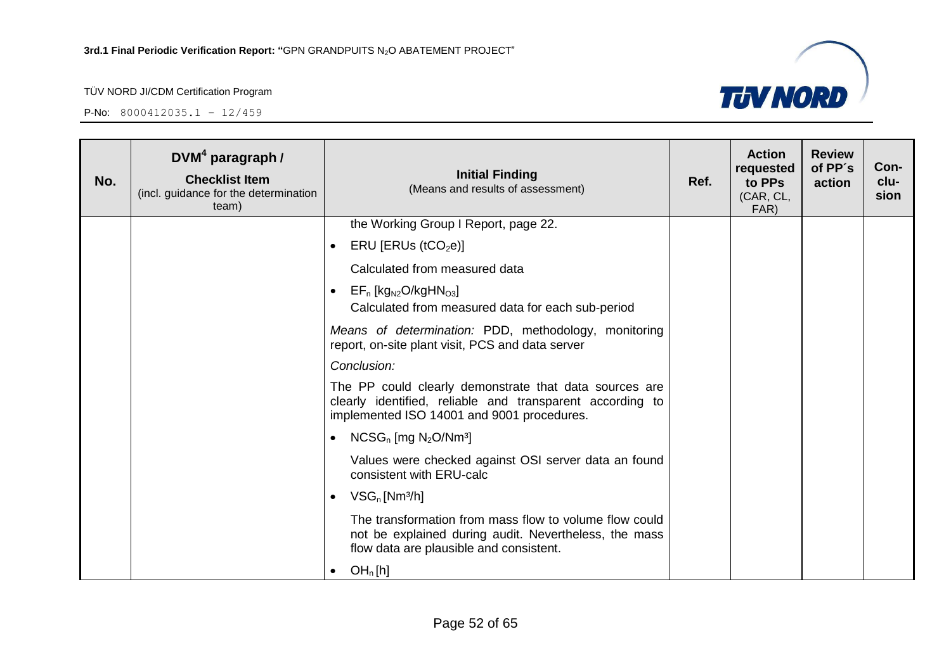

| No. | DVM <sup>4</sup> paragraph /<br><b>Checklist Item</b><br>(incl. guidance for the determination<br>team) | <b>Initial Finding</b><br>(Means and results of assessment)                                                                                                       | Ref. | <b>Action</b><br>requested<br>to PPs<br>(CAR, CL,<br>FAR) | <b>Review</b><br>of PP's<br>action | Con-<br>clu-<br>sion |
|-----|---------------------------------------------------------------------------------------------------------|-------------------------------------------------------------------------------------------------------------------------------------------------------------------|------|-----------------------------------------------------------|------------------------------------|----------------------|
|     |                                                                                                         | the Working Group I Report, page 22.                                                                                                                              |      |                                                           |                                    |                      |
|     |                                                                                                         | ERU [ERUs (tCO <sub>2</sub> e)]<br>$\bullet$                                                                                                                      |      |                                                           |                                    |                      |
|     |                                                                                                         | Calculated from measured data                                                                                                                                     |      |                                                           |                                    |                      |
|     |                                                                                                         | $EF_n$ [kg <sub>N2</sub> O/kgHN <sub>O3</sub> ]<br>$\bullet$<br>Calculated from measured data for each sub-period                                                 |      |                                                           |                                    |                      |
|     |                                                                                                         | Means of determination: PDD, methodology, monitoring<br>report, on-site plant visit, PCS and data server                                                          |      |                                                           |                                    |                      |
|     |                                                                                                         | Conclusion:                                                                                                                                                       |      |                                                           |                                    |                      |
|     |                                                                                                         | The PP could clearly demonstrate that data sources are<br>clearly identified, reliable and transparent according to<br>implemented ISO 14001 and 9001 procedures. |      |                                                           |                                    |                      |
|     |                                                                                                         | $NCSG_n$ [mg $N_2O/Nm^3$ ]<br>$\bullet$                                                                                                                           |      |                                                           |                                    |                      |
|     |                                                                                                         | Values were checked against OSI server data an found<br>consistent with ERU-calc                                                                                  |      |                                                           |                                    |                      |
|     |                                                                                                         | $VSG_n$ [Nm <sup>3</sup> /h]<br>$\bullet$                                                                                                                         |      |                                                           |                                    |                      |
|     |                                                                                                         | The transformation from mass flow to volume flow could<br>not be explained during audit. Nevertheless, the mass<br>flow data are plausible and consistent.        |      |                                                           |                                    |                      |
|     |                                                                                                         | OH <sub>n</sub> [h]<br>$\bullet$                                                                                                                                  |      |                                                           |                                    |                      |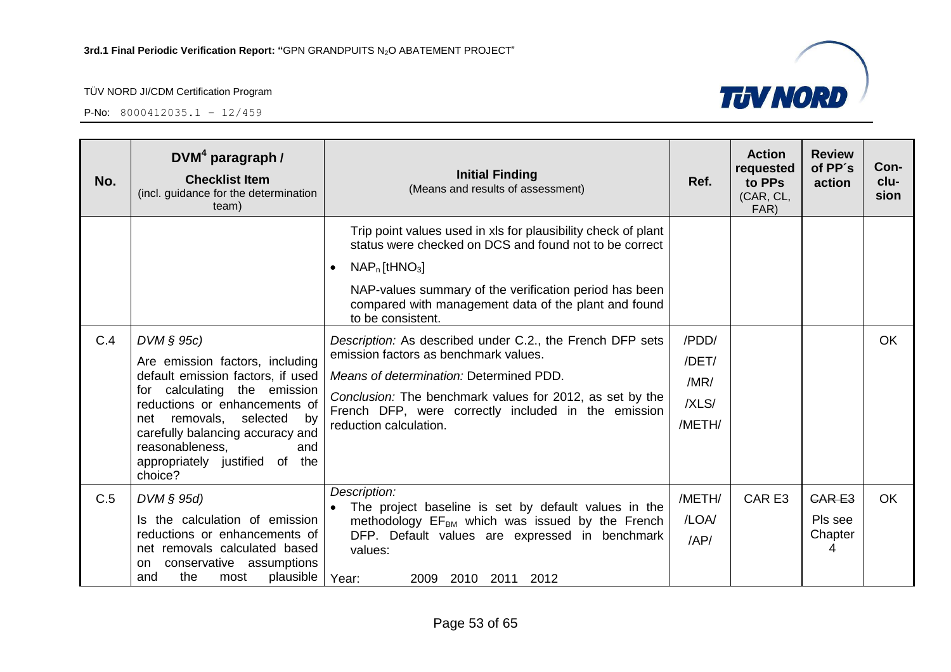P-No: 8000412035.1 – 12/459



| No. | DVM <sup>4</sup> paragraph /<br><b>Checklist Item</b><br>(incl. guidance for the determination<br>team)                                                                                                                                                                                             | <b>Initial Finding</b><br>(Means and results of assessment)                                                                                                                                                                                                                                    | Ref.                                      | <b>Action</b><br>requested<br>to PPs<br>(CAR, CL,<br>FAR) | <b>Review</b><br>of PP's<br>action      | Con-<br>clu-<br>sion |
|-----|-----------------------------------------------------------------------------------------------------------------------------------------------------------------------------------------------------------------------------------------------------------------------------------------------------|------------------------------------------------------------------------------------------------------------------------------------------------------------------------------------------------------------------------------------------------------------------------------------------------|-------------------------------------------|-----------------------------------------------------------|-----------------------------------------|----------------------|
|     |                                                                                                                                                                                                                                                                                                     | Trip point values used in xls for plausibility check of plant<br>status were checked on DCS and found not to be correct<br>$NAP_n$ [tHNO <sub>3</sub> ]<br>NAP-values summary of the verification period has been<br>compared with management data of the plant and found<br>to be consistent. |                                           |                                                           |                                         |                      |
| C.4 | $DVM \S 95c$<br>Are emission factors, including<br>default emission factors, if used<br>for calculating the emission<br>reductions or enhancements of<br>net removals,<br>selected<br>by<br>carefully balancing accuracy and<br>reasonableness,<br>and<br>appropriately justified of the<br>choice? | Description: As described under C.2., the French DFP sets<br>emission factors as benchmark values.<br>Means of determination: Determined PDD.<br>Conclusion: The benchmark values for 2012, as set by the<br>French DFP, were correctly included in the emission<br>reduction calculation.     | /PDD/<br>/DET/<br>/MR/<br>/XLS/<br>/METH/ |                                                           |                                         | <b>OK</b>            |
| C.5 | $DVM \S 95d$<br>Is the calculation of emission<br>reductions or enhancements of<br>net removals calculated based<br>conservative assumptions<br>on.<br>the<br>plausible<br>most<br>and                                                                                                              | Description:<br>The project baseline is set by default values in the<br>methodology $EF_{BM}$ which was issued by the French<br>DFP. Default values are expressed in benchmark<br>values:<br>Year:<br>2009<br>2010<br>2011<br>2012                                                             | /METH/<br>/LOA/<br>/AP/                   | CAR E3                                                    | <b>CARE3</b><br>Pls see<br>Chapter<br>4 | <b>OK</b>            |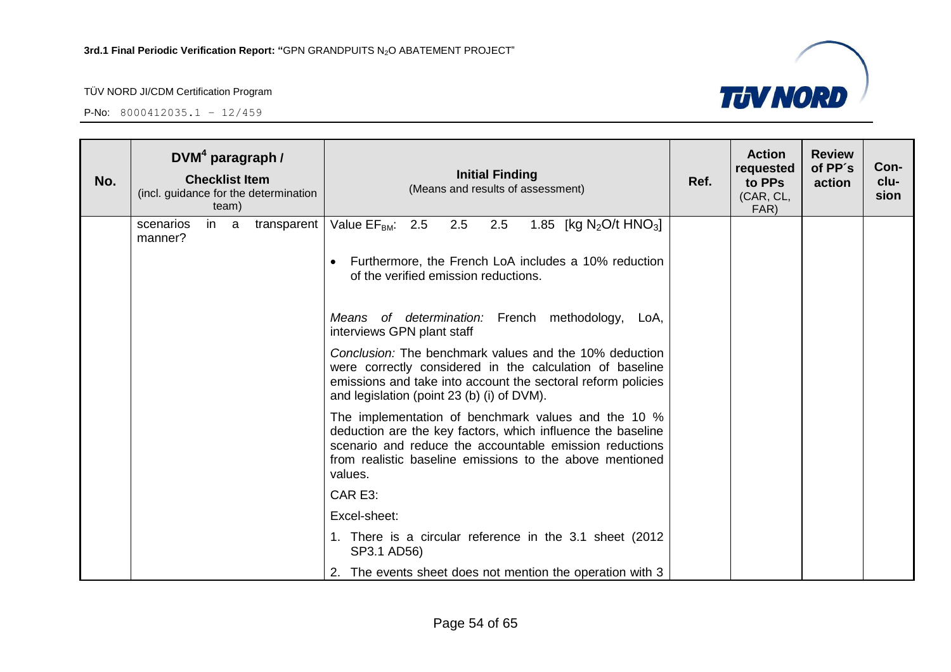

| No. |                      | $DVM4$ paragraph /<br><b>Checklist Item</b><br>team) | (incl. guidance for the determination | <b>Initial Finding</b><br>(Means and results of assessment)                                                                                                                                                                                          | Ref. | <b>Action</b><br>requested<br>to PPs<br>(CAR, CL,<br>FAR) | <b>Review</b><br>of PP's<br>action | Con-<br>clu-<br>sion |
|-----|----------------------|------------------------------------------------------|---------------------------------------|------------------------------------------------------------------------------------------------------------------------------------------------------------------------------------------------------------------------------------------------------|------|-----------------------------------------------------------|------------------------------------|----------------------|
|     | scenarios<br>manner? | in a                                                 |                                       | transparent   Value $EF_{BM}$ : 2.5 2.5 2.5<br>1.85 [kg $N_2O/t$ HNO <sub>3</sub> ]<br>Furthermore, the French LoA includes a 10% reduction<br>of the verified emission reductions.                                                                  |      |                                                           |                                    |                      |
|     |                      |                                                      |                                       | Means of determination: French methodology, LoA,<br>interviews GPN plant staff                                                                                                                                                                       |      |                                                           |                                    |                      |
|     |                      |                                                      |                                       | Conclusion: The benchmark values and the 10% deduction<br>were correctly considered in the calculation of baseline<br>emissions and take into account the sectoral reform policies<br>and legislation (point 23 (b) (i) of DVM).                     |      |                                                           |                                    |                      |
|     |                      |                                                      |                                       | The implementation of benchmark values and the 10 %<br>deduction are the key factors, which influence the baseline<br>scenario and reduce the accountable emission reductions<br>from realistic baseline emissions to the above mentioned<br>values. |      |                                                           |                                    |                      |
|     |                      |                                                      |                                       | CAR E3:                                                                                                                                                                                                                                              |      |                                                           |                                    |                      |
|     |                      |                                                      |                                       | Excel-sheet:                                                                                                                                                                                                                                         |      |                                                           |                                    |                      |
|     |                      |                                                      |                                       | 1. There is a circular reference in the 3.1 sheet (2012)<br>SP3.1 AD56)                                                                                                                                                                              |      |                                                           |                                    |                      |
|     |                      |                                                      |                                       | 2. The events sheet does not mention the operation with 3                                                                                                                                                                                            |      |                                                           |                                    |                      |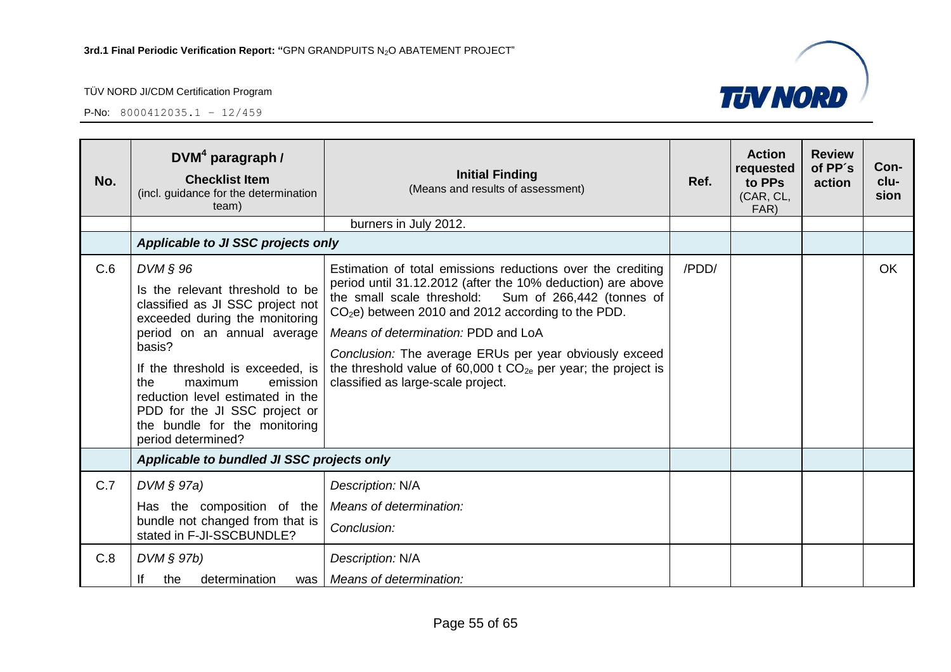P-No: 8000412035.1 – 12/459



| No. | $DVM4$ paragraph /<br><b>Checklist Item</b><br>(incl. guidance for the determination<br>team)                                                                                                                                                                                                                                                            | <b>Initial Finding</b><br>(Means and results of assessment)                                                                                                                                                                                                                                                                                                                                                                                             | Ref.  | <b>Action</b><br>requested<br>to PPs<br>(CAR, CL,<br>FAR) | <b>Review</b><br>of PP's<br>action | Con-<br>clu-<br>sion |
|-----|----------------------------------------------------------------------------------------------------------------------------------------------------------------------------------------------------------------------------------------------------------------------------------------------------------------------------------------------------------|---------------------------------------------------------------------------------------------------------------------------------------------------------------------------------------------------------------------------------------------------------------------------------------------------------------------------------------------------------------------------------------------------------------------------------------------------------|-------|-----------------------------------------------------------|------------------------------------|----------------------|
|     |                                                                                                                                                                                                                                                                                                                                                          | burners in July 2012.                                                                                                                                                                                                                                                                                                                                                                                                                                   |       |                                                           |                                    |                      |
|     | Applicable to JI SSC projects only                                                                                                                                                                                                                                                                                                                       |                                                                                                                                                                                                                                                                                                                                                                                                                                                         |       |                                                           |                                    |                      |
| C.6 | DVM § 96<br>Is the relevant threshold to be<br>classified as JI SSC project not<br>exceeded during the monitoring<br>period on an annual average<br>basis?<br>If the threshold is exceeded, is<br>the<br>maximum<br>emission<br>reduction level estimated in the<br>PDD for the JI SSC project or<br>the bundle for the monitoring<br>period determined? | Estimation of total emissions reductions over the crediting<br>period until 31.12.2012 (after the 10% deduction) are above<br>the small scale threshold: Sum of 266,442 (tonnes of<br>$CO2e$ ) between 2010 and 2012 according to the PDD.<br>Means of determination: PDD and LoA<br>Conclusion: The average ERUs per year obviously exceed<br>the threshold value of 60,000 t $CO_{2e}$ per year; the project is<br>classified as large-scale project. | /PDD/ |                                                           |                                    | OK                   |
|     | Applicable to bundled JI SSC projects only                                                                                                                                                                                                                                                                                                               |                                                                                                                                                                                                                                                                                                                                                                                                                                                         |       |                                                           |                                    |                      |
| C.7 | $DVM \S 97a)$<br>Has the composition of the<br>bundle not changed from that is<br>stated in F-JI-SSCBUNDLE?                                                                                                                                                                                                                                              | Description: N/A<br>Means of determination:<br>Conclusion:                                                                                                                                                                                                                                                                                                                                                                                              |       |                                                           |                                    |                      |
| C.8 | DVM § 97b)<br>lf<br>determination<br>the<br>was l                                                                                                                                                                                                                                                                                                        | Description: N/A<br>Means of determination:                                                                                                                                                                                                                                                                                                                                                                                                             |       |                                                           |                                    |                      |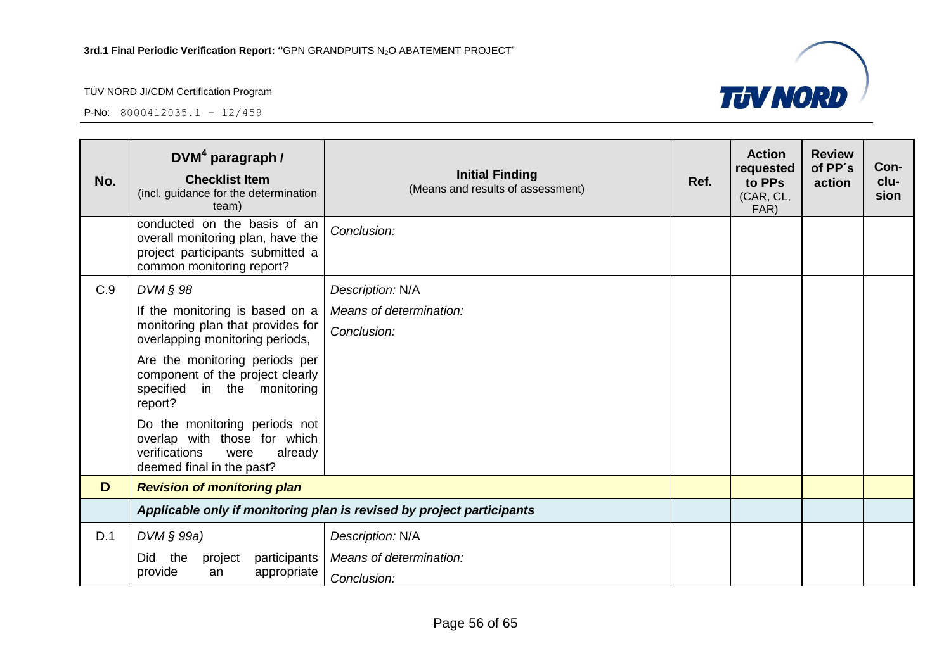

| No. | $DVM4$ paragraph /<br><b>Checklist Item</b><br>(incl. guidance for the determination<br>team)                                      | <b>Initial Finding</b><br>(Means and results of assessment) | Ref. | <b>Action</b><br>requested<br>to PPs<br>(CAR, CL,<br>FAR) | <b>Review</b><br>of PP's<br>action | Con-<br>clu-<br>sion |
|-----|------------------------------------------------------------------------------------------------------------------------------------|-------------------------------------------------------------|------|-----------------------------------------------------------|------------------------------------|----------------------|
|     | conducted on the basis of an<br>overall monitoring plan, have the<br>project participants submitted a<br>common monitoring report? | Conclusion:                                                 |      |                                                           |                                    |                      |
| C.9 | $DVM \S 98$                                                                                                                        | Description: N/A                                            |      |                                                           |                                    |                      |
|     | If the monitoring is based on a<br>monitoring plan that provides for<br>overlapping monitoring periods,                            | Means of determination:                                     |      |                                                           |                                    |                      |
|     |                                                                                                                                    | Conclusion:                                                 |      |                                                           |                                    |                      |
|     | Are the monitoring periods per<br>component of the project clearly<br>specified<br>in the monitoring<br>report?                    |                                                             |      |                                                           |                                    |                      |
|     | Do the monitoring periods not<br>overlap with those for which<br>verifications<br>already<br>were<br>deemed final in the past?     |                                                             |      |                                                           |                                    |                      |
| D   | <b>Revision of monitoring plan</b>                                                                                                 |                                                             |      |                                                           |                                    |                      |
|     | Applicable only if monitoring plan is revised by project participants                                                              |                                                             |      |                                                           |                                    |                      |
| D.1 | $DVM \S 99a)$                                                                                                                      | Description: N/A                                            |      |                                                           |                                    |                      |
|     | Did<br>participants<br>the<br>project                                                                                              | Means of determination:                                     |      |                                                           |                                    |                      |
|     | provide<br>appropriate<br>an                                                                                                       | Conclusion:                                                 |      |                                                           |                                    |                      |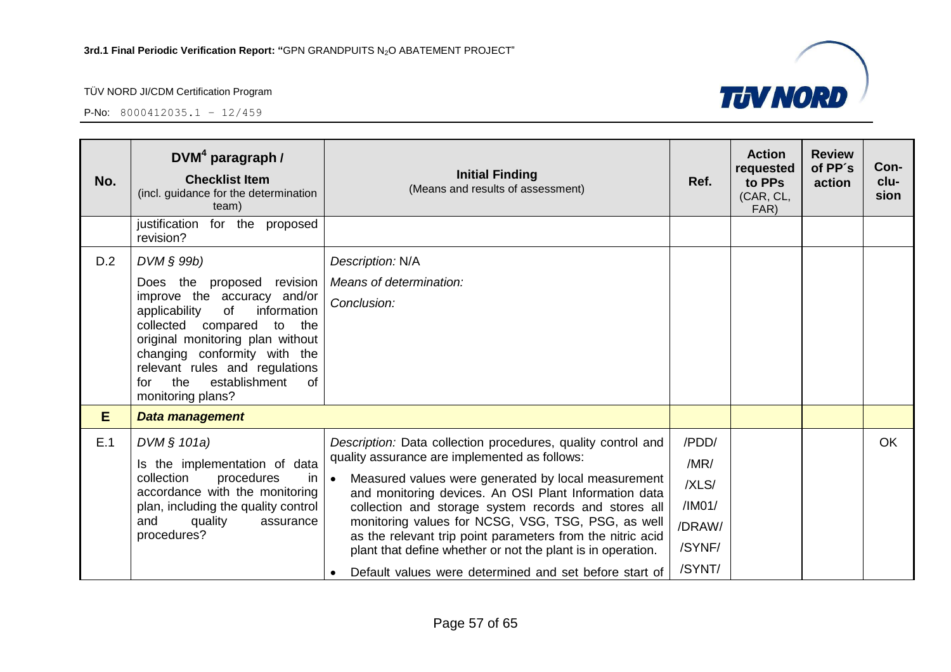

| No. | $DVM4$ paragraph /<br><b>Checklist Item</b><br>(incl. guidance for the determination<br>team)                                                                                                                                                                                                                    | <b>Initial Finding</b><br>(Means and results of assessment)                                                                                                                                                                                                                                                                                                                                                                                                                                                                                     | Ref.                                                           | <b>Action</b><br>requested<br>to PPs<br>(CAR, CL,<br>FAR) | <b>Review</b><br>of PP's<br>action | Con-<br>clu-<br>sion |
|-----|------------------------------------------------------------------------------------------------------------------------------------------------------------------------------------------------------------------------------------------------------------------------------------------------------------------|-------------------------------------------------------------------------------------------------------------------------------------------------------------------------------------------------------------------------------------------------------------------------------------------------------------------------------------------------------------------------------------------------------------------------------------------------------------------------------------------------------------------------------------------------|----------------------------------------------------------------|-----------------------------------------------------------|------------------------------------|----------------------|
|     | justification for the proposed<br>revision?                                                                                                                                                                                                                                                                      |                                                                                                                                                                                                                                                                                                                                                                                                                                                                                                                                                 |                                                                |                                                           |                                    |                      |
| D.2 | DVM § 99b)<br>Does the proposed revision<br>improve the accuracy and/or<br>applicability<br>of<br>information<br>collected compared<br>to<br>the<br>original monitoring plan without<br>changing conformity with the<br>relevant rules and regulations<br>establishment<br>the<br>of<br>for<br>monitoring plans? | Description: N/A<br>Means of determination:<br>Conclusion:                                                                                                                                                                                                                                                                                                                                                                                                                                                                                      |                                                                |                                                           |                                    |                      |
| E.  | Data management                                                                                                                                                                                                                                                                                                  |                                                                                                                                                                                                                                                                                                                                                                                                                                                                                                                                                 |                                                                |                                                           |                                    |                      |
| E.1 | DVM § 101a)<br>Is the implementation of data<br>collection<br>procedures<br>in<br>accordance with the monitoring<br>plan, including the quality control<br>quality<br>and<br>assurance<br>procedures?                                                                                                            | Description: Data collection procedures, quality control and<br>quality assurance are implemented as follows:<br>$\bullet$<br>Measured values were generated by local measurement<br>and monitoring devices. An OSI Plant Information data<br>collection and storage system records and stores all<br>monitoring values for NCSG, VSG, TSG, PSG, as well<br>as the relevant trip point parameters from the nitric acid<br>plant that define whether or not the plant is in operation.<br>Default values were determined and set before start of | /PDD/<br>/MR/<br>/XLS/<br>/IMO1/<br>/DRAW/<br>/SYNF/<br>/SYNT/ |                                                           |                                    | <b>OK</b>            |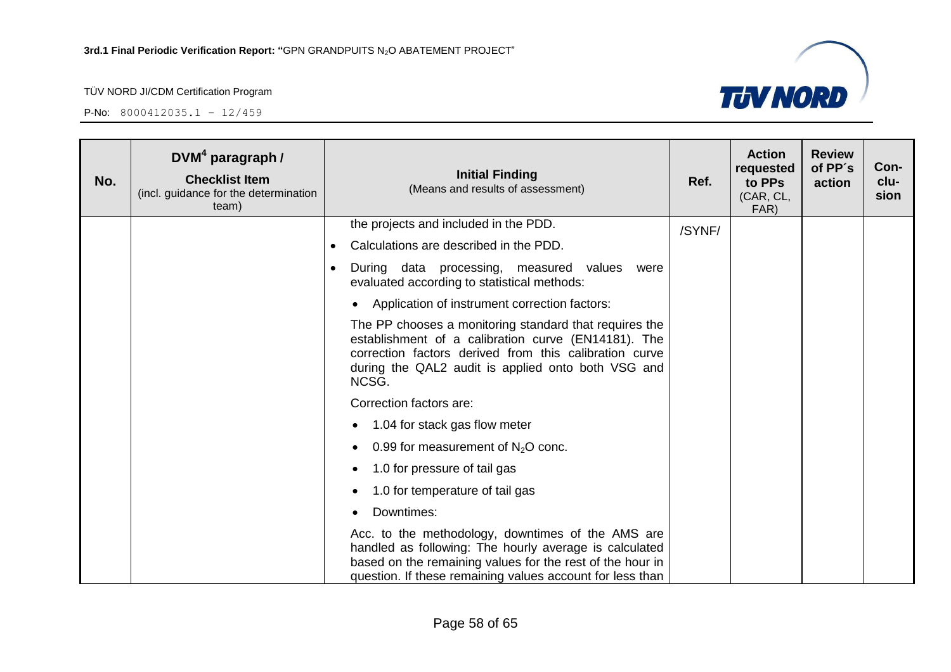

| No. | $DVM4$ paragraph /<br><b>Checklist Item</b><br>(incl. guidance for the determination<br>team) | <b>Initial Finding</b><br>(Means and results of assessment)                                                                                                                                                                            | Ref.   | <b>Action</b><br>requested<br>to PPs<br>(CAR, CL,<br>FAR) | <b>Review</b><br>of PP's<br>action | Con-<br>clu-<br>sion |
|-----|-----------------------------------------------------------------------------------------------|----------------------------------------------------------------------------------------------------------------------------------------------------------------------------------------------------------------------------------------|--------|-----------------------------------------------------------|------------------------------------|----------------------|
|     |                                                                                               | the projects and included in the PDD.                                                                                                                                                                                                  | /SYNF/ |                                                           |                                    |                      |
|     |                                                                                               | Calculations are described in the PDD.<br>$\bullet$                                                                                                                                                                                    |        |                                                           |                                    |                      |
|     |                                                                                               | During data processing, measured values<br>were<br>evaluated according to statistical methods:                                                                                                                                         |        |                                                           |                                    |                      |
|     |                                                                                               | Application of instrument correction factors:                                                                                                                                                                                          |        |                                                           |                                    |                      |
|     |                                                                                               | The PP chooses a monitoring standard that requires the<br>establishment of a calibration curve (EN14181). The<br>correction factors derived from this calibration curve<br>during the QAL2 audit is applied onto both VSG and<br>NCSG. |        |                                                           |                                    |                      |
|     |                                                                                               | Correction factors are:                                                                                                                                                                                                                |        |                                                           |                                    |                      |
|     |                                                                                               | 1.04 for stack gas flow meter                                                                                                                                                                                                          |        |                                                           |                                    |                      |
|     |                                                                                               | 0.99 for measurement of $N2O$ conc.                                                                                                                                                                                                    |        |                                                           |                                    |                      |
|     |                                                                                               | 1.0 for pressure of tail gas                                                                                                                                                                                                           |        |                                                           |                                    |                      |
|     |                                                                                               | 1.0 for temperature of tail gas                                                                                                                                                                                                        |        |                                                           |                                    |                      |
|     |                                                                                               | Downtimes:                                                                                                                                                                                                                             |        |                                                           |                                    |                      |
|     |                                                                                               | Acc. to the methodology, downtimes of the AMS are<br>handled as following: The hourly average is calculated<br>based on the remaining values for the rest of the hour in<br>question. If these remaining values account for less than  |        |                                                           |                                    |                      |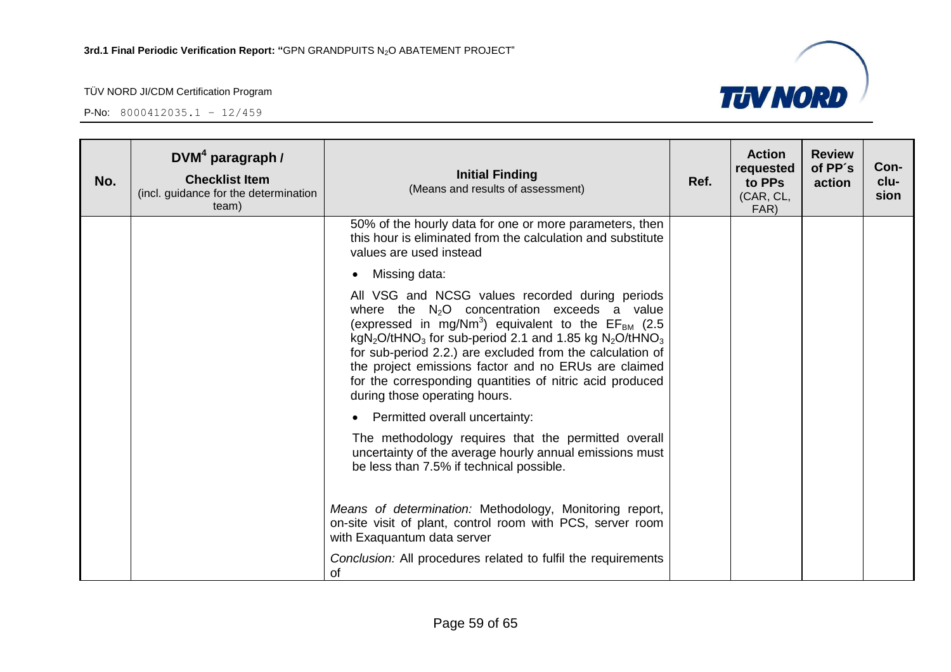

| No. | $DVM4$ paragraph /<br><b>Checklist Item</b><br>(incl. guidance for the determination<br>team) | <b>Initial Finding</b><br>(Means and results of assessment)                                                                                                                                                                                                                                                                                                                                                                                                                                           | Ref. | <b>Action</b><br>requested<br>to PPs<br>(CAR, CL,<br>FAR) | <b>Review</b><br>of PP's<br>action | Con-<br>clu-<br>sion |
|-----|-----------------------------------------------------------------------------------------------|-------------------------------------------------------------------------------------------------------------------------------------------------------------------------------------------------------------------------------------------------------------------------------------------------------------------------------------------------------------------------------------------------------------------------------------------------------------------------------------------------------|------|-----------------------------------------------------------|------------------------------------|----------------------|
|     |                                                                                               | 50% of the hourly data for one or more parameters, then<br>this hour is eliminated from the calculation and substitute<br>values are used instead                                                                                                                                                                                                                                                                                                                                                     |      |                                                           |                                    |                      |
|     |                                                                                               | Missing data:                                                                                                                                                                                                                                                                                                                                                                                                                                                                                         |      |                                                           |                                    |                      |
|     |                                                                                               | All VSG and NCSG values recorded during periods<br>where the $N_2O$ concentration exceeds a value<br>(expressed in mg/Nm <sup>3</sup> ) equivalent to the $EF_{BM}$ (2.5)<br>kgN <sub>2</sub> O/tHNO <sub>3</sub> for sub-period 2.1 and 1.85 kg N <sub>2</sub> O/tHNO <sub>3</sub><br>for sub-period 2.2.) are excluded from the calculation of<br>the project emissions factor and no ERUs are claimed<br>for the corresponding quantities of nitric acid produced<br>during those operating hours. |      |                                                           |                                    |                      |
|     |                                                                                               | Permitted overall uncertainty:                                                                                                                                                                                                                                                                                                                                                                                                                                                                        |      |                                                           |                                    |                      |
|     |                                                                                               | The methodology requires that the permitted overall<br>uncertainty of the average hourly annual emissions must<br>be less than 7.5% if technical possible.                                                                                                                                                                                                                                                                                                                                            |      |                                                           |                                    |                      |
|     |                                                                                               | Means of determination: Methodology, Monitoring report,<br>on-site visit of plant, control room with PCS, server room<br>with Exaquantum data server                                                                                                                                                                                                                                                                                                                                                  |      |                                                           |                                    |                      |
|     |                                                                                               | Conclusion: All procedures related to fulfil the requirements<br>0f                                                                                                                                                                                                                                                                                                                                                                                                                                   |      |                                                           |                                    |                      |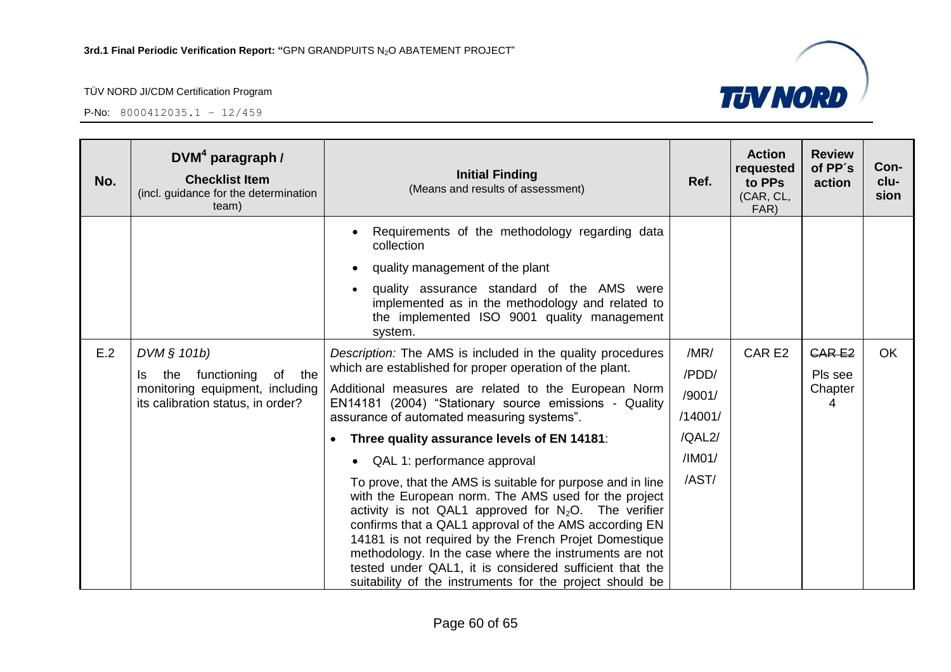

| No. | DVM <sup>4</sup> paragraph /<br><b>Checklist Item</b><br>(incl. guidance for the determination<br>team)                    | <b>Initial Finding</b><br>(Means and results of assessment)                                                                                                                                                                                                                                                                                                                                                                                                                      | Ref.          | <b>Action</b><br>requested<br>to PPs<br>(CAR, CL,<br>FAR) | <b>Review</b><br>of PP's<br>action | Con-<br>clu-<br>sion |
|-----|----------------------------------------------------------------------------------------------------------------------------|----------------------------------------------------------------------------------------------------------------------------------------------------------------------------------------------------------------------------------------------------------------------------------------------------------------------------------------------------------------------------------------------------------------------------------------------------------------------------------|---------------|-----------------------------------------------------------|------------------------------------|----------------------|
|     |                                                                                                                            | Requirements of the methodology regarding data<br>collection                                                                                                                                                                                                                                                                                                                                                                                                                     |               |                                                           |                                    |                      |
|     |                                                                                                                            | quality management of the plant                                                                                                                                                                                                                                                                                                                                                                                                                                                  |               |                                                           |                                    |                      |
|     |                                                                                                                            | quality assurance standard of the AMS were<br>implemented as in the methodology and related to<br>the implemented ISO 9001 quality management<br>system.                                                                                                                                                                                                                                                                                                                         |               |                                                           |                                    |                      |
| E.2 | DVM § 101b)<br>functioning<br>of the<br>the<br>Is.<br>monitoring equipment, including<br>its calibration status, in order? | Description: The AMS is included in the quality procedures<br>which are established for proper operation of the plant.                                                                                                                                                                                                                                                                                                                                                           | /MR/<br>/PDD/ | CAR E2                                                    | <b>CARE2</b><br>Pls see            | <b>OK</b>            |
|     |                                                                                                                            | Additional measures are related to the European Norm                                                                                                                                                                                                                                                                                                                                                                                                                             | /9001/        |                                                           | Chapter                            |                      |
|     |                                                                                                                            | EN14181 (2004) "Stationary source emissions - Quality<br>assurance of automated measuring systems".                                                                                                                                                                                                                                                                                                                                                                              | /14001/       |                                                           | 4                                  |                      |
|     |                                                                                                                            | Three quality assurance levels of EN 14181:                                                                                                                                                                                                                                                                                                                                                                                                                                      | /QAL2/        |                                                           |                                    |                      |
|     |                                                                                                                            | QAL 1: performance approval                                                                                                                                                                                                                                                                                                                                                                                                                                                      | /IMO1/        |                                                           |                                    |                      |
|     |                                                                                                                            | To prove, that the AMS is suitable for purpose and in line<br>with the European norm. The AMS used for the project<br>activity is not QAL1 approved for $N_2O$ . The verifier<br>confirms that a QAL1 approval of the AMS according EN<br>14181 is not required by the French Projet Domestique<br>methodology. In the case where the instruments are not<br>tested under QAL1, it is considered sufficient that the<br>suitability of the instruments for the project should be | /AST/         |                                                           |                                    |                      |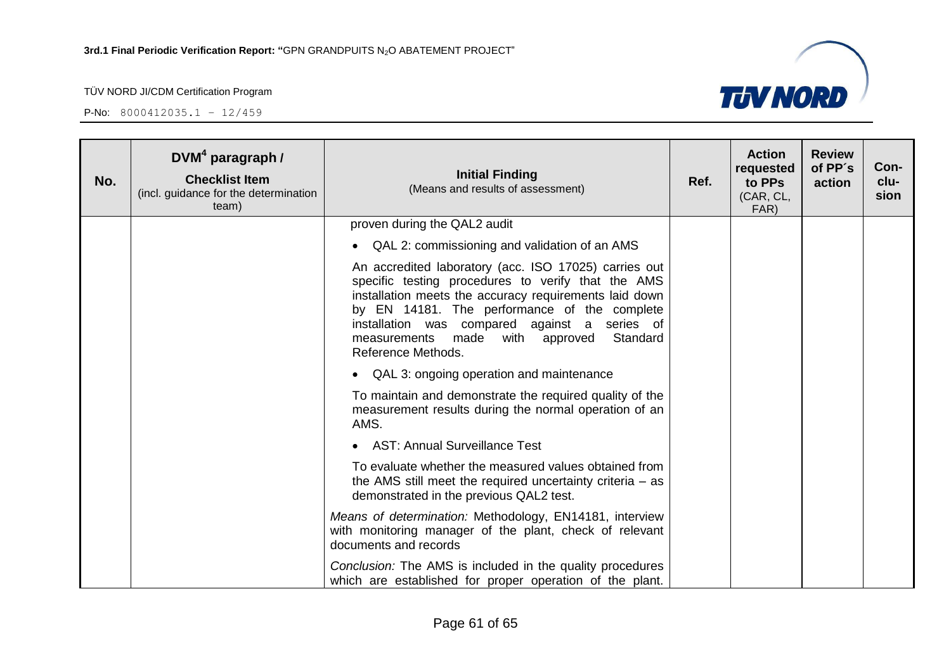

| No. | DVM <sup>4</sup> paragraph /<br><b>Checklist Item</b><br>(incl. guidance for the determination<br>team) | <b>Initial Finding</b><br>(Means and results of assessment)                                                                                                                                                                                                                                                                                    | Ref. | <b>Action</b><br>requested<br>to PPs<br>(CAR, CL,<br>FAR) | <b>Review</b><br>of PP's<br>action | Con-<br>clu-<br>sion |
|-----|---------------------------------------------------------------------------------------------------------|------------------------------------------------------------------------------------------------------------------------------------------------------------------------------------------------------------------------------------------------------------------------------------------------------------------------------------------------|------|-----------------------------------------------------------|------------------------------------|----------------------|
|     |                                                                                                         | proven during the QAL2 audit                                                                                                                                                                                                                                                                                                                   |      |                                                           |                                    |                      |
|     |                                                                                                         | QAL 2: commissioning and validation of an AMS<br>$\bullet$                                                                                                                                                                                                                                                                                     |      |                                                           |                                    |                      |
|     |                                                                                                         | An accredited laboratory (acc. ISO 17025) carries out<br>specific testing procedures to verify that the AMS<br>installation meets the accuracy requirements laid down<br>by EN 14181. The performance of the complete<br>installation was compared against a series of<br>Standard<br>measurements made<br>with approved<br>Reference Methods. |      |                                                           |                                    |                      |
|     |                                                                                                         | QAL 3: ongoing operation and maintenance<br>$\bullet$                                                                                                                                                                                                                                                                                          |      |                                                           |                                    |                      |
|     |                                                                                                         | To maintain and demonstrate the required quality of the<br>measurement results during the normal operation of an<br>AMS.                                                                                                                                                                                                                       |      |                                                           |                                    |                      |
|     |                                                                                                         | • AST: Annual Surveillance Test                                                                                                                                                                                                                                                                                                                |      |                                                           |                                    |                      |
|     |                                                                                                         | To evaluate whether the measured values obtained from<br>the AMS still meet the required uncertainty criteria $-$ as<br>demonstrated in the previous QAL2 test.                                                                                                                                                                                |      |                                                           |                                    |                      |
|     |                                                                                                         | Means of determination: Methodology, EN14181, interview<br>with monitoring manager of the plant, check of relevant<br>documents and records                                                                                                                                                                                                    |      |                                                           |                                    |                      |
|     |                                                                                                         | Conclusion: The AMS is included in the quality procedures<br>which are established for proper operation of the plant.                                                                                                                                                                                                                          |      |                                                           |                                    |                      |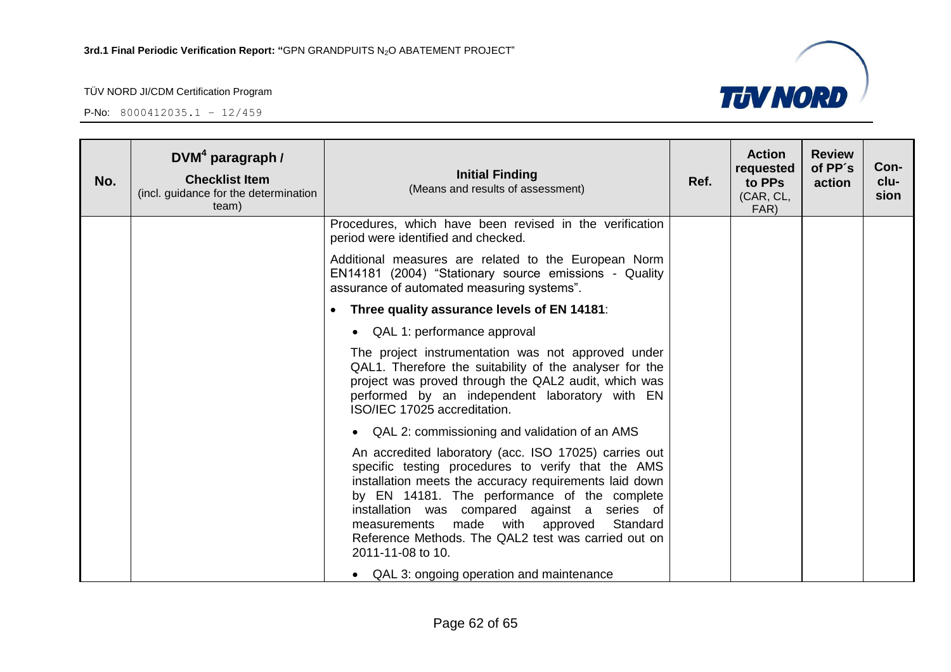

| No. | $DVM4$ paragraph /<br><b>Checklist Item</b><br>(incl. guidance for the determination<br>team) | <b>Initial Finding</b><br>(Means and results of assessment)                                                                                                                                                                                                                                                                                                                                       | Ref. | <b>Action</b><br>requested<br>to PPs<br>(CAR, CL,<br>FAR) | <b>Review</b><br>of PP's<br>action | Con-<br>clu-<br>sion |
|-----|-----------------------------------------------------------------------------------------------|---------------------------------------------------------------------------------------------------------------------------------------------------------------------------------------------------------------------------------------------------------------------------------------------------------------------------------------------------------------------------------------------------|------|-----------------------------------------------------------|------------------------------------|----------------------|
|     |                                                                                               | Procedures, which have been revised in the verification<br>period were identified and checked.                                                                                                                                                                                                                                                                                                    |      |                                                           |                                    |                      |
|     |                                                                                               | Additional measures are related to the European Norm<br>EN14181 (2004) "Stationary source emissions - Quality<br>assurance of automated measuring systems".                                                                                                                                                                                                                                       |      |                                                           |                                    |                      |
|     |                                                                                               | Three quality assurance levels of EN 14181:                                                                                                                                                                                                                                                                                                                                                       |      |                                                           |                                    |                      |
|     |                                                                                               | • QAL 1: performance approval                                                                                                                                                                                                                                                                                                                                                                     |      |                                                           |                                    |                      |
|     |                                                                                               | The project instrumentation was not approved under<br>QAL1. Therefore the suitability of the analyser for the<br>project was proved through the QAL2 audit, which was<br>performed by an independent laboratory with EN<br>ISO/IEC 17025 accreditation.                                                                                                                                           |      |                                                           |                                    |                      |
|     |                                                                                               | • QAL 2: commissioning and validation of an AMS                                                                                                                                                                                                                                                                                                                                                   |      |                                                           |                                    |                      |
|     |                                                                                               | An accredited laboratory (acc. ISO 17025) carries out<br>specific testing procedures to verify that the AMS<br>installation meets the accuracy requirements laid down<br>by EN 14181. The performance of the complete<br>installation was compared against a series of<br>measurements made with approved<br>Standard<br>Reference Methods. The QAL2 test was carried out on<br>2011-11-08 to 10. |      |                                                           |                                    |                      |
|     |                                                                                               | • QAL 3: ongoing operation and maintenance                                                                                                                                                                                                                                                                                                                                                        |      |                                                           |                                    |                      |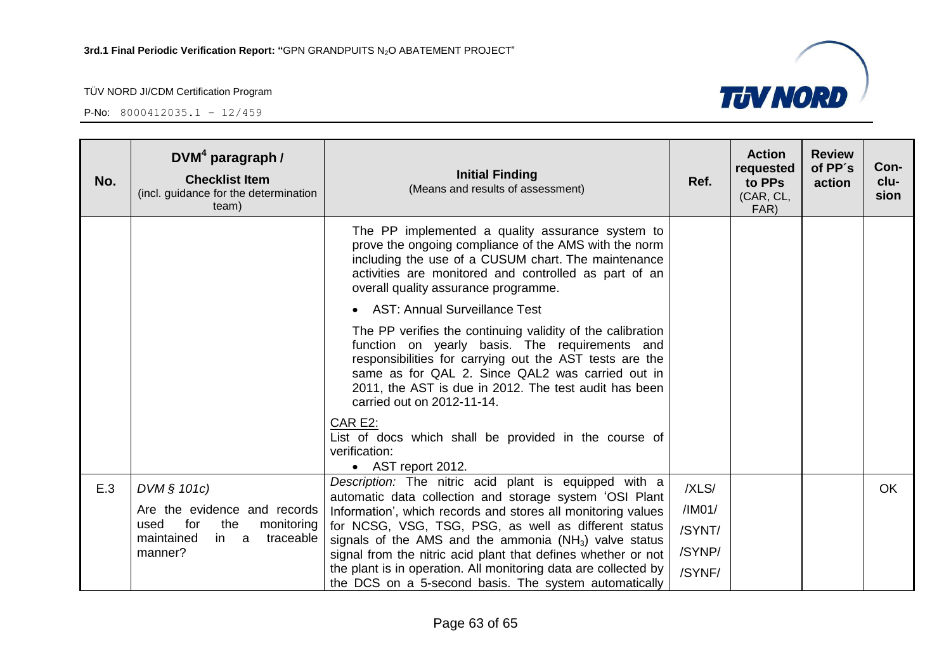

| No. | $DVM4$ paragraph /<br><b>Checklist Item</b><br>(incl. guidance for the determination<br>team)                     | <b>Initial Finding</b><br>(Means and results of assessment)                                                                                                                                                                                                                                                                                                                   | Ref.                                 | <b>Action</b><br>requested<br>to PPs<br>(CAR, CL,<br>FAR) | <b>Review</b><br>of PP's<br>action | Con-<br>clu-<br>sion |
|-----|-------------------------------------------------------------------------------------------------------------------|-------------------------------------------------------------------------------------------------------------------------------------------------------------------------------------------------------------------------------------------------------------------------------------------------------------------------------------------------------------------------------|--------------------------------------|-----------------------------------------------------------|------------------------------------|----------------------|
|     |                                                                                                                   | The PP implemented a quality assurance system to<br>prove the ongoing compliance of the AMS with the norm<br>including the use of a CUSUM chart. The maintenance<br>activities are monitored and controlled as part of an<br>overall quality assurance programme.                                                                                                             |                                      |                                                           |                                    |                      |
|     |                                                                                                                   | • AST: Annual Surveillance Test                                                                                                                                                                                                                                                                                                                                               |                                      |                                                           |                                    |                      |
|     |                                                                                                                   | The PP verifies the continuing validity of the calibration<br>function on yearly basis. The requirements and<br>responsibilities for carrying out the AST tests are the<br>same as for QAL 2. Since QAL2 was carried out in<br>2011, the AST is due in 2012. The test audit has been<br>carried out on 2012-11-14.                                                            |                                      |                                                           |                                    |                      |
|     |                                                                                                                   | CAR E2:<br>List of docs which shall be provided in the course of<br>verification:<br>• AST report 2012.                                                                                                                                                                                                                                                                       |                                      |                                                           |                                    |                      |
| E.3 | DVM § 101c)                                                                                                       | Description: The nitric acid plant is equipped with a<br>automatic data collection and storage system 'OSI Plant                                                                                                                                                                                                                                                              | /XLS/                                |                                                           |                                    | <b>OK</b>            |
|     | Are the evidence and records<br>for<br>the<br>used<br>monitoring<br>maintained<br>in<br>traceable<br>a<br>manner? | Information', which records and stores all monitoring values<br>for NCSG, VSG, TSG, PSG, as well as different status<br>signals of the AMS and the ammonia $(NH_3)$ valve status<br>signal from the nitric acid plant that defines whether or not<br>the plant is in operation. All monitoring data are collected by<br>the DCS on a 5-second basis. The system automatically | /IM01/<br>/SYNT/<br>/SYNP/<br>/SYNF/ |                                                           |                                    |                      |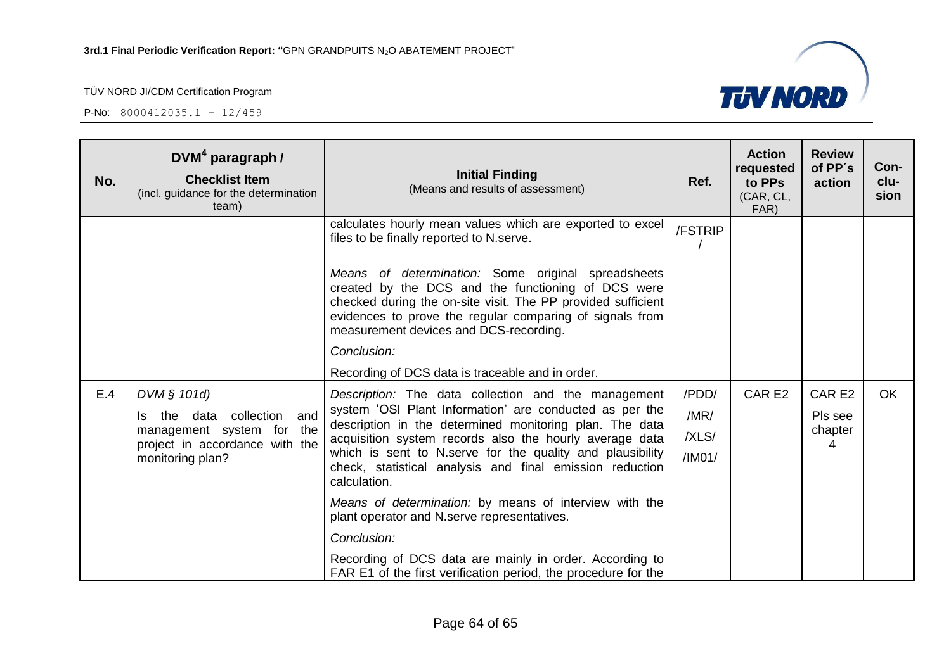P-No: 8000412035.1 – 12/459



| No. | $DVM4$ paragraph /<br><b>Checklist Item</b><br>(incl. guidance for the determination<br>team)                                              | <b>Initial Finding</b><br>(Means and results of assessment)                                                                                                                                                                                                                                                                                                                                            | Ref.                             | <b>Action</b><br>requested<br>to PPs<br>(CAR, CL,<br>FAR) | <b>Review</b><br>of PP's<br>action      | Con-<br>clu-<br>sion |
|-----|--------------------------------------------------------------------------------------------------------------------------------------------|--------------------------------------------------------------------------------------------------------------------------------------------------------------------------------------------------------------------------------------------------------------------------------------------------------------------------------------------------------------------------------------------------------|----------------------------------|-----------------------------------------------------------|-----------------------------------------|----------------------|
|     |                                                                                                                                            | calculates hourly mean values which are exported to excel<br>files to be finally reported to N.serve.<br>Means of determination: Some original spreadsheets<br>created by the DCS and the functioning of DCS were<br>checked during the on-site visit. The PP provided sufficient<br>evidences to prove the regular comparing of signals from<br>measurement devices and DCS-recording.<br>Conclusion: | /FSTRIP                          |                                                           |                                         |                      |
|     |                                                                                                                                            | Recording of DCS data is traceable and in order.                                                                                                                                                                                                                                                                                                                                                       |                                  |                                                           |                                         |                      |
| E.4 | DVM $§$ 101d)<br>collection<br>and<br>Is the<br>data<br>management system for<br>the<br>project in accordance with the<br>monitoring plan? | Description: The data collection and the management<br>system 'OSI Plant Information' are conducted as per the<br>description in the determined monitoring plan. The data<br>acquisition system records also the hourly average data<br>which is sent to N.serve for the quality and plausibility<br>check, statistical analysis and final emission reduction<br>calculation.                          | /PDD/<br>/MR/<br>/XLS/<br>/IMO1/ | CAR E2                                                    | <b>CARE2</b><br>Pls see<br>chapter<br>4 | <b>OK</b>            |
|     |                                                                                                                                            | Means of determination: by means of interview with the<br>plant operator and N.serve representatives.<br>Conclusion:<br>Recording of DCS data are mainly in order. According to<br>FAR E1 of the first verification period, the procedure for the                                                                                                                                                      |                                  |                                                           |                                         |                      |